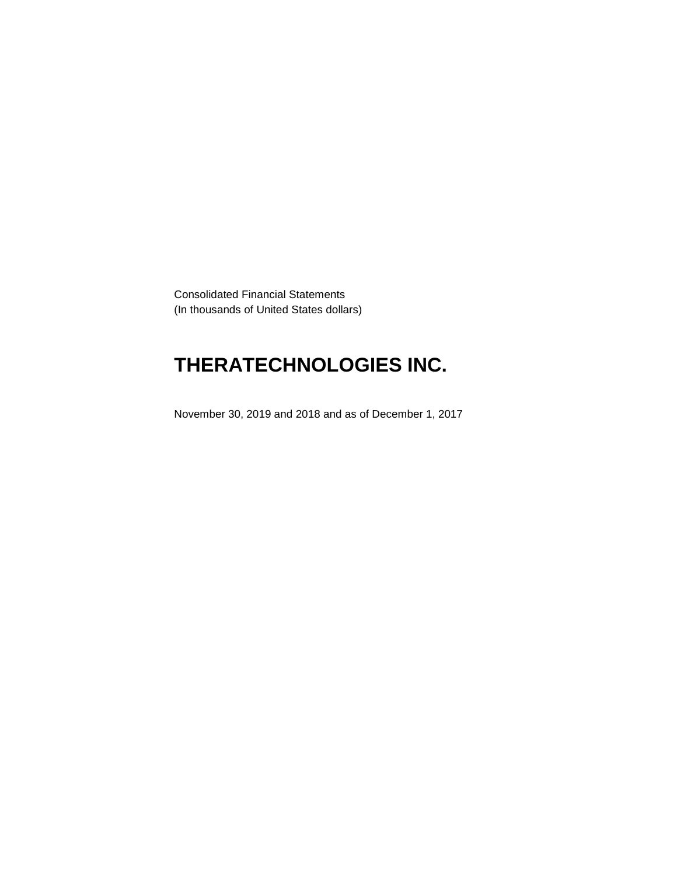Consolidated Financial Statements (In thousands of United States dollars)

# **THERATECHNOLOGIES INC.**

November 30, 2019 and 2018 and as of December 1, 2017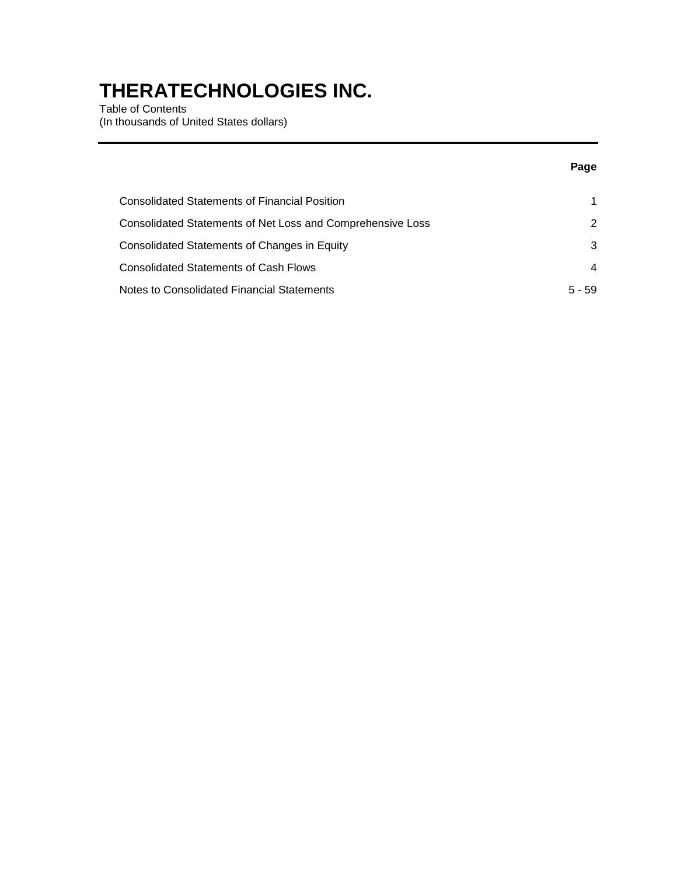Table of Contents (In thousands of United States dollars)

| <b>Consolidated Statements of Financial Position</b>       | 1.            |
|------------------------------------------------------------|---------------|
| Consolidated Statements of Net Loss and Comprehensive Loss | $\mathcal{P}$ |
| Consolidated Statements of Changes in Equity               | 3             |
| <b>Consolidated Statements of Cash Flows</b>               | 4             |
| Notes to Consolidated Financial Statements                 | $5 - 59$      |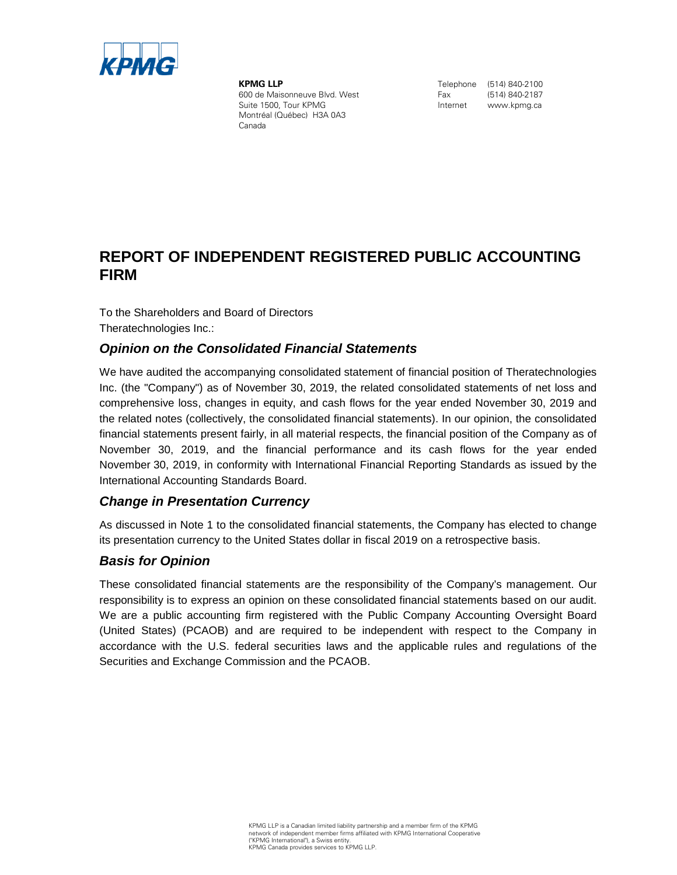

**KPMG LLP** Telephone (514) 840-2100 600 de Maisonneuve Blvd. West **Fax** Fax Suite 1500, Tour KPMG **Internet** www.kpmg.ca Montréal (Québec) H3A 0A3 Canada

## **REPORT OF INDEPENDENT REGISTERED PUBLIC ACCOUNTING FIRM**

To the Shareholders and Board of Directors Theratechnologies Inc.:

## *Opinion on the Consolidated Financial Statements*

We have audited the accompanying consolidated statement of financial position of Theratechnologies Inc. (the "Company") as of November 30, 2019, the related consolidated statements of net loss and comprehensive loss, changes in equity, and cash flows for the year ended November 30, 2019 and the related notes (collectively, the consolidated financial statements). In our opinion, the consolidated financial statements present fairly, in all material respects, the financial position of the Company as of November 30, 2019, and the financial performance and its cash flows for the year ended November 30, 2019, in conformity with International Financial Reporting Standards as issued by the International Accounting Standards Board.

## *Change in Presentation Currency*

As discussed in Note 1 to the consolidated financial statements, the Company has elected to change its presentation currency to the United States dollar in fiscal 2019 on a retrospective basis.

## *Basis for Opinion*

These consolidated financial statements are the responsibility of the Company's management. Our responsibility is to express an opinion on these consolidated financial statements based on our audit. We are a public accounting firm registered with the Public Company Accounting Oversight Board (United States) (PCAOB) and are required to be independent with respect to the Company in accordance with the U.S. federal securities laws and the applicable rules and regulations of the Securities and Exchange Commission and the PCAOB.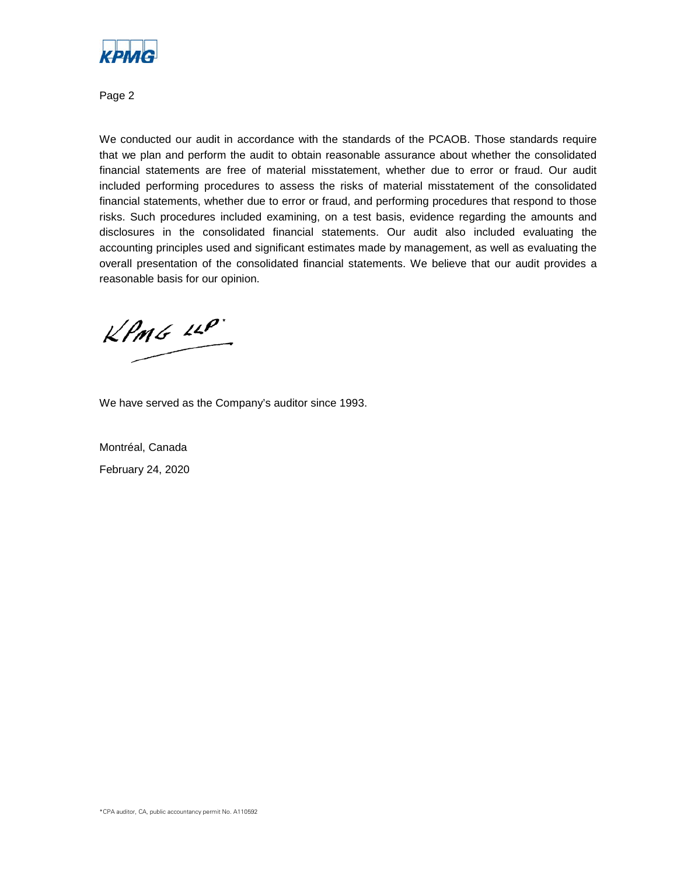

Page 2

We conducted our audit in accordance with the standards of the PCAOB. Those standards require that we plan and perform the audit to obtain reasonable assurance about whether the consolidated financial statements are free of material misstatement, whether due to error or fraud. Our audit included performing procedures to assess the risks of material misstatement of the consolidated financial statements, whether due to error or fraud, and performing procedures that respond to those risks. Such procedures included examining, on a test basis, evidence regarding the amounts and disclosures in the consolidated financial statements. Our audit also included evaluating the accounting principles used and significant estimates made by management, as well as evaluating the overall presentation of the consolidated financial statements. We believe that our audit provides a reasonable basis for our opinion.

 $k$ *PmG*  $\mu$ P

We have served as the Company's auditor since 1993.

Montréal, Canada February 24, 2020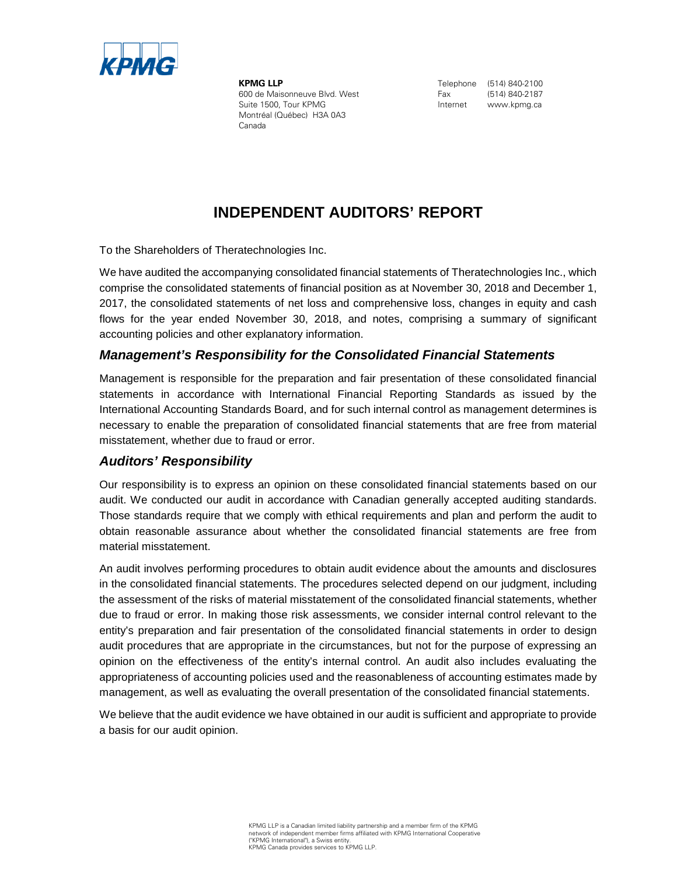

**KPMG LLP** Telephone (514) 840-2100 600 de Maisonneuve Blvd. West Fax (514) 840-2187 Suite 1500, Tour KPMG **Internet** www.kpmg.ca Montréal (Québec) H3A 0A3 Canada

## **INDEPENDENT AUDITORS' REPORT**

To the Shareholders of Theratechnologies Inc.

We have audited the accompanying consolidated financial statements of Theratechnologies Inc., which comprise the consolidated statements of financial position as at November 30, 2018 and December 1, 2017, the consolidated statements of net loss and comprehensive loss, changes in equity and cash flows for the year ended November 30, 2018, and notes, comprising a summary of significant accounting policies and other explanatory information.

## *Management's Responsibility for the Consolidated Financial Statements*

Management is responsible for the preparation and fair presentation of these consolidated financial statements in accordance with International Financial Reporting Standards as issued by the International Accounting Standards Board, and for such internal control as management determines is necessary to enable the preparation of consolidated financial statements that are free from material misstatement, whether due to fraud or error.

## *Auditors' Responsibility*

Our responsibility is to express an opinion on these consolidated financial statements based on our audit. We conducted our audit in accordance with Canadian generally accepted auditing standards. Those standards require that we comply with ethical requirements and plan and perform the audit to obtain reasonable assurance about whether the consolidated financial statements are free from material misstatement.

An audit involves performing procedures to obtain audit evidence about the amounts and disclosures in the consolidated financial statements. The procedures selected depend on our judgment, including the assessment of the risks of material misstatement of the consolidated financial statements, whether due to fraud or error. In making those risk assessments, we consider internal control relevant to the entity's preparation and fair presentation of the consolidated financial statements in order to design audit procedures that are appropriate in the circumstances, but not for the purpose of expressing an opinion on the effectiveness of the entity's internal control. An audit also includes evaluating the appropriateness of accounting policies used and the reasonableness of accounting estimates made by management, as well as evaluating the overall presentation of the consolidated financial statements.

We believe that the audit evidence we have obtained in our audit is sufficient and appropriate to provide a basis for our audit opinion.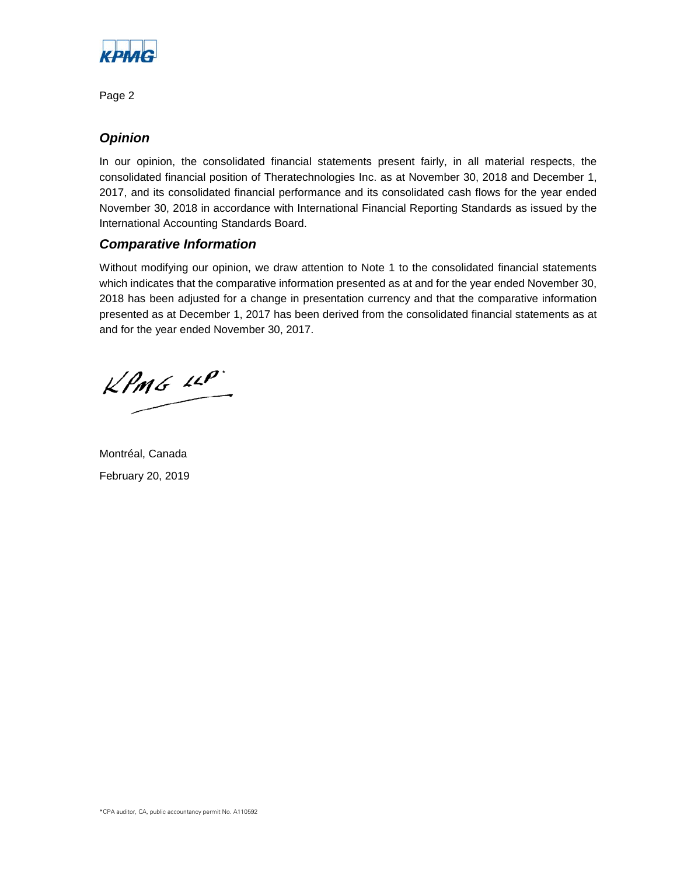

Page 2

## *Opinion*

In our opinion, the consolidated financial statements present fairly, in all material respects, the consolidated financial position of Theratechnologies Inc. as at November 30, 2018 and December 1, 2017, and its consolidated financial performance and its consolidated cash flows for the year ended November 30, 2018 in accordance with International Financial Reporting Standards as issued by the International Accounting Standards Board.

## *Comparative Information*

Without modifying our opinion, we draw attention to Note 1 to the consolidated financial statements which indicates that the comparative information presented as at and for the year ended November 30, 2018 has been adjusted for a change in presentation currency and that the comparative information presented as at December 1, 2017 has been derived from the consolidated financial statements as at and for the year ended November 30, 2017.

 $KPMG$   $\mu P$ 

Montréal, Canada February 20, 2019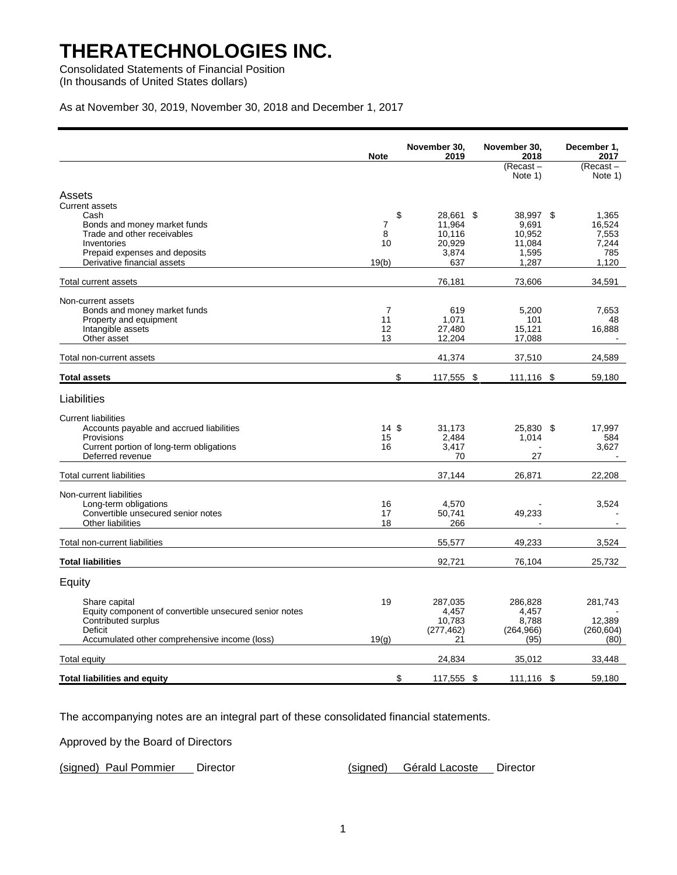Consolidated Statements of Financial Position (In thousands of United States dollars)

As at November 30, 2019, November 30, 2018 and December 1, 2017

|                                                              | <b>Note</b>    | November 30,<br>2019 | November 30,<br>2018   | December 1,<br>2017    |
|--------------------------------------------------------------|----------------|----------------------|------------------------|------------------------|
|                                                              |                |                      | $(Recast -$<br>Note 1) | $(Recast -$<br>Note 1) |
| Assets<br><b>Current assets</b>                              |                |                      |                        |                        |
| Cash                                                         | \$             | 28,661 \$            | 38,997 \$              | 1,365                  |
| Bonds and money market funds                                 | $\overline{7}$ | 11.964               | 9.691                  | 16.524                 |
| Trade and other receivables<br>Inventories                   | 8              | 10,116<br>20.929     | 10,952<br>11.084       | 7,553<br>7.244         |
| Prepaid expenses and deposits                                | 10             | 3,874                | 1,595                  | 785                    |
| Derivative financial assets                                  | 19(b)          | 637                  | 1,287                  | 1,120                  |
| Total current assets                                         |                | 76,181               | 73,606                 | 34,591                 |
| Non-current assets                                           |                |                      |                        |                        |
| Bonds and money market funds                                 | $\overline{7}$ | 619                  | 5,200                  | 7,653                  |
| Property and equipment                                       | 11             | 1,071                | 101                    | 48                     |
| Intangible assets<br>Other asset                             | 12<br>13       | 27,480<br>12.204     | 15,121<br>17.088       | 16,888                 |
|                                                              |                |                      |                        |                        |
| Total non-current assets                                     |                | 41,374               | 37,510                 | 24.589                 |
| <b>Total assets</b>                                          | \$             | 117,555 \$           | 111,116 \$             | 59,180                 |
| Liabilities                                                  |                |                      |                        |                        |
| <b>Current liabilities</b>                                   |                |                      |                        |                        |
| Accounts payable and accrued liabilities                     | 14S            | 31,173               | 25,830 \$              | 17,997                 |
| Provisions                                                   | 15             | 2,484                | 1,014                  | 584                    |
| Current portion of long-term obligations<br>Deferred revenue | 16             | 3,417<br>70          | 27                     | 3,627<br>$\sim$        |
| Total current liabilities                                    |                | 37,144               | 26,871                 | 22,208                 |
|                                                              |                |                      |                        |                        |
| Non-current liabilities<br>Long-term obligations             | 16             | 4,570                |                        | 3,524                  |
| Convertible unsecured senior notes                           | 17             | 50,741               | 49,233                 |                        |
| <b>Other liabilities</b>                                     | 18             | 266                  |                        |                        |
| Total non-current liabilities                                |                | 55,577               | 49,233                 | 3,524                  |
| <b>Total liabilities</b>                                     |                | 92,721               | 76,104                 | 25,732                 |
| Equity                                                       |                |                      |                        |                        |
| Share capital                                                | 19             | 287,035              | 286,828                | 281,743                |
| Equity component of convertible unsecured senior notes       |                | 4,457                | 4,457                  |                        |
| Contributed surplus                                          |                | 10,783               | 8,788                  | 12,389                 |
| Deficit                                                      |                | (277, 462)           | (264, 966)             | (260, 604)             |
| Accumulated other comprehensive income (loss)                | 19(q)          | 21                   | (95)                   | (80)                   |
| Total equity                                                 |                | 24,834               | 35,012                 | 33,448                 |
| <b>Total liabilities and equity</b>                          | \$             | 117,555 \$           | 111,116 \$             | 59,180                 |

The accompanying notes are an integral part of these consolidated financial statements.

Approved by the Board of Directors

(signed) Paul Pommier Director (signed) Gérald Lacoste Director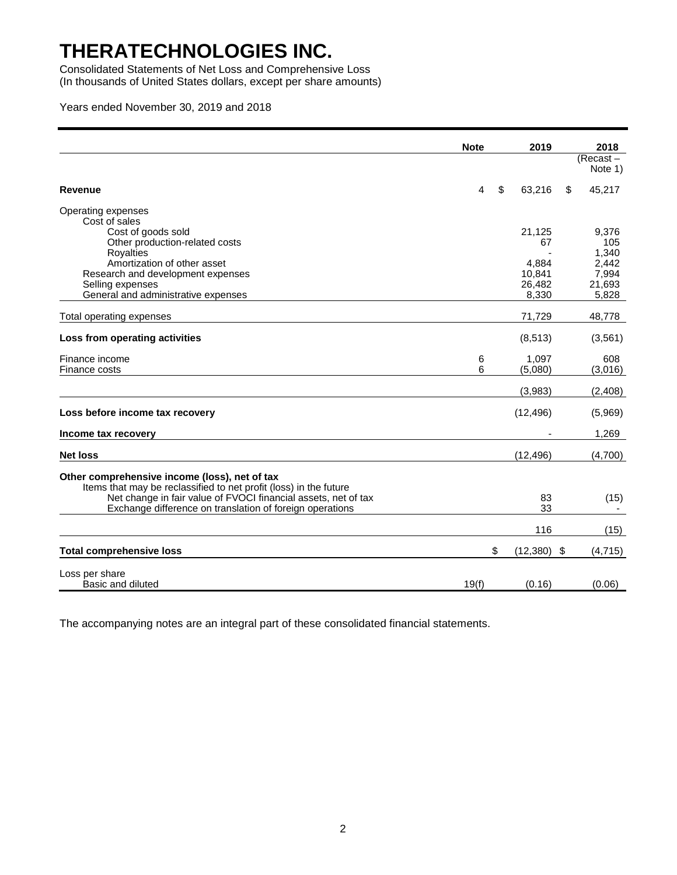Consolidated Statements of Net Loss and Comprehensive Loss (In thousands of United States dollars, except per share amounts)

### Years ended November 30, 2019 and 2018

|                                                                                                                                                                                      | <b>Note</b> | 2019         | 2018                   |
|--------------------------------------------------------------------------------------------------------------------------------------------------------------------------------------|-------------|--------------|------------------------|
|                                                                                                                                                                                      |             |              | $(Recast -$<br>Note 1) |
| <b>Revenue</b>                                                                                                                                                                       | 4           | \$<br>63,216 | 45,217<br>\$           |
| Operating expenses                                                                                                                                                                   |             |              |                        |
| Cost of sales                                                                                                                                                                        |             |              |                        |
| Cost of goods sold                                                                                                                                                                   |             | 21,125       | 9,376                  |
| Other production-related costs                                                                                                                                                       |             | 67           | 105                    |
| <b>Royalties</b>                                                                                                                                                                     |             |              | 1,340                  |
| Amortization of other asset                                                                                                                                                          |             | 4,884        | 2,442                  |
| Research and development expenses                                                                                                                                                    |             | 10,841       | 7,994                  |
| Selling expenses                                                                                                                                                                     |             | 26,482       | 21,693                 |
| General and administrative expenses                                                                                                                                                  |             | 8,330        | 5,828                  |
| Total operating expenses                                                                                                                                                             |             | 71,729       | 48,778                 |
| Loss from operating activities                                                                                                                                                       |             | (8, 513)     | (3, 561)               |
| Finance income                                                                                                                                                                       | 6           | 1,097        | 608                    |
| Finance costs                                                                                                                                                                        | 6           | (5,080)      | (3,016)                |
|                                                                                                                                                                                      |             | (3,983)      | (2, 408)               |
| Loss before income tax recovery                                                                                                                                                      |             | (12, 496)    | (5,969)                |
| Income tax recovery                                                                                                                                                                  |             |              | 1,269                  |
| <b>Net loss</b>                                                                                                                                                                      |             | (12, 496)    | (4,700)                |
| Other comprehensive income (loss), net of tax<br>Items that may be reclassified to net profit (loss) in the future<br>Net change in fair value of FVOCI financial assets, net of tax |             | 83           | (15)                   |
| Exchange difference on translation of foreign operations                                                                                                                             |             | 33           |                        |
|                                                                                                                                                                                      |             | 116          | (15)                   |
| <b>Total comprehensive loss</b>                                                                                                                                                      | \$          | (12, 380)    | \$<br>(4, 715)         |
|                                                                                                                                                                                      |             |              |                        |
| Loss per share<br>Basic and diluted                                                                                                                                                  | 19(f)       | (0.16)       | (0.06)                 |

The accompanying notes are an integral part of these consolidated financial statements.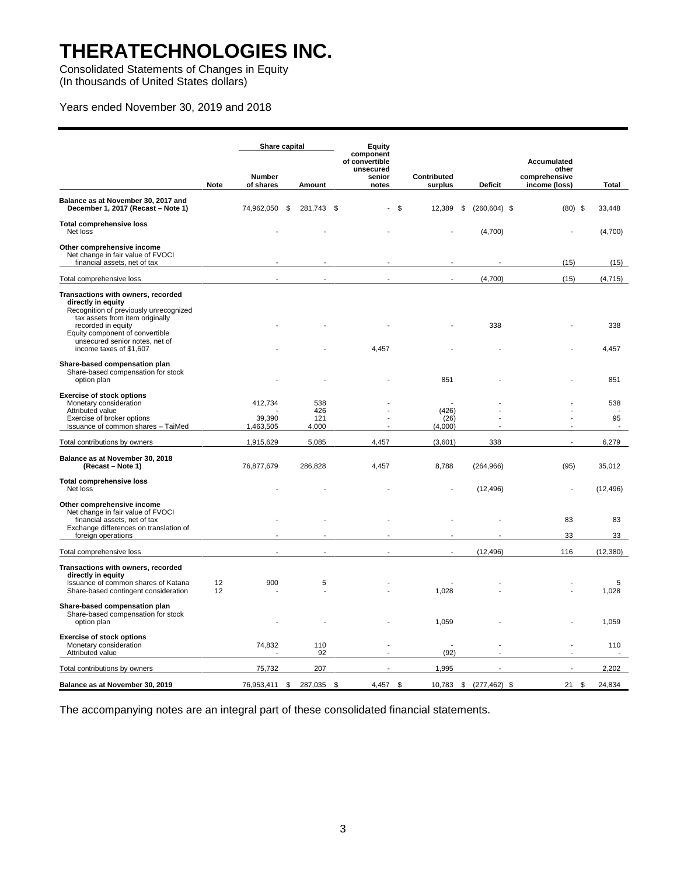Consolidated Statements of Changes in Equity

(In thousands of United States dollars)

Years ended November 30, 2019 and 2018

|                                                                                                                                                                                                                                                             |          | Share capital                  |      |                            | <b>Equity</b>                                               |                          |                       |  |                                                        |    |                                 |
|-------------------------------------------------------------------------------------------------------------------------------------------------------------------------------------------------------------------------------------------------------------|----------|--------------------------------|------|----------------------------|-------------------------------------------------------------|--------------------------|-----------------------|--|--------------------------------------------------------|----|---------------------------------|
|                                                                                                                                                                                                                                                             | Note     | <b>Number</b><br>of shares     |      | Amount                     | component<br>of convertible<br>unsecured<br>senior<br>notes | Contributed<br>surplus   | <b>Deficit</b>        |  | Accumulated<br>other<br>comprehensive<br>income (loss) |    | Total                           |
| Balance as at November 30, 2017 and                                                                                                                                                                                                                         |          |                                |      |                            |                                                             |                          |                       |  |                                                        |    |                                 |
| December 1, 2017 (Recast - Note 1)                                                                                                                                                                                                                          |          | 74,962,050                     | - \$ | 281,743 \$                 | $\mathbb{R}^2$                                              | \$<br>12,389             | $(260, 604)$ \$<br>\$ |  | $(80)$ \$                                              |    | 33,448                          |
| <b>Total comprehensive loss</b><br>Net loss                                                                                                                                                                                                                 |          |                                |      |                            |                                                             |                          | (4,700)               |  |                                                        |    | (4,700)                         |
| Other comprehensive income<br>Net change in fair value of FVOCI<br>financial assets, net of tax                                                                                                                                                             |          |                                |      |                            |                                                             |                          |                       |  | (15)                                                   |    | (15)                            |
| Total comprehensive loss                                                                                                                                                                                                                                    |          |                                |      |                            |                                                             |                          | (4,700)               |  | (15)                                                   |    | (4, 715)                        |
| Transactions with owners, recorded<br>directly in equity<br>Recognition of previously unrecognized<br>tax assets from item originally<br>recorded in equity<br>Equity component of convertible<br>unsecured senior notes, net of<br>income taxes of \$1,607 |          |                                |      |                            | 4,457                                                       |                          | 338                   |  |                                                        |    | 338<br>4,457                    |
| Share-based compensation plan<br>Share-based compensation for stock<br>option plan                                                                                                                                                                          |          |                                |      |                            |                                                             | 851                      |                       |  |                                                        |    | 851                             |
| <b>Exercise of stock options</b><br>Monetary consideration<br>Attributed value<br>Exercise of broker options<br>Issuance of common shares - TaiMed                                                                                                          |          | 412,734<br>39,390<br>1,463,505 |      | 538<br>426<br>121<br>4,000 |                                                             | (426)<br>(26)<br>(4,000) |                       |  |                                                        |    | 538<br>95<br>. —                |
| Total contributions by owners                                                                                                                                                                                                                               |          | 1,915,629                      |      | 5,085                      | 4,457                                                       | (3,601)                  | 338                   |  | ÷,                                                     |    | 6,279                           |
| Balance as at November 30, 2018<br>(Recast – Note 1)                                                                                                                                                                                                        |          | 76,877,679                     |      | 286,828                    | 4,457                                                       | 8,788                    | (264, 966)            |  | (95)                                                   |    | 35,012                          |
| <b>Total comprehensive loss</b><br>Net loss                                                                                                                                                                                                                 |          |                                |      |                            |                                                             |                          | (12, 496)             |  |                                                        |    | (12, 496)                       |
| Other comprehensive income<br>Net change in fair value of FVOCI<br>financial assets, net of tax<br>Exchange differences on translation of<br>foreign operations                                                                                             |          |                                |      |                            |                                                             |                          |                       |  | 83<br>33                                               |    | 83<br>33                        |
| Total comprehensive loss                                                                                                                                                                                                                                    |          |                                |      |                            |                                                             |                          | (12, 496)             |  | 116                                                    |    | (12, 380)                       |
| Transactions with owners, recorded<br>directly in equity<br>Issuance of common shares of Katana<br>Share-based contingent consideration                                                                                                                     | 12<br>12 | 900                            |      | 5                          |                                                             | 1.028                    |                       |  |                                                        |    | 5<br>1,028                      |
| Share-based compensation plan<br>Share-based compensation for stock<br>option plan                                                                                                                                                                          |          |                                |      |                            |                                                             | 1,059                    |                       |  |                                                        |    | 1,059                           |
| <b>Exercise of stock options</b><br>Monetary consideration<br>Attributed value                                                                                                                                                                              |          | 74,832                         |      | 110<br>92                  |                                                             | (92)                     |                       |  | $\overline{a}$<br>$\overline{\phantom{a}}$             |    | 110<br>$\overline{\phantom{a}}$ |
| Total contributions by owners                                                                                                                                                                                                                               |          | 75,732                         |      | 207                        |                                                             | 1,995                    |                       |  |                                                        |    | 2,202                           |
| Balance as at November 30, 2019                                                                                                                                                                                                                             |          | 76,953,411                     | \$   | 287.035                    | \$<br>4,457                                                 | \$<br>10,783 \$          | $(277, 462)$ \$       |  | 21                                                     | \$ | 24.834                          |

The accompanying notes are an integral part of these consolidated financial statements.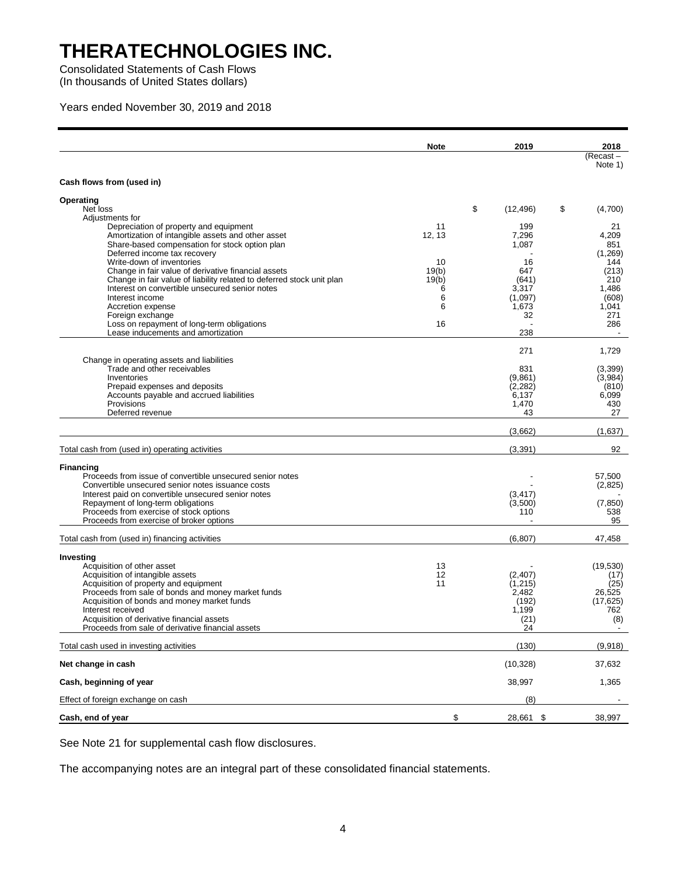Consolidated Statements of Cash Flows (In thousands of United States dollars)

Years ended November 30, 2019 and 2018

|                                                                               | Note   | 2019            | 2018                |
|-------------------------------------------------------------------------------|--------|-----------------|---------------------|
|                                                                               |        |                 | (Recast-<br>Note 1) |
| Cash flows from (used in)                                                     |        |                 |                     |
| <b>Operating</b>                                                              |        |                 |                     |
| Net loss<br>Adjustments for                                                   |        | \$<br>(12, 496) | \$<br>(4,700)       |
| Depreciation of property and equipment                                        | 11     | 199             | 21                  |
| Amortization of intangible assets and other asset                             | 12, 13 | 7,296           | 4,209               |
| Share-based compensation for stock option plan                                |        | 1,087           | 851                 |
| Deferred income tax recovery                                                  |        |                 | (1,269)             |
| Write-down of inventories                                                     | 10     | 16              | 144                 |
| Change in fair value of derivative financial assets                           | 19(b)  | 647             | (213)               |
| Change in fair value of liability related to deferred stock unit plan         | 19(b)  | (641)           | 210                 |
| Interest on convertible unsecured senior notes                                | 6      | 3,317           | 1,486               |
| Interest income                                                               | 6      | (1,097)         | (608)               |
| Accretion expense                                                             | 6      | 1,673           | 1,041               |
| Foreign exchange<br>Loss on repayment of long-term obligations                | 16     | 32              | 271<br>286          |
| Lease inducements and amortization                                            |        | 238             |                     |
|                                                                               |        | 271             | 1,729               |
| Change in operating assets and liabilities                                    |        |                 |                     |
| Trade and other receivables<br>Inventories                                    |        | 831<br>(9,861)  | (3,399)<br>(3,984)  |
| Prepaid expenses and deposits                                                 |        | (2, 282)        | (810)               |
| Accounts payable and accrued liabilities                                      |        | 6,137           | 6,099               |
| Provisions                                                                    |        | 1,470           | 430                 |
| Deferred revenue                                                              |        | 43              | 27                  |
|                                                                               |        | (3,662)         | (1,637)             |
| Total cash from (used in) operating activities                                |        | (3, 391)        | 92                  |
|                                                                               |        |                 |                     |
| <b>Financing</b><br>Proceeds from issue of convertible unsecured senior notes |        |                 |                     |
| Convertible unsecured senior notes issuance costs                             |        |                 | 57,500<br>(2,825)   |
| Interest paid on convertible unsecured senior notes                           |        | (3, 417)        |                     |
| Repayment of long-term obligations                                            |        | (3,500)         | (7, 850)            |
| Proceeds from exercise of stock options                                       |        | 110             | 538                 |
| Proceeds from exercise of broker options                                      |        |                 | 95                  |
| Total cash from (used in) financing activities                                |        | (6, 807)        | 47,458              |
|                                                                               |        |                 |                     |
| Investing<br>Acquisition of other asset                                       | 13     |                 | (19,530)            |
| Acquisition of intangible assets                                              | 12     | (2,407)         | (17)                |
| Acquisition of property and equipment                                         | 11     | (1,215)         | (25)                |
| Proceeds from sale of bonds and money market funds                            |        | 2,482           | 26,525              |
| Acquisition of bonds and money market funds                                   |        | (192)           | (17, 625)           |
| Interest received                                                             |        | 1,199           | 762                 |
| Acquisition of derivative financial assets                                    |        | (21)            | (8)                 |
| Proceeds from sale of derivative financial assets                             |        | 24              |                     |
| Total cash used in investing activities                                       |        | (130)           | (9,918)             |
| Net change in cash                                                            |        | (10, 328)       | 37,632              |
| Cash, beginning of year                                                       |        | 38,997          | 1,365               |
| Effect of foreign exchange on cash                                            |        | (8)             |                     |
| Cash, end of year                                                             | \$     | 28,661 \$       | 38,997              |

See Note 21 for supplemental cash flow disclosures.

The accompanying notes are an integral part of these consolidated financial statements.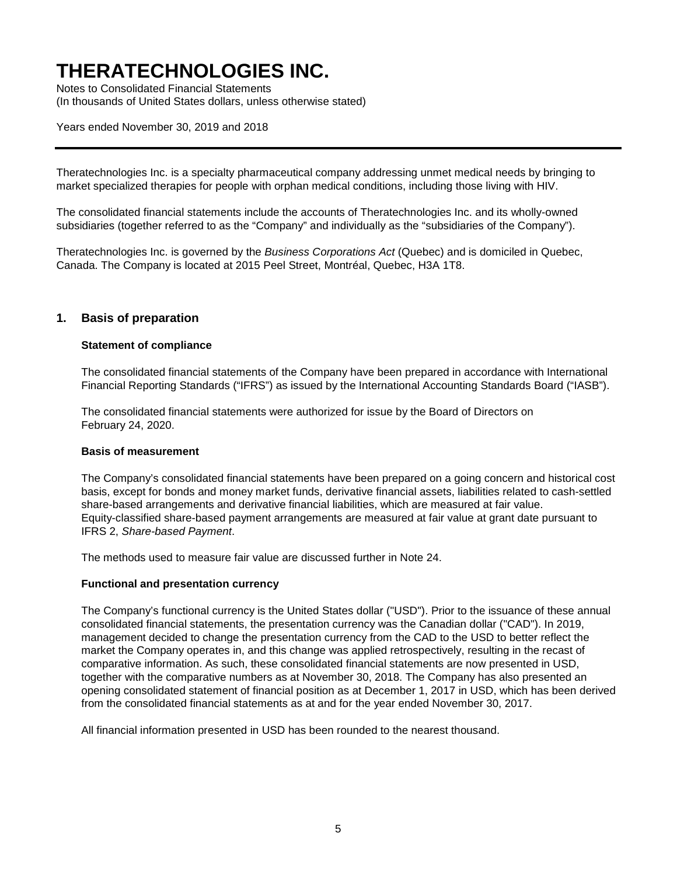Notes to Consolidated Financial Statements (In thousands of United States dollars, unless otherwise stated)

Years ended November 30, 2019 and 2018

Theratechnologies Inc. is a specialty pharmaceutical company addressing unmet medical needs by bringing to market specialized therapies for people with orphan medical conditions, including those living with HIV.

The consolidated financial statements include the accounts of Theratechnologies Inc. and its wholly-owned subsidiaries (together referred to as the "Company" and individually as the "subsidiaries of the Company").

Theratechnologies Inc. is governed by the *Business Corporations Act* (Quebec) and is domiciled in Quebec, Canada. The Company is located at 2015 Peel Street, Montréal, Quebec, H3A 1T8.

### **1. Basis of preparation**

### **Statement of compliance**

The consolidated financial statements of the Company have been prepared in accordance with International Financial Reporting Standards ("IFRS") as issued by the International Accounting Standards Board ("IASB").

The consolidated financial statements were authorized for issue by the Board of Directors on February 24, 2020.

#### **Basis of measurement**

The Company's consolidated financial statements have been prepared on a going concern and historical cost basis, except for bonds and money market funds, derivative financial assets, liabilities related to cash-settled share-based arrangements and derivative financial liabilities, which are measured at fair value. Equity-classified share-based payment arrangements are measured at fair value at grant date pursuant to IFRS 2, *Share-based Payment*.

The methods used to measure fair value are discussed further in Note 24.

#### **Functional and presentation currency**

The Company's functional currency is the United States dollar ("USD"). Prior to the issuance of these annual consolidated financial statements, the presentation currency was the Canadian dollar ("CAD"). In 2019, management decided to change the presentation currency from the CAD to the USD to better reflect the market the Company operates in, and this change was applied retrospectively, resulting in the recast of comparative information. As such, these consolidated financial statements are now presented in USD, together with the comparative numbers as at November 30, 2018. The Company has also presented an opening consolidated statement of financial position as at December 1, 2017 in USD, which has been derived from the consolidated financial statements as at and for the year ended November 30, 2017.

All financial information presented in USD has been rounded to the nearest thousand.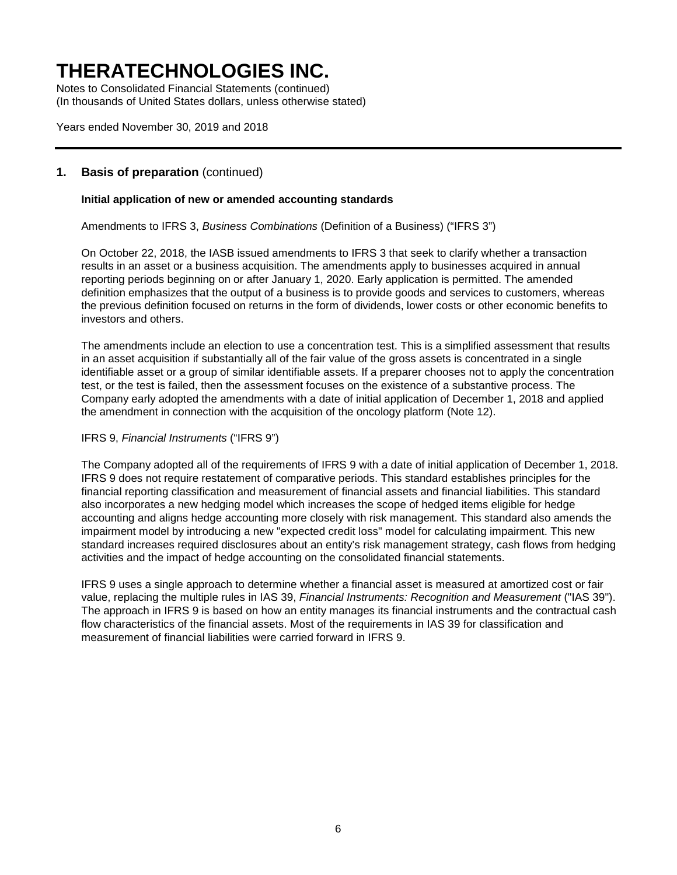Notes to Consolidated Financial Statements (continued) (In thousands of United States dollars, unless otherwise stated)

Years ended November 30, 2019 and 2018

## **1.** Basis of preparation (continued)

### **Initial application of new or amended accounting standards**

Amendments to IFRS 3, *Business Combinations* (Definition of a Business) ("IFRS 3")

On October 22, 2018, the IASB issued amendments to IFRS 3 that seek to clarify whether a transaction results in an asset or a business acquisition. The amendments apply to businesses acquired in annual reporting periods beginning on or after January 1, 2020. Early application is permitted. The amended definition emphasizes that the output of a business is to provide goods and services to customers, whereas the previous definition focused on returns in the form of dividends, lower costs or other economic benefits to investors and others.

The amendments include an election to use a concentration test. This is a simplified assessment that results in an asset acquisition if substantially all of the fair value of the gross assets is concentrated in a single identifiable asset or a group of similar identifiable assets. If a preparer chooses not to apply the concentration test, or the test is failed, then the assessment focuses on the existence of a substantive process. The Company early adopted the amendments with a date of initial application of December 1, 2018 and applied the amendment in connection with the acquisition of the oncology platform (Note 12).

### IFRS 9, *Financial Instruments* ("IFRS 9")

The Company adopted all of the requirements of IFRS 9 with a date of initial application of December 1, 2018. IFRS 9 does not require restatement of comparative periods. This standard establishes principles for the financial reporting classification and measurement of financial assets and financial liabilities. This standard also incorporates a new hedging model which increases the scope of hedged items eligible for hedge accounting and aligns hedge accounting more closely with risk management. This standard also amends the impairment model by introducing a new "expected credit loss" model for calculating impairment. This new standard increases required disclosures about an entity's risk management strategy, cash flows from hedging activities and the impact of hedge accounting on the consolidated financial statements.

IFRS 9 uses a single approach to determine whether a financial asset is measured at amortized cost or fair value, replacing the multiple rules in IAS 39, *Financial Instruments: Recognition and Measurement* ("IAS 39"). The approach in IFRS 9 is based on how an entity manages its financial instruments and the contractual cash flow characteristics of the financial assets. Most of the requirements in IAS 39 for classification and measurement of financial liabilities were carried forward in IFRS 9.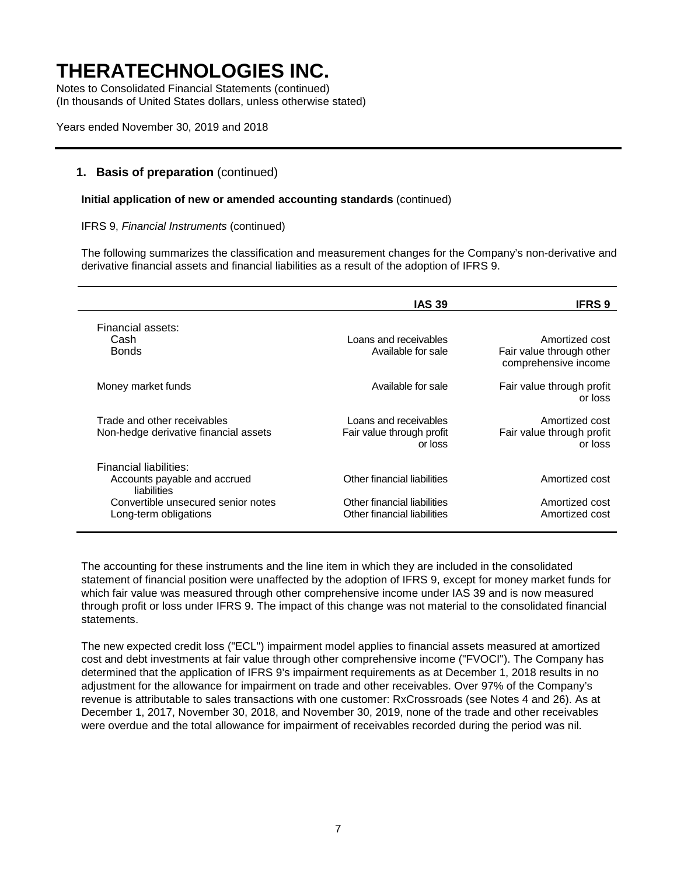Notes to Consolidated Financial Statements (continued) (In thousands of United States dollars, unless otherwise stated)

Years ended November 30, 2019 and 2018

## **1. Basis of preparation** (continued)

#### **Initial application of new or amended accounting standards** (continued)

#### IFRS 9, *Financial Instruments* (continued)

The following summarizes the classification and measurement changes for the Company's non-derivative and derivative financial assets and financial liabilities as a result of the adoption of IFRS 9.

|                                                                                                                                      | <b>IAS 39</b>                                                                             | <b>IFRS 9</b>                                                      |
|--------------------------------------------------------------------------------------------------------------------------------------|-------------------------------------------------------------------------------------------|--------------------------------------------------------------------|
| Financial assets:<br>Cash<br><b>Bonds</b>                                                                                            | Loans and receivables<br>Available for sale                                               | Amortized cost<br>Fair value through other<br>comprehensive income |
| Money market funds                                                                                                                   | Available for sale                                                                        | Fair value through profit<br>or loss                               |
| Trade and other receivables<br>Non-hedge derivative financial assets                                                                 | Loans and receivables<br>Fair value through profit<br>or loss                             | Amortized cost<br>Fair value through profit<br>or loss             |
| Financial liabilities:<br>Accounts payable and accrued<br>liabilities<br>Convertible unsecured senior notes<br>Long-term obligations | Other financial liabilities<br>Other financial liabilities<br>Other financial liabilities | Amortized cost<br>Amortized cost<br>Amortized cost                 |

The accounting for these instruments and the line item in which they are included in the consolidated statement of financial position were unaffected by the adoption of IFRS 9, except for money market funds for which fair value was measured through other comprehensive income under IAS 39 and is now measured through profit or loss under IFRS 9. The impact of this change was not material to the consolidated financial statements.

The new expected credit loss ("ECL") impairment model applies to financial assets measured at amortized cost and debt investments at fair value through other comprehensive income ("FVOCI"). The Company has determined that the application of IFRS 9's impairment requirements as at December 1, 2018 results in no adjustment for the allowance for impairment on trade and other receivables. Over 97% of the Company's revenue is attributable to sales transactions with one customer: RxCrossroads (see Notes 4 and 26). As at December 1, 2017, November 30, 2018, and November 30, 2019, none of the trade and other receivables were overdue and the total allowance for impairment of receivables recorded during the period was nil.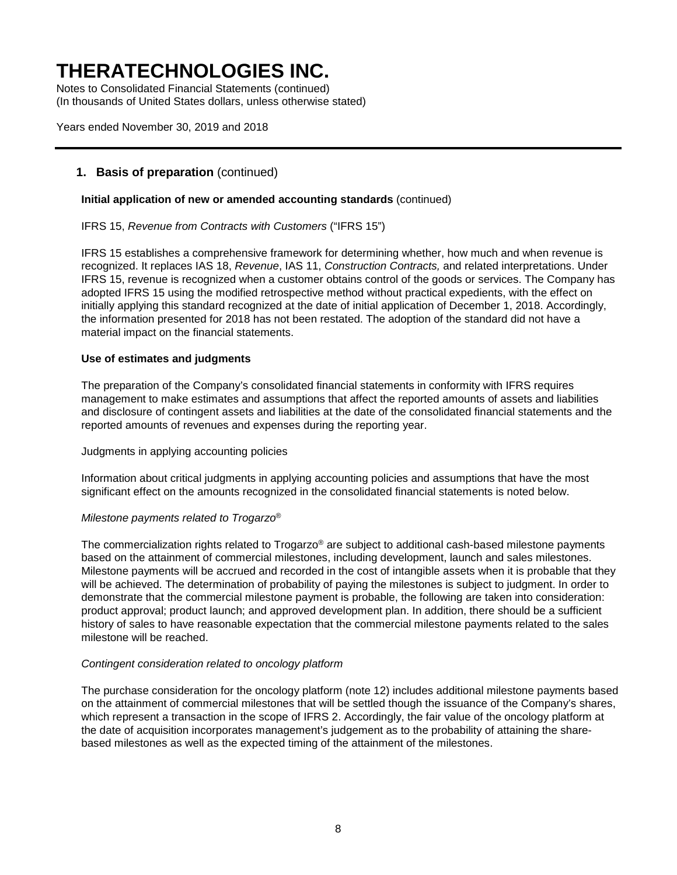Notes to Consolidated Financial Statements (continued) (In thousands of United States dollars, unless otherwise stated)

Years ended November 30, 2019 and 2018

## **1. Basis of preparation** (continued)

#### **Initial application of new or amended accounting standards** (continued)

### IFRS 15, *Revenue from Contracts with Customers* ("IFRS 15")

IFRS 15 establishes a comprehensive framework for determining whether, how much and when revenue is recognized. It replaces IAS 18, *Revenue*, IAS 11, *Construction Contracts,* and related interpretations. Under IFRS 15, revenue is recognized when a customer obtains control of the goods or services. The Company has adopted IFRS 15 using the modified retrospective method without practical expedients, with the effect on initially applying this standard recognized at the date of initial application of December 1, 2018. Accordingly, the information presented for 2018 has not been restated. The adoption of the standard did not have a material impact on the financial statements.

### **Use of estimates and judgments**

The preparation of the Company's consolidated financial statements in conformity with IFRS requires management to make estimates and assumptions that affect the reported amounts of assets and liabilities and disclosure of contingent assets and liabilities at the date of the consolidated financial statements and the reported amounts of revenues and expenses during the reporting year.

#### Judgments in applying accounting policies

Information about critical judgments in applying accounting policies and assumptions that have the most significant effect on the amounts recognized in the consolidated financial statements is noted below.

#### *Milestone payments related to Trogarzo*®

The commercialization rights related to Trogarzo<sup>®</sup> are subject to additional cash-based milestone payments based on the attainment of commercial milestones, including development, launch and sales milestones. Milestone payments will be accrued and recorded in the cost of intangible assets when it is probable that they will be achieved. The determination of probability of paying the milestones is subject to judgment. In order to demonstrate that the commercial milestone payment is probable, the following are taken into consideration: product approval; product launch; and approved development plan. In addition, there should be a sufficient history of sales to have reasonable expectation that the commercial milestone payments related to the sales milestone will be reached.

#### *Contingent consideration related to oncology platform*

The purchase consideration for the oncology platform (note 12) includes additional milestone payments based on the attainment of commercial milestones that will be settled though the issuance of the Company's shares, which represent a transaction in the scope of IFRS 2. Accordingly, the fair value of the oncology platform at the date of acquisition incorporates management's judgement as to the probability of attaining the sharebased milestones as well as the expected timing of the attainment of the milestones.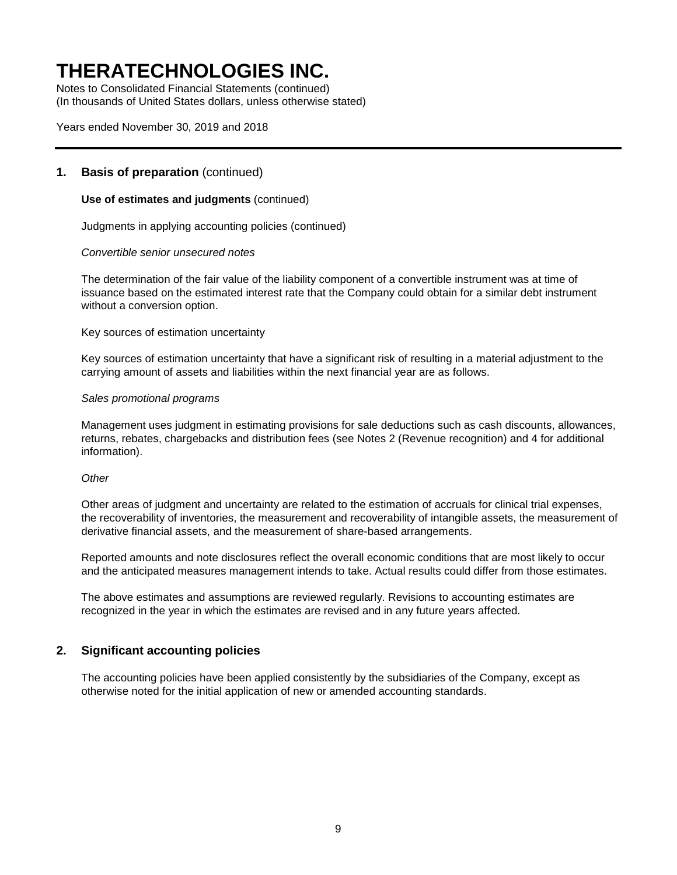Notes to Consolidated Financial Statements (continued) (In thousands of United States dollars, unless otherwise stated)

Years ended November 30, 2019 and 2018

### **1. Basis of preparation** (continued)

### **Use of estimates and judgments** (continued)

Judgments in applying accounting policies (continued)

#### *Convertible senior unsecured notes*

The determination of the fair value of the liability component of a convertible instrument was at time of issuance based on the estimated interest rate that the Company could obtain for a similar debt instrument without a conversion option.

#### Key sources of estimation uncertainty

Key sources of estimation uncertainty that have a significant risk of resulting in a material adjustment to the carrying amount of assets and liabilities within the next financial year are as follows.

#### *Sales promotional programs*

Management uses judgment in estimating provisions for sale deductions such as cash discounts, allowances, returns, rebates, chargebacks and distribution fees (see Notes 2 (Revenue recognition) and 4 for additional information).

#### *Other*

Other areas of judgment and uncertainty are related to the estimation of accruals for clinical trial expenses, the recoverability of inventories, the measurement and recoverability of intangible assets, the measurement of derivative financial assets, and the measurement of share-based arrangements.

Reported amounts and note disclosures reflect the overall economic conditions that are most likely to occur and the anticipated measures management intends to take. Actual results could differ from those estimates.

The above estimates and assumptions are reviewed regularly. Revisions to accounting estimates are recognized in the year in which the estimates are revised and in any future years affected.

### **2. Significant accounting policies**

The accounting policies have been applied consistently by the subsidiaries of the Company, except as otherwise noted for the initial application of new or amended accounting standards.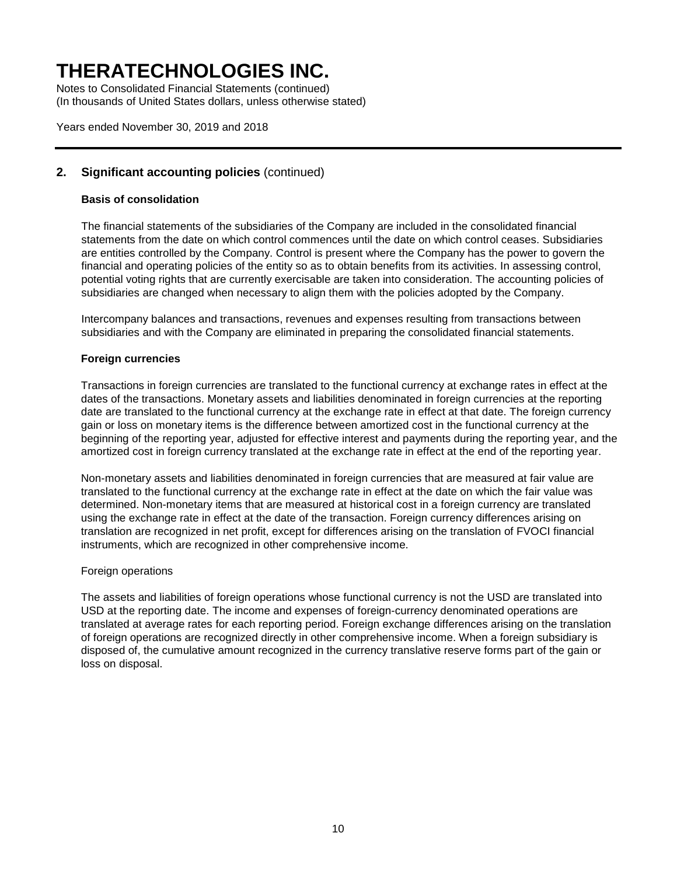Notes to Consolidated Financial Statements (continued) (In thousands of United States dollars, unless otherwise stated)

Years ended November 30, 2019 and 2018

## **2. Significant accounting policies** (continued)

### **Basis of consolidation**

The financial statements of the subsidiaries of the Company are included in the consolidated financial statements from the date on which control commences until the date on which control ceases. Subsidiaries are entities controlled by the Company. Control is present where the Company has the power to govern the financial and operating policies of the entity so as to obtain benefits from its activities. In assessing control, potential voting rights that are currently exercisable are taken into consideration. The accounting policies of subsidiaries are changed when necessary to align them with the policies adopted by the Company.

Intercompany balances and transactions, revenues and expenses resulting from transactions between subsidiaries and with the Company are eliminated in preparing the consolidated financial statements.

### **Foreign currencies**

Transactions in foreign currencies are translated to the functional currency at exchange rates in effect at the dates of the transactions. Monetary assets and liabilities denominated in foreign currencies at the reporting date are translated to the functional currency at the exchange rate in effect at that date. The foreign currency gain or loss on monetary items is the difference between amortized cost in the functional currency at the beginning of the reporting year, adjusted for effective interest and payments during the reporting year, and the amortized cost in foreign currency translated at the exchange rate in effect at the end of the reporting year.

Non-monetary assets and liabilities denominated in foreign currencies that are measured at fair value are translated to the functional currency at the exchange rate in effect at the date on which the fair value was determined. Non-monetary items that are measured at historical cost in a foreign currency are translated using the exchange rate in effect at the date of the transaction. Foreign currency differences arising on translation are recognized in net profit, except for differences arising on the translation of FVOCI financial instruments, which are recognized in other comprehensive income.

#### Foreign operations

The assets and liabilities of foreign operations whose functional currency is not the USD are translated into USD at the reporting date. The income and expenses of foreign-currency denominated operations are translated at average rates for each reporting period. Foreign exchange differences arising on the translation of foreign operations are recognized directly in other comprehensive income. When a foreign subsidiary is disposed of, the cumulative amount recognized in the currency translative reserve forms part of the gain or loss on disposal.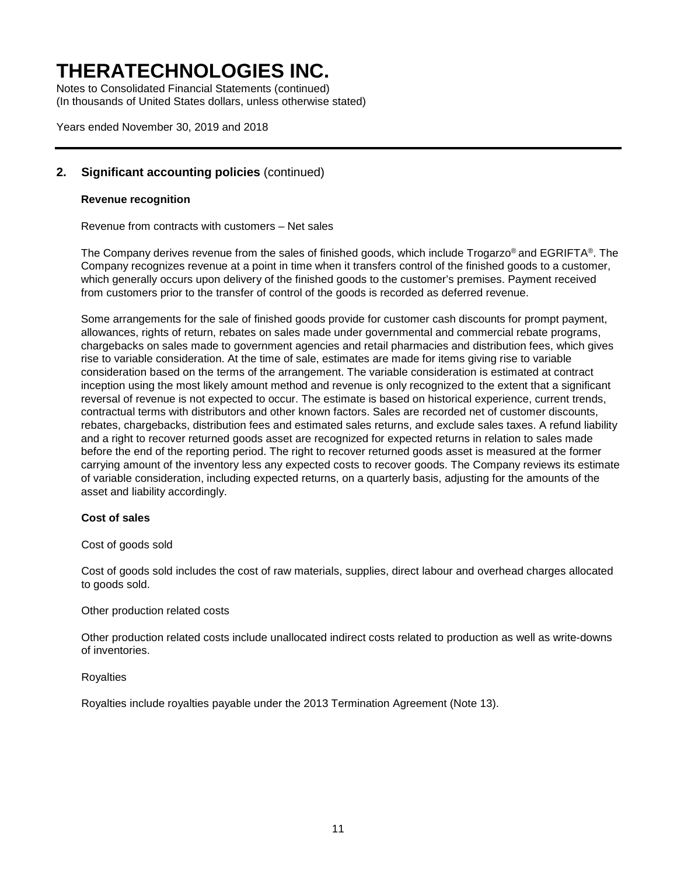Notes to Consolidated Financial Statements (continued) (In thousands of United States dollars, unless otherwise stated)

Years ended November 30, 2019 and 2018

## **2. Significant accounting policies** (continued)

#### **Revenue recognition**

Revenue from contracts with customers – Net sales

The Company derives revenue from the sales of finished goods, which include Trogarzo® and EGRIFTA®. The Company recognizes revenue at a point in time when it transfers control of the finished goods to a customer, which generally occurs upon delivery of the finished goods to the customer's premises. Payment received from customers prior to the transfer of control of the goods is recorded as deferred revenue.

Some arrangements for the sale of finished goods provide for customer cash discounts for prompt payment, allowances, rights of return, rebates on sales made under governmental and commercial rebate programs, chargebacks on sales made to government agencies and retail pharmacies and distribution fees, which gives rise to variable consideration. At the time of sale, estimates are made for items giving rise to variable consideration based on the terms of the arrangement. The variable consideration is estimated at contract inception using the most likely amount method and revenue is only recognized to the extent that a significant reversal of revenue is not expected to occur. The estimate is based on historical experience, current trends, contractual terms with distributors and other known factors. Sales are recorded net of customer discounts, rebates, chargebacks, distribution fees and estimated sales returns, and exclude sales taxes. A refund liability and a right to recover returned goods asset are recognized for expected returns in relation to sales made before the end of the reporting period. The right to recover returned goods asset is measured at the former carrying amount of the inventory less any expected costs to recover goods. The Company reviews its estimate of variable consideration, including expected returns, on a quarterly basis, adjusting for the amounts of the asset and liability accordingly.

#### **Cost of sales**

Cost of goods sold

Cost of goods sold includes the cost of raw materials, supplies, direct labour and overhead charges allocated to goods sold.

#### Other production related costs

Other production related costs include unallocated indirect costs related to production as well as write-downs of inventories.

#### **Royalties**

Royalties include royalties payable under the 2013 Termination Agreement (Note 13).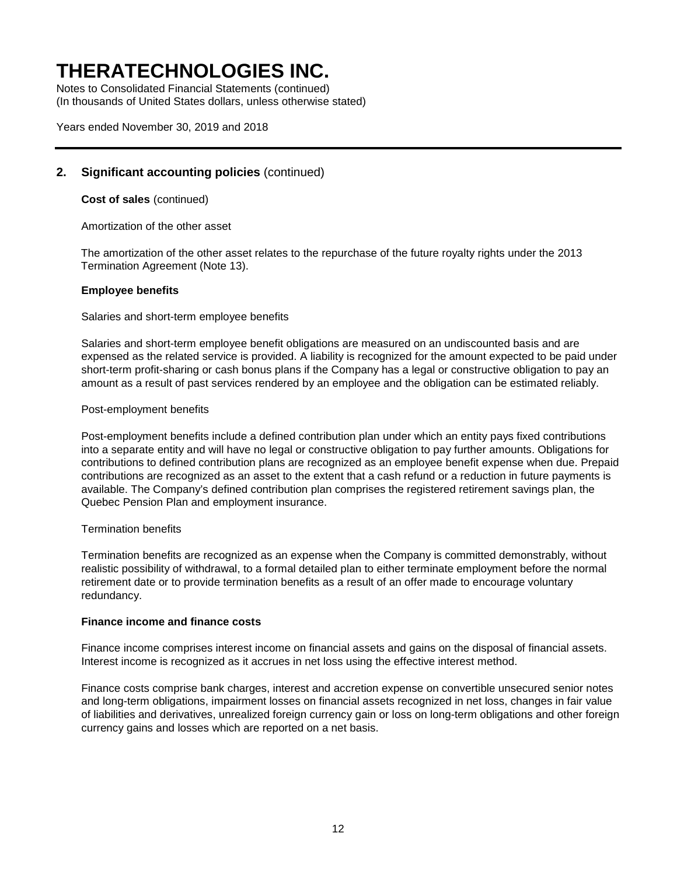Notes to Consolidated Financial Statements (continued) (In thousands of United States dollars, unless otherwise stated)

Years ended November 30, 2019 and 2018

## **2. Significant accounting policies** (continued)

**Cost of sales** (continued)

Amortization of the other asset

The amortization of the other asset relates to the repurchase of the future royalty rights under the 2013 Termination Agreement (Note 13).

### **Employee benefits**

Salaries and short-term employee benefits

Salaries and short-term employee benefit obligations are measured on an undiscounted basis and are expensed as the related service is provided. A liability is recognized for the amount expected to be paid under short-term profit-sharing or cash bonus plans if the Company has a legal or constructive obligation to pay an amount as a result of past services rendered by an employee and the obligation can be estimated reliably.

### Post-employment benefits

Post-employment benefits include a defined contribution plan under which an entity pays fixed contributions into a separate entity and will have no legal or constructive obligation to pay further amounts. Obligations for contributions to defined contribution plans are recognized as an employee benefit expense when due. Prepaid contributions are recognized as an asset to the extent that a cash refund or a reduction in future payments is available. The Company's defined contribution plan comprises the registered retirement savings plan, the Quebec Pension Plan and employment insurance.

#### Termination benefits

Termination benefits are recognized as an expense when the Company is committed demonstrably, without realistic possibility of withdrawal, to a formal detailed plan to either terminate employment before the normal retirement date or to provide termination benefits as a result of an offer made to encourage voluntary redundancy.

#### **Finance income and finance costs**

Finance income comprises interest income on financial assets and gains on the disposal of financial assets. Interest income is recognized as it accrues in net loss using the effective interest method.

Finance costs comprise bank charges, interest and accretion expense on convertible unsecured senior notes and long-term obligations, impairment losses on financial assets recognized in net loss, changes in fair value of liabilities and derivatives, unrealized foreign currency gain or loss on long-term obligations and other foreign currency gains and losses which are reported on a net basis.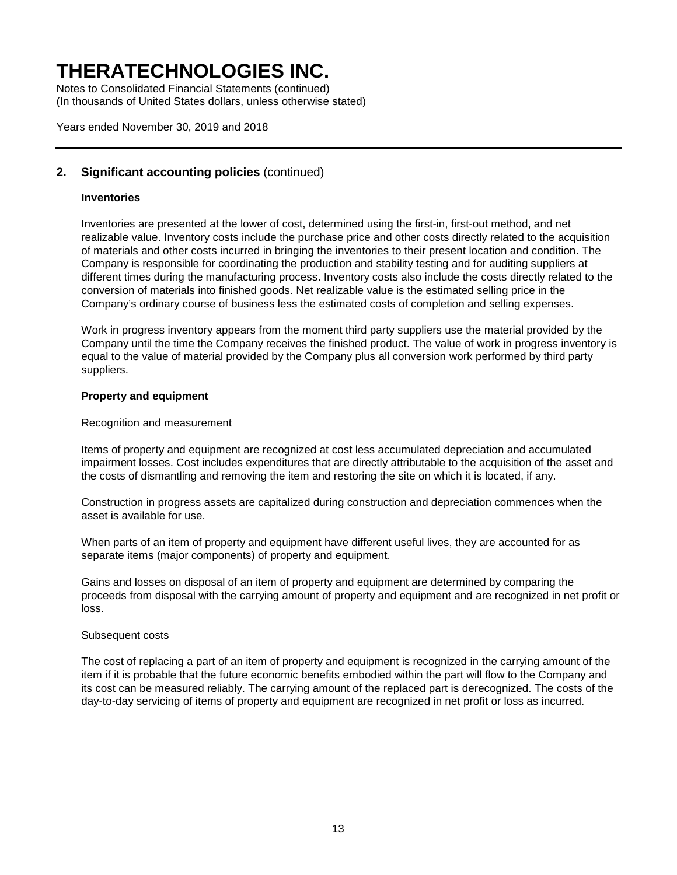Notes to Consolidated Financial Statements (continued) (In thousands of United States dollars, unless otherwise stated)

Years ended November 30, 2019 and 2018

## **2. Significant accounting policies** (continued)

#### **Inventories**

Inventories are presented at the lower of cost, determined using the first-in, first-out method, and net realizable value. Inventory costs include the purchase price and other costs directly related to the acquisition of materials and other costs incurred in bringing the inventories to their present location and condition. The Company is responsible for coordinating the production and stability testing and for auditing suppliers at different times during the manufacturing process. Inventory costs also include the costs directly related to the conversion of materials into finished goods. Net realizable value is the estimated selling price in the Company's ordinary course of business less the estimated costs of completion and selling expenses.

Work in progress inventory appears from the moment third party suppliers use the material provided by the Company until the time the Company receives the finished product. The value of work in progress inventory is equal to the value of material provided by the Company plus all conversion work performed by third party suppliers.

### **Property and equipment**

#### Recognition and measurement

Items of property and equipment are recognized at cost less accumulated depreciation and accumulated impairment losses. Cost includes expenditures that are directly attributable to the acquisition of the asset and the costs of dismantling and removing the item and restoring the site on which it is located, if any.

Construction in progress assets are capitalized during construction and depreciation commences when the asset is available for use.

When parts of an item of property and equipment have different useful lives, they are accounted for as separate items (major components) of property and equipment.

Gains and losses on disposal of an item of property and equipment are determined by comparing the proceeds from disposal with the carrying amount of property and equipment and are recognized in net profit or loss.

#### Subsequent costs

The cost of replacing a part of an item of property and equipment is recognized in the carrying amount of the item if it is probable that the future economic benefits embodied within the part will flow to the Company and its cost can be measured reliably. The carrying amount of the replaced part is derecognized. The costs of the day-to-day servicing of items of property and equipment are recognized in net profit or loss as incurred.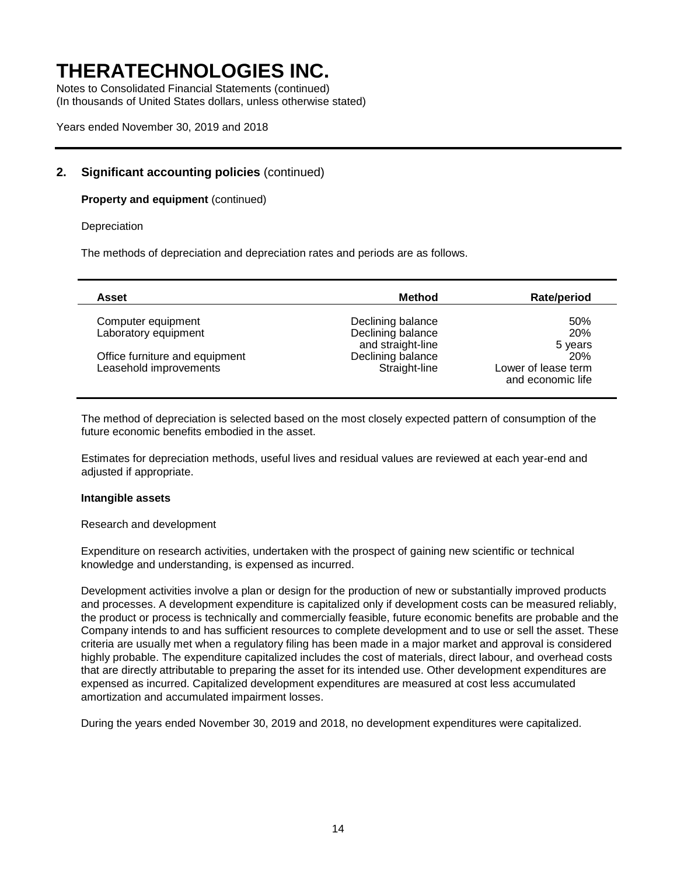Notes to Consolidated Financial Statements (continued) (In thousands of United States dollars, unless otherwise stated)

Years ended November 30, 2019 and 2018

## **2. Significant accounting policies** (continued)

**Property and equipment** (continued)

### **Depreciation**

The methods of depreciation and depreciation rates and periods are as follows.

| Asset                          | <b>Method</b>     | Rate/period                              |
|--------------------------------|-------------------|------------------------------------------|
| Computer equipment             | Declining balance | 50%                                      |
| Laboratory equipment           | Declining balance | <b>20%</b>                               |
|                                | and straight-line | 5 years                                  |
| Office furniture and equipment | Declining balance | <b>20%</b>                               |
| Leasehold improvements         | Straight-line     | Lower of lease term<br>and economic life |

The method of depreciation is selected based on the most closely expected pattern of consumption of the future economic benefits embodied in the asset.

Estimates for depreciation methods, useful lives and residual values are reviewed at each year-end and adjusted if appropriate.

#### **Intangible assets**

Research and development

Expenditure on research activities, undertaken with the prospect of gaining new scientific or technical knowledge and understanding, is expensed as incurred.

Development activities involve a plan or design for the production of new or substantially improved products and processes. A development expenditure is capitalized only if development costs can be measured reliably, the product or process is technically and commercially feasible, future economic benefits are probable and the Company intends to and has sufficient resources to complete development and to use or sell the asset. These criteria are usually met when a regulatory filing has been made in a major market and approval is considered highly probable. The expenditure capitalized includes the cost of materials, direct labour, and overhead costs that are directly attributable to preparing the asset for its intended use. Other development expenditures are expensed as incurred. Capitalized development expenditures are measured at cost less accumulated amortization and accumulated impairment losses.

During the years ended November 30, 2019 and 2018, no development expenditures were capitalized.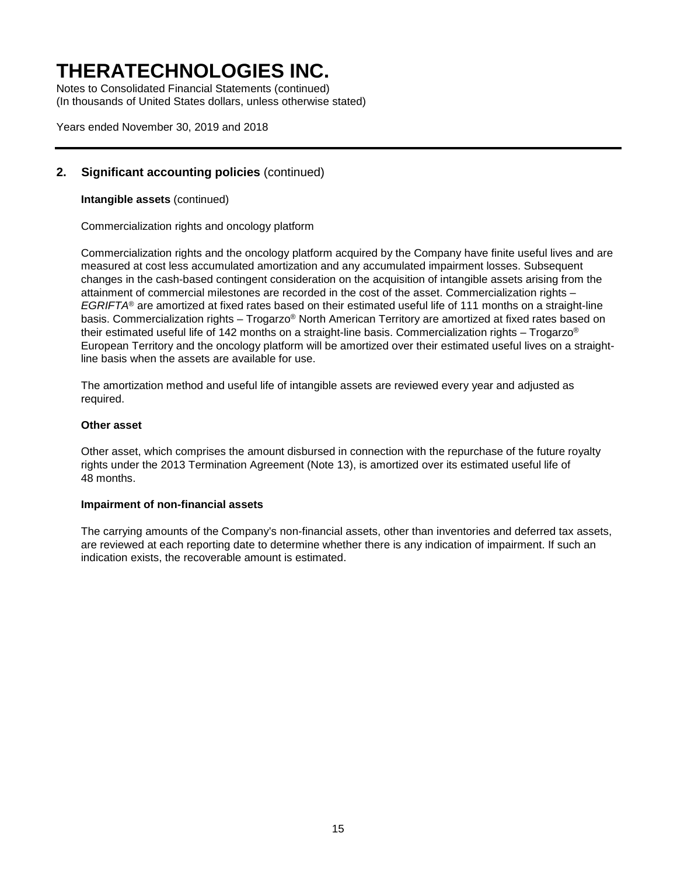Notes to Consolidated Financial Statements (continued) (In thousands of United States dollars, unless otherwise stated)

Years ended November 30, 2019 and 2018

## **2. Significant accounting policies** (continued)

#### **Intangible assets** (continued)

Commercialization rights and oncology platform

Commercialization rights and the oncology platform acquired by the Company have finite useful lives and are measured at cost less accumulated amortization and any accumulated impairment losses. Subsequent changes in the cash-based contingent consideration on the acquisition of intangible assets arising from the attainment of commercial milestones are recorded in the cost of the asset. Commercialization rights – *EGRIFTA*® are amortized at fixed rates based on their estimated useful life of 111 months on a straight-line basis. Commercialization rights – Trogarzo® North American Territory are amortized at fixed rates based on their estimated useful life of 142 months on a straight-line basis. Commercialization rights – Trogarzo® European Territory and the oncology platform will be amortized over their estimated useful lives on a straightline basis when the assets are available for use.

The amortization method and useful life of intangible assets are reviewed every year and adjusted as required.

### **Other asset**

Other asset, which comprises the amount disbursed in connection with the repurchase of the future royalty rights under the 2013 Termination Agreement (Note 13), is amortized over its estimated useful life of 48 months.

#### **Impairment of non-financial assets**

The carrying amounts of the Company's non-financial assets, other than inventories and deferred tax assets, are reviewed at each reporting date to determine whether there is any indication of impairment. If such an indication exists, the recoverable amount is estimated.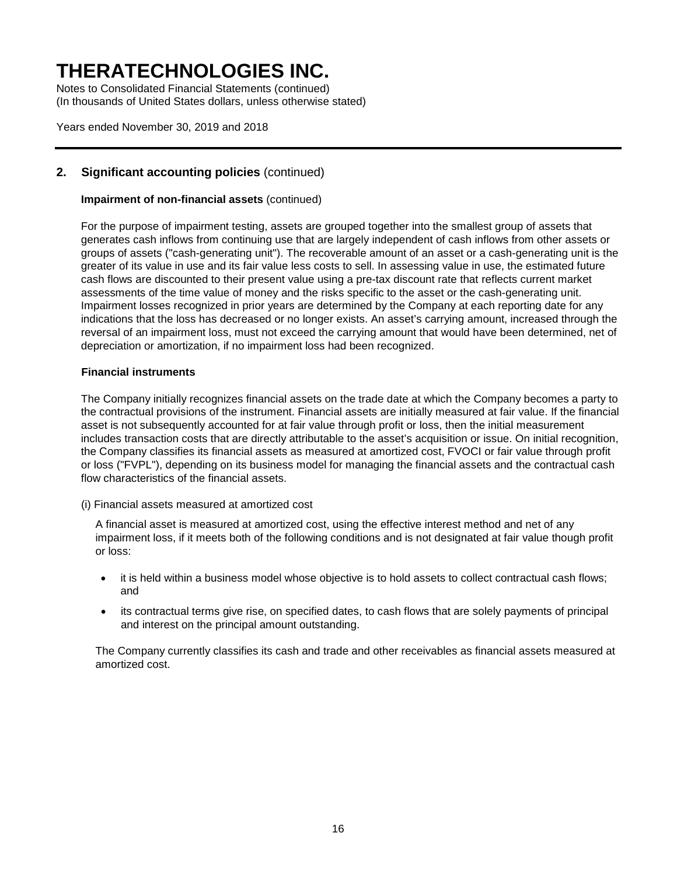Notes to Consolidated Financial Statements (continued) (In thousands of United States dollars, unless otherwise stated)

Years ended November 30, 2019 and 2018

## **2. Significant accounting policies** (continued)

### **Impairment of non-financial assets** (continued)

For the purpose of impairment testing, assets are grouped together into the smallest group of assets that generates cash inflows from continuing use that are largely independent of cash inflows from other assets or groups of assets ("cash-generating unit"). The recoverable amount of an asset or a cash-generating unit is the greater of its value in use and its fair value less costs to sell. In assessing value in use, the estimated future cash flows are discounted to their present value using a pre-tax discount rate that reflects current market assessments of the time value of money and the risks specific to the asset or the cash-generating unit. Impairment losses recognized in prior years are determined by the Company at each reporting date for any indications that the loss has decreased or no longer exists. An asset's carrying amount, increased through the reversal of an impairment loss, must not exceed the carrying amount that would have been determined, net of depreciation or amortization, if no impairment loss had been recognized.

### **Financial instruments**

The Company initially recognizes financial assets on the trade date at which the Company becomes a party to the contractual provisions of the instrument. Financial assets are initially measured at fair value. If the financial asset is not subsequently accounted for at fair value through profit or loss, then the initial measurement includes transaction costs that are directly attributable to the asset's acquisition or issue. On initial recognition, the Company classifies its financial assets as measured at amortized cost, FVOCI or fair value through profit or loss ("FVPL"), depending on its business model for managing the financial assets and the contractual cash flow characteristics of the financial assets.

(i) Financial assets measured at amortized cost

A financial asset is measured at amortized cost, using the effective interest method and net of any impairment loss, if it meets both of the following conditions and is not designated at fair value though profit or loss:

- it is held within a business model whose objective is to hold assets to collect contractual cash flows; and
- its contractual terms give rise, on specified dates, to cash flows that are solely payments of principal and interest on the principal amount outstanding.

The Company currently classifies its cash and trade and other receivables as financial assets measured at amortized cost.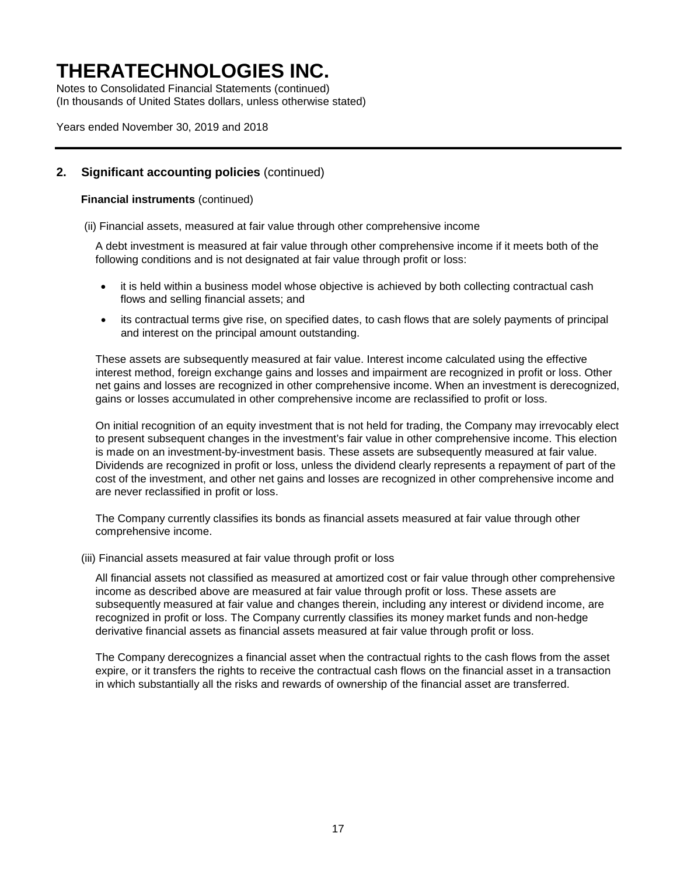Notes to Consolidated Financial Statements (continued) (In thousands of United States dollars, unless otherwise stated)

Years ended November 30, 2019 and 2018

### **2. Significant accounting policies** (continued)

#### **Financial instruments** (continued)

(ii) Financial assets, measured at fair value through other comprehensive income

A debt investment is measured at fair value through other comprehensive income if it meets both of the following conditions and is not designated at fair value through profit or loss:

- it is held within a business model whose objective is achieved by both collecting contractual cash flows and selling financial assets; and
- its contractual terms give rise, on specified dates, to cash flows that are solely payments of principal and interest on the principal amount outstanding.

These assets are subsequently measured at fair value. Interest income calculated using the effective interest method, foreign exchange gains and losses and impairment are recognized in profit or loss. Other net gains and losses are recognized in other comprehensive income. When an investment is derecognized, gains or losses accumulated in other comprehensive income are reclassified to profit or loss.

On initial recognition of an equity investment that is not held for trading, the Company may irrevocably elect to present subsequent changes in the investment's fair value in other comprehensive income. This election is made on an investment-by-investment basis. These assets are subsequently measured at fair value. Dividends are recognized in profit or loss, unless the dividend clearly represents a repayment of part of the cost of the investment, and other net gains and losses are recognized in other comprehensive income and are never reclassified in profit or loss.

The Company currently classifies its bonds as financial assets measured at fair value through other comprehensive income.

(iii) Financial assets measured at fair value through profit or loss

All financial assets not classified as measured at amortized cost or fair value through other comprehensive income as described above are measured at fair value through profit or loss. These assets are subsequently measured at fair value and changes therein, including any interest or dividend income, are recognized in profit or loss. The Company currently classifies its money market funds and non-hedge derivative financial assets as financial assets measured at fair value through profit or loss.

The Company derecognizes a financial asset when the contractual rights to the cash flows from the asset expire, or it transfers the rights to receive the contractual cash flows on the financial asset in a transaction in which substantially all the risks and rewards of ownership of the financial asset are transferred.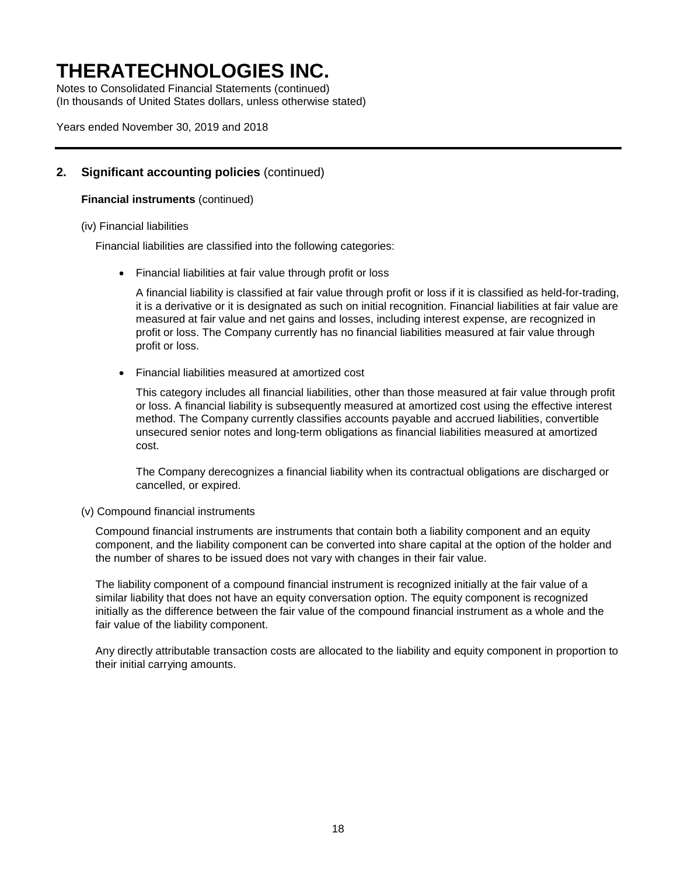Notes to Consolidated Financial Statements (continued) (In thousands of United States dollars, unless otherwise stated)

Years ended November 30, 2019 and 2018

## **2. Significant accounting policies** (continued)

#### **Financial instruments** (continued)

#### (iv) Financial liabilities

Financial liabilities are classified into the following categories:

Financial liabilities at fair value through profit or loss

A financial liability is classified at fair value through profit or loss if it is classified as held-for-trading, it is a derivative or it is designated as such on initial recognition. Financial liabilities at fair value are measured at fair value and net gains and losses, including interest expense, are recognized in profit or loss. The Company currently has no financial liabilities measured at fair value through profit or loss.

Financial liabilities measured at amortized cost

This category includes all financial liabilities, other than those measured at fair value through profit or loss. A financial liability is subsequently measured at amortized cost using the effective interest method. The Company currently classifies accounts payable and accrued liabilities, convertible unsecured senior notes and long-term obligations as financial liabilities measured at amortized cost.

The Company derecognizes a financial liability when its contractual obligations are discharged or cancelled, or expired.

(v) Compound financial instruments

Compound financial instruments are instruments that contain both a liability component and an equity component, and the liability component can be converted into share capital at the option of the holder and the number of shares to be issued does not vary with changes in their fair value.

The liability component of a compound financial instrument is recognized initially at the fair value of a similar liability that does not have an equity conversation option. The equity component is recognized initially as the difference between the fair value of the compound financial instrument as a whole and the fair value of the liability component.

Any directly attributable transaction costs are allocated to the liability and equity component in proportion to their initial carrying amounts.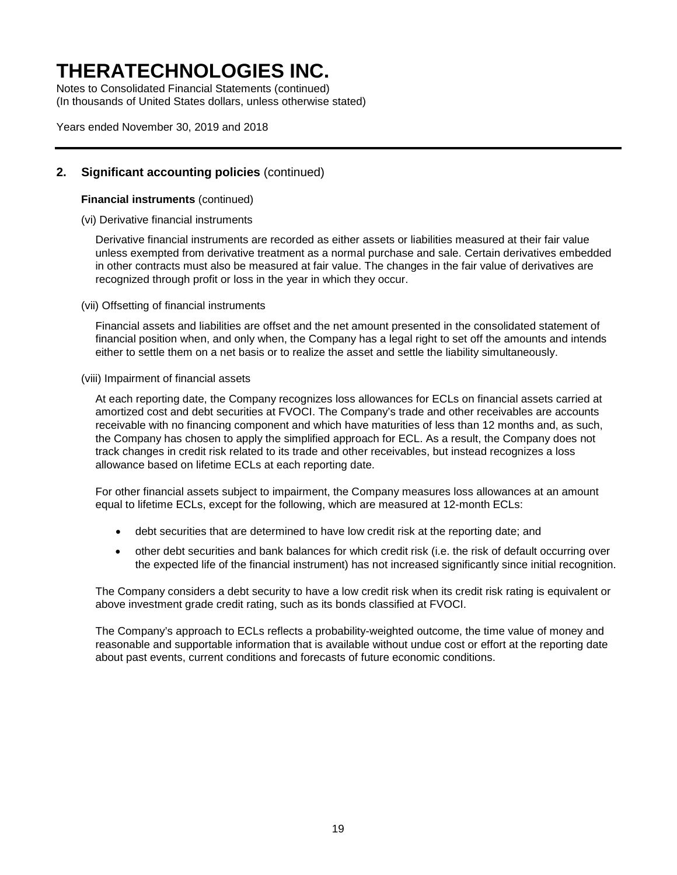Notes to Consolidated Financial Statements (continued) (In thousands of United States dollars, unless otherwise stated)

Years ended November 30, 2019 and 2018

## **2. Significant accounting policies** (continued)

#### **Financial instruments** (continued)

(vi) Derivative financial instruments

Derivative financial instruments are recorded as either assets or liabilities measured at their fair value unless exempted from derivative treatment as a normal purchase and sale. Certain derivatives embedded in other contracts must also be measured at fair value. The changes in the fair value of derivatives are recognized through profit or loss in the year in which they occur.

(vii) Offsetting of financial instruments

Financial assets and liabilities are offset and the net amount presented in the consolidated statement of financial position when, and only when, the Company has a legal right to set off the amounts and intends either to settle them on a net basis or to realize the asset and settle the liability simultaneously.

#### (viii) Impairment of financial assets

At each reporting date, the Company recognizes loss allowances for ECLs on financial assets carried at amortized cost and debt securities at FVOCI. The Company's trade and other receivables are accounts receivable with no financing component and which have maturities of less than 12 months and, as such, the Company has chosen to apply the simplified approach for ECL. As a result, the Company does not track changes in credit risk related to its trade and other receivables, but instead recognizes a loss allowance based on lifetime ECLs at each reporting date.

For other financial assets subject to impairment, the Company measures loss allowances at an amount equal to lifetime ECLs, except for the following, which are measured at 12-month ECLs:

- debt securities that are determined to have low credit risk at the reporting date; and
- other debt securities and bank balances for which credit risk (i.e. the risk of default occurring over the expected life of the financial instrument) has not increased significantly since initial recognition.

The Company considers a debt security to have a low credit risk when its credit risk rating is equivalent or above investment grade credit rating, such as its bonds classified at FVOCI.

The Company's approach to ECLs reflects a probability-weighted outcome, the time value of money and reasonable and supportable information that is available without undue cost or effort at the reporting date about past events, current conditions and forecasts of future economic conditions.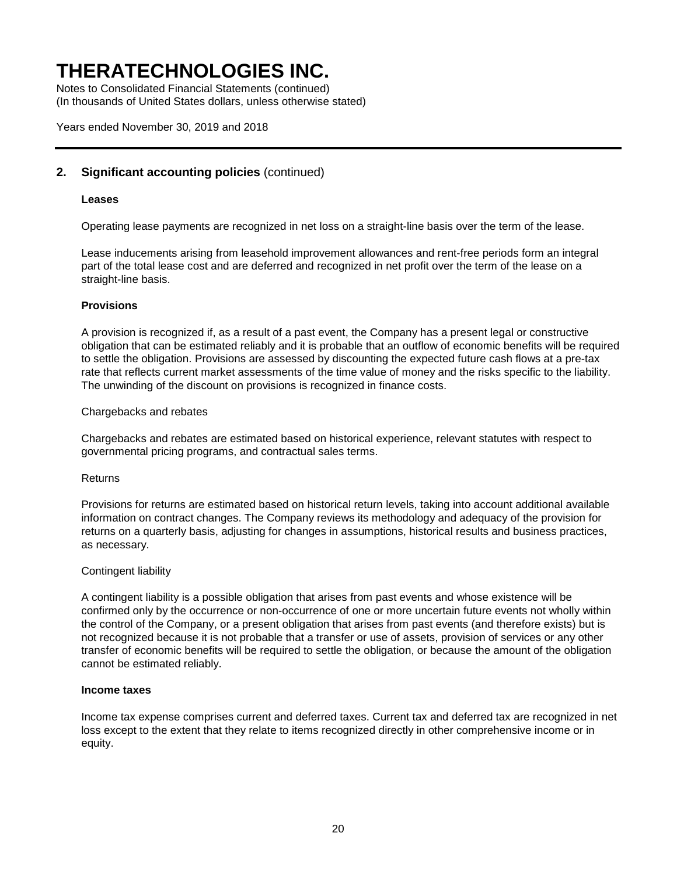Notes to Consolidated Financial Statements (continued) (In thousands of United States dollars, unless otherwise stated)

Years ended November 30, 2019 and 2018

## **2. Significant accounting policies** (continued)

### **Leases**

Operating lease payments are recognized in net loss on a straight-line basis over the term of the lease.

Lease inducements arising from leasehold improvement allowances and rent-free periods form an integral part of the total lease cost and are deferred and recognized in net profit over the term of the lease on a straight-line basis.

### **Provisions**

A provision is recognized if, as a result of a past event, the Company has a present legal or constructive obligation that can be estimated reliably and it is probable that an outflow of economic benefits will be required to settle the obligation. Provisions are assessed by discounting the expected future cash flows at a pre-tax rate that reflects current market assessments of the time value of money and the risks specific to the liability. The unwinding of the discount on provisions is recognized in finance costs.

#### Chargebacks and rebates

Chargebacks and rebates are estimated based on historical experience, relevant statutes with respect to governmental pricing programs, and contractual sales terms.

#### **Returns**

Provisions for returns are estimated based on historical return levels, taking into account additional available information on contract changes. The Company reviews its methodology and adequacy of the provision for returns on a quarterly basis, adjusting for changes in assumptions, historical results and business practices, as necessary.

### Contingent liability

A contingent liability is a possible obligation that arises from past events and whose existence will be confirmed only by the occurrence or non-occurrence of one or more uncertain future events not wholly within the control of the Company, or a present obligation that arises from past events (and therefore exists) but is not recognized because it is not probable that a transfer or use of assets, provision of services or any other transfer of economic benefits will be required to settle the obligation, or because the amount of the obligation cannot be estimated reliably.

#### **Income taxes**

Income tax expense comprises current and deferred taxes. Current tax and deferred tax are recognized in net loss except to the extent that they relate to items recognized directly in other comprehensive income or in equity.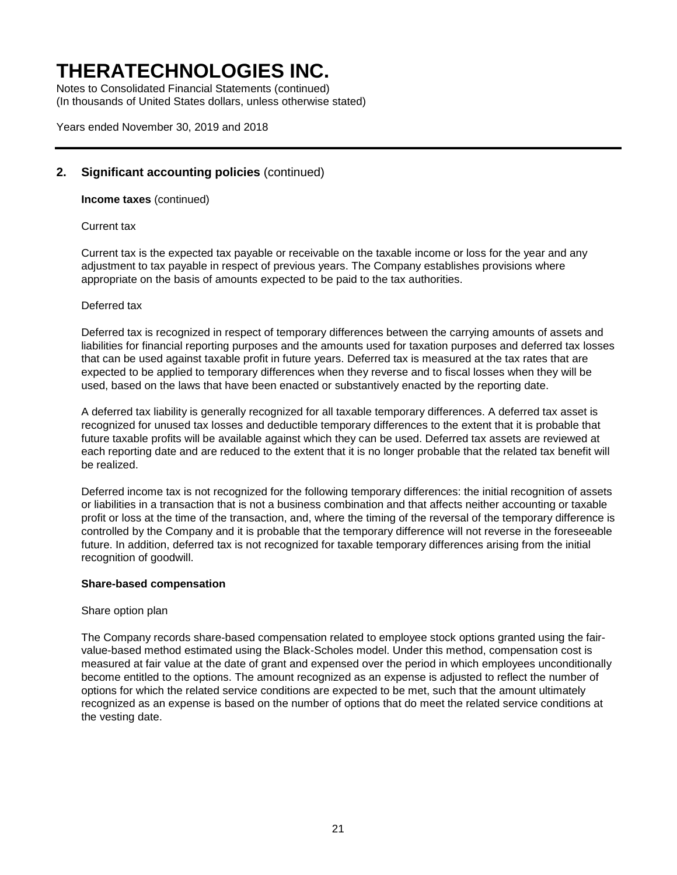Notes to Consolidated Financial Statements (continued) (In thousands of United States dollars, unless otherwise stated)

Years ended November 30, 2019 and 2018

## **2. Significant accounting policies** (continued)

**Income taxes** (continued)

#### Current tax

Current tax is the expected tax payable or receivable on the taxable income or loss for the year and any adjustment to tax payable in respect of previous years. The Company establishes provisions where appropriate on the basis of amounts expected to be paid to the tax authorities.

#### Deferred tax

Deferred tax is recognized in respect of temporary differences between the carrying amounts of assets and liabilities for financial reporting purposes and the amounts used for taxation purposes and deferred tax losses that can be used against taxable profit in future years. Deferred tax is measured at the tax rates that are expected to be applied to temporary differences when they reverse and to fiscal losses when they will be used, based on the laws that have been enacted or substantively enacted by the reporting date.

A deferred tax liability is generally recognized for all taxable temporary differences. A deferred tax asset is recognized for unused tax losses and deductible temporary differences to the extent that it is probable that future taxable profits will be available against which they can be used. Deferred tax assets are reviewed at each reporting date and are reduced to the extent that it is no longer probable that the related tax benefit will be realized.

Deferred income tax is not recognized for the following temporary differences: the initial recognition of assets or liabilities in a transaction that is not a business combination and that affects neither accounting or taxable profit or loss at the time of the transaction, and, where the timing of the reversal of the temporary difference is controlled by the Company and it is probable that the temporary difference will not reverse in the foreseeable future. In addition, deferred tax is not recognized for taxable temporary differences arising from the initial recognition of goodwill.

#### **Share-based compensation**

#### Share option plan

The Company records share-based compensation related to employee stock options granted using the fairvalue-based method estimated using the Black-Scholes model. Under this method, compensation cost is measured at fair value at the date of grant and expensed over the period in which employees unconditionally become entitled to the options. The amount recognized as an expense is adjusted to reflect the number of options for which the related service conditions are expected to be met, such that the amount ultimately recognized as an expense is based on the number of options that do meet the related service conditions at the vesting date.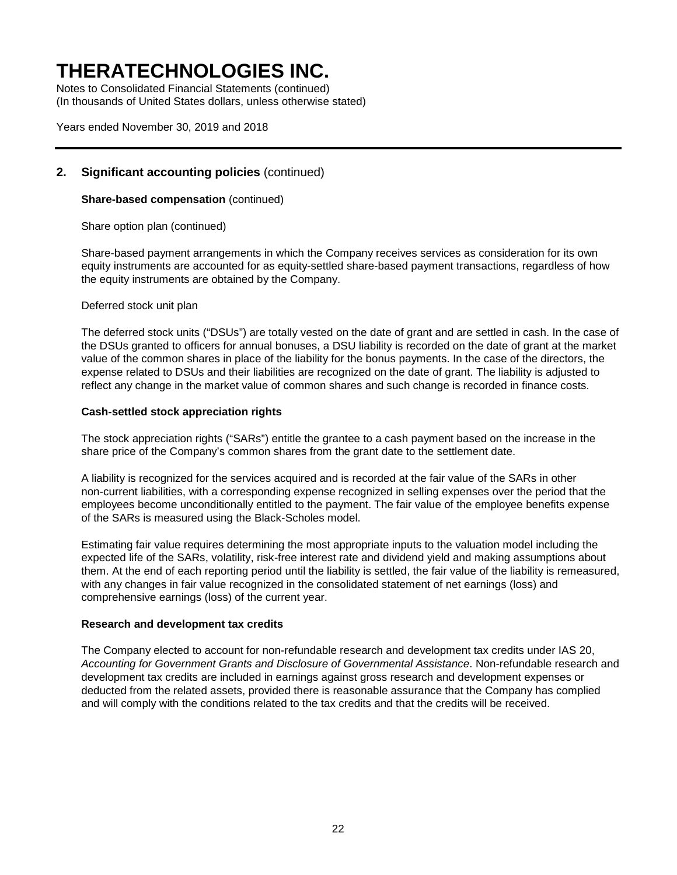Notes to Consolidated Financial Statements (continued) (In thousands of United States dollars, unless otherwise stated)

Years ended November 30, 2019 and 2018

## **2. Significant accounting policies** (continued)

**Share-based compensation** (continued)

Share option plan (continued)

Share-based payment arrangements in which the Company receives services as consideration for its own equity instruments are accounted for as equity-settled share-based payment transactions, regardless of how the equity instruments are obtained by the Company.

### Deferred stock unit plan

The deferred stock units ("DSUs") are totally vested on the date of grant and are settled in cash. In the case of the DSUs granted to officers for annual bonuses, a DSU liability is recorded on the date of grant at the market value of the common shares in place of the liability for the bonus payments. In the case of the directors, the expense related to DSUs and their liabilities are recognized on the date of grant. The liability is adjusted to reflect any change in the market value of common shares and such change is recorded in finance costs.

### **Cash-settled stock appreciation rights**

The stock appreciation rights ("SARs") entitle the grantee to a cash payment based on the increase in the share price of the Company's common shares from the grant date to the settlement date.

A liability is recognized for the services acquired and is recorded at the fair value of the SARs in other non-current liabilities, with a corresponding expense recognized in selling expenses over the period that the employees become unconditionally entitled to the payment. The fair value of the employee benefits expense of the SARs is measured using the Black-Scholes model.

Estimating fair value requires determining the most appropriate inputs to the valuation model including the expected life of the SARs, volatility, risk-free interest rate and dividend yield and making assumptions about them. At the end of each reporting period until the liability is settled, the fair value of the liability is remeasured, with any changes in fair value recognized in the consolidated statement of net earnings (loss) and comprehensive earnings (loss) of the current year.

#### **Research and development tax credits**

The Company elected to account for non-refundable research and development tax credits under IAS 20, *Accounting for Government Grants and Disclosure of Governmental Assistance*. Non-refundable research and development tax credits are included in earnings against gross research and development expenses or deducted from the related assets, provided there is reasonable assurance that the Company has complied and will comply with the conditions related to the tax credits and that the credits will be received.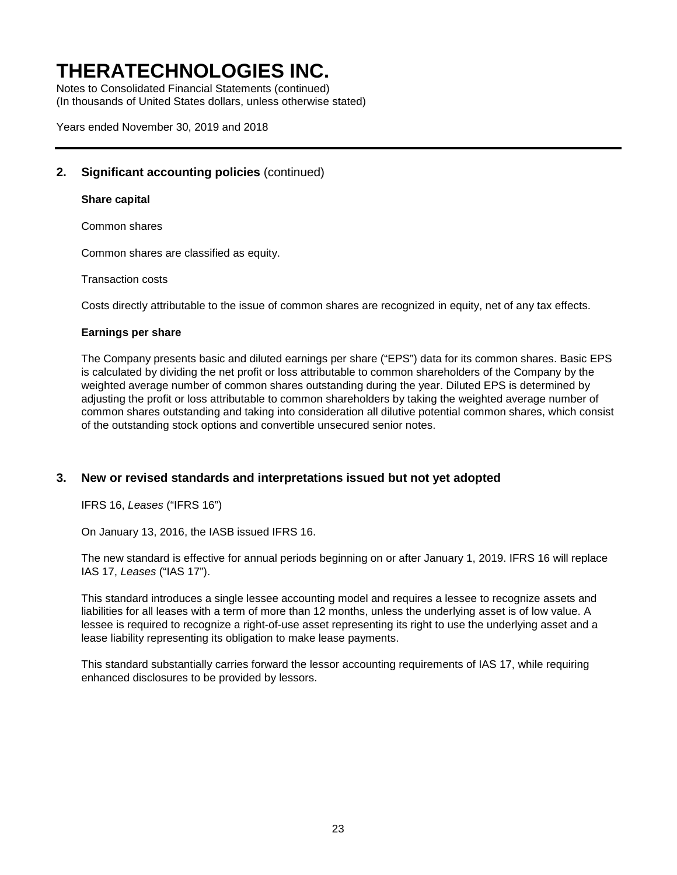Notes to Consolidated Financial Statements (continued) (In thousands of United States dollars, unless otherwise stated)

Years ended November 30, 2019 and 2018

## **2. Significant accounting policies** (continued)

### **Share capital**

Common shares

Common shares are classified as equity.

Transaction costs

Costs directly attributable to the issue of common shares are recognized in equity, net of any tax effects.

### **Earnings per share**

The Company presents basic and diluted earnings per share ("EPS") data for its common shares. Basic EPS is calculated by dividing the net profit or loss attributable to common shareholders of the Company by the weighted average number of common shares outstanding during the year. Diluted EPS is determined by adjusting the profit or loss attributable to common shareholders by taking the weighted average number of common shares outstanding and taking into consideration all dilutive potential common shares, which consist of the outstanding stock options and convertible unsecured senior notes.

## **3. New or revised standards and interpretations issued but not yet adopted**

IFRS 16, *Leases* ("IFRS 16")

On January 13, 2016, the IASB issued IFRS 16.

The new standard is effective for annual periods beginning on or after January 1, 2019. IFRS 16 will replace IAS 17, *Leases* ("IAS 17").

This standard introduces a single lessee accounting model and requires a lessee to recognize assets and liabilities for all leases with a term of more than 12 months, unless the underlying asset is of low value. A lessee is required to recognize a right-of-use asset representing its right to use the underlying asset and a lease liability representing its obligation to make lease payments.

This standard substantially carries forward the lessor accounting requirements of IAS 17, while requiring enhanced disclosures to be provided by lessors.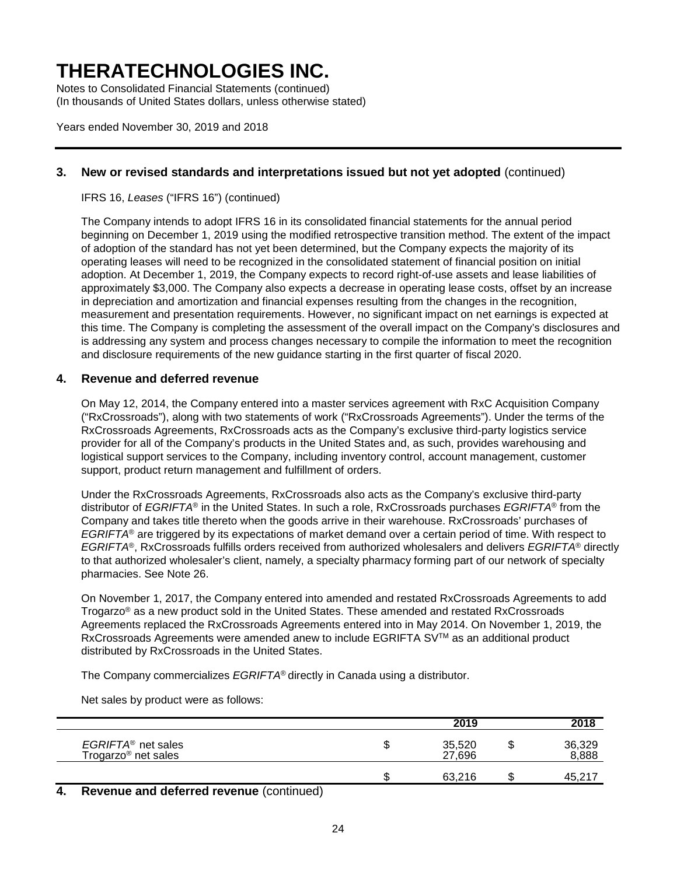Notes to Consolidated Financial Statements (continued) (In thousands of United States dollars, unless otherwise stated)

Years ended November 30, 2019 and 2018

## **3. New or revised standards and interpretations issued but not yet adopted** (continued)

IFRS 16, *Leases* ("IFRS 16") (continued)

The Company intends to adopt IFRS 16 in its consolidated financial statements for the annual period beginning on December 1, 2019 using the modified retrospective transition method. The extent of the impact of adoption of the standard has not yet been determined, but the Company expects the majority of its operating leases will need to be recognized in the consolidated statement of financial position on initial adoption. At December 1, 2019, the Company expects to record right-of-use assets and lease liabilities of approximately \$3,000. The Company also expects a decrease in operating lease costs, offset by an increase in depreciation and amortization and financial expenses resulting from the changes in the recognition, measurement and presentation requirements. However, no significant impact on net earnings is expected at this time. The Company is completing the assessment of the overall impact on the Company's disclosures and is addressing any system and process changes necessary to compile the information to meet the recognition and disclosure requirements of the new guidance starting in the first quarter of fiscal 2020.

### **4. Revenue and deferred revenue**

On May 12, 2014, the Company entered into a master services agreement with RxC Acquisition Company ("RxCrossroads"), along with two statements of work ("RxCrossroads Agreements"). Under the terms of the RxCrossroads Agreements, RxCrossroads acts as the Company's exclusive third-party logistics service provider for all of the Company's products in the United States and, as such, provides warehousing and logistical support services to the Company, including inventory control, account management, customer support, product return management and fulfillment of orders.

Under the RxCrossroads Agreements, RxCrossroads also acts as the Company's exclusive third-party distributor of *EGRIFTA*® in the United States. In such a role, RxCrossroads purchases *EGRIFTA*® from the Company and takes title thereto when the goods arrive in their warehouse. RxCrossroads' purchases of *EGRIFTA*® are triggered by its expectations of market demand over a certain period of time. With respect to *EGRIFTA*®, RxCrossroads fulfills orders received from authorized wholesalers and delivers *EGRIFTA*® directly to that authorized wholesaler's client, namely, a specialty pharmacy forming part of our network of specialty pharmacies. See Note 26.

On November 1, 2017, the Company entered into amended and restated RxCrossroads Agreements to add Trogarzo® as a new product sold in the United States. These amended and restated RxCrossroads Agreements replaced the RxCrossroads Agreements entered into in May 2014. On November 1, 2019, the RxCrossroads Agreements were amended anew to include EGRIFTA SV<sup>TM</sup> as an additional product distributed by RxCrossroads in the United States.

The Company commercializes *EGRIFTA*® directly in Canada using a distributor.

Net sales by product were as follows:

| 2019             |    | 2018            |
|------------------|----|-----------------|
| 35,520<br>27.696 | ۰D | 36,329<br>8,888 |
| 63,216           |    | 45,217          |
|                  |    |                 |

### **4. Revenue and deferred revenue** (continued)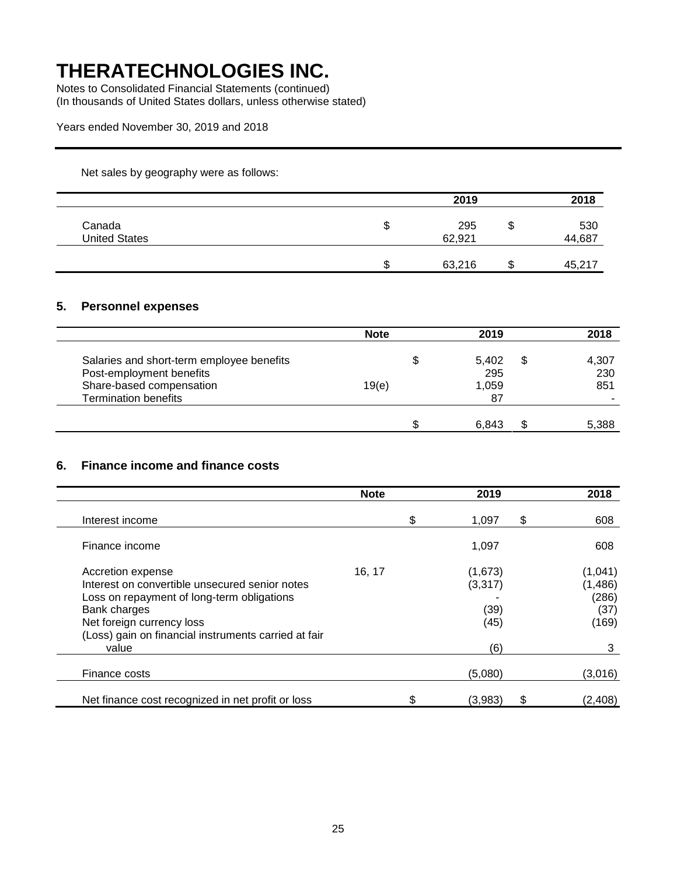Notes to Consolidated Financial Statements (continued) (In thousands of United States dollars, unless otherwise stated)

Years ended November 30, 2019 and 2018

Net sales by geography were as follows:

|                                |         | 2019          |    | 2018          |
|--------------------------------|---------|---------------|----|---------------|
| Canada<br><b>United States</b> | ጥ<br>จ  | 295<br>62,921 | \$ | 530<br>44,687 |
|                                | c<br>ъD | 63,216        | ۰D | 45,217        |

## **5. Personnel expenses**

|                                           | <b>Note</b> |     | 2019  |     | 2018  |
|-------------------------------------------|-------------|-----|-------|-----|-------|
| Salaries and short-term employee benefits |             | \$  | 5,402 | \$  | 4,307 |
| Post-employment benefits                  |             |     | 295   |     | 230   |
| Share-based compensation                  | 19(e)       |     | 1,059 |     | 851   |
| <b>Termination benefits</b>               |             |     | 87    |     |       |
|                                           |             | \$. | 6.843 | \$. | 5.388 |

## **6. Finance income and finance costs**

|                                                      | <b>Note</b> | 2019     | 2018           |
|------------------------------------------------------|-------------|----------|----------------|
| Interest income                                      | \$          | 1,097    | \$<br>608      |
| Finance income                                       |             | 1,097    | 608            |
| Accretion expense                                    | 16, 17      | (1,673)  | (1,041)        |
| Interest on convertible unsecured senior notes       |             | (3, 317) | (1, 486)       |
| Loss on repayment of long-term obligations           |             |          | (286)          |
| Bank charges                                         |             | (39)     | (37)           |
| Net foreign currency loss                            |             | (45)     | (169)          |
| (Loss) gain on financial instruments carried at fair |             |          |                |
| value                                                |             | (6)      | 3              |
| Finance costs                                        |             | (5,080)  | (3,016)        |
| Net finance cost recognized in net profit or loss    | \$          | (3,983)  | \$<br>(2, 408) |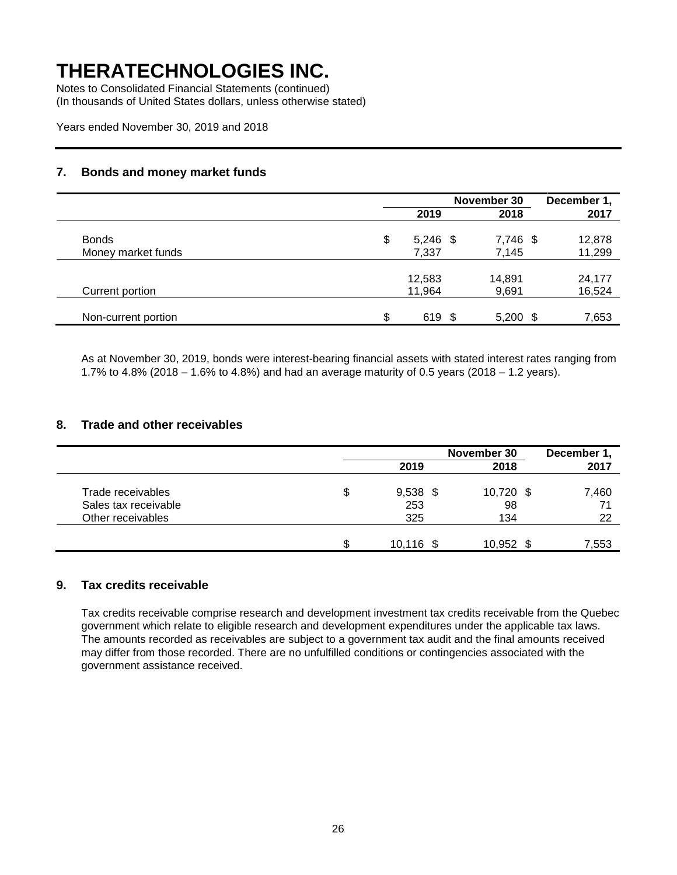Notes to Consolidated Financial Statements (continued) (In thousands of United States dollars, unless otherwise stated)

Years ended November 30, 2019 and 2018

## **7. Bonds and money market funds**

|                     |                  | November 30 | December 1, |
|---------------------|------------------|-------------|-------------|
|                     | 2019             | 2018        | 2017        |
| <b>Bonds</b>        | \$<br>$5,246$ \$ | 7,746 \$    | 12,878      |
| Money market funds  | 7,337            | 7,145       | 11,299      |
|                     | 12,583           | 14,891      | 24,177      |
| Current portion     | 11,964           | 9,691       | 16,524      |
| Non-current portion | \$<br>619 \$     | $5,200$ \$  | 7,653       |

As at November 30, 2019, bonds were interest-bearing financial assets with stated interest rates ranging from 1.7% to 4.8% (2018 – 1.6% to 4.8%) and had an average maturity of 0.5 years (2018 – 1.2 years).

### **8. Trade and other receivables**

|                      |                  | December 1, |       |
|----------------------|------------------|-------------|-------|
|                      | 2019             | 2017        |       |
| Trade receivables    | \$<br>$9,538$ \$ | 10,720 \$   | 7,460 |
| Sales tax receivable | 253              | 98          | 71    |
| Other receivables    | 325              | 134         | 22    |
|                      | 10,116 \$        | $10.952$ \$ | 7,553 |

## **9. Tax credits receivable**

Tax credits receivable comprise research and development investment tax credits receivable from the Quebec government which relate to eligible research and development expenditures under the applicable tax laws. The amounts recorded as receivables are subject to a government tax audit and the final amounts received may differ from those recorded. There are no unfulfilled conditions or contingencies associated with the government assistance received.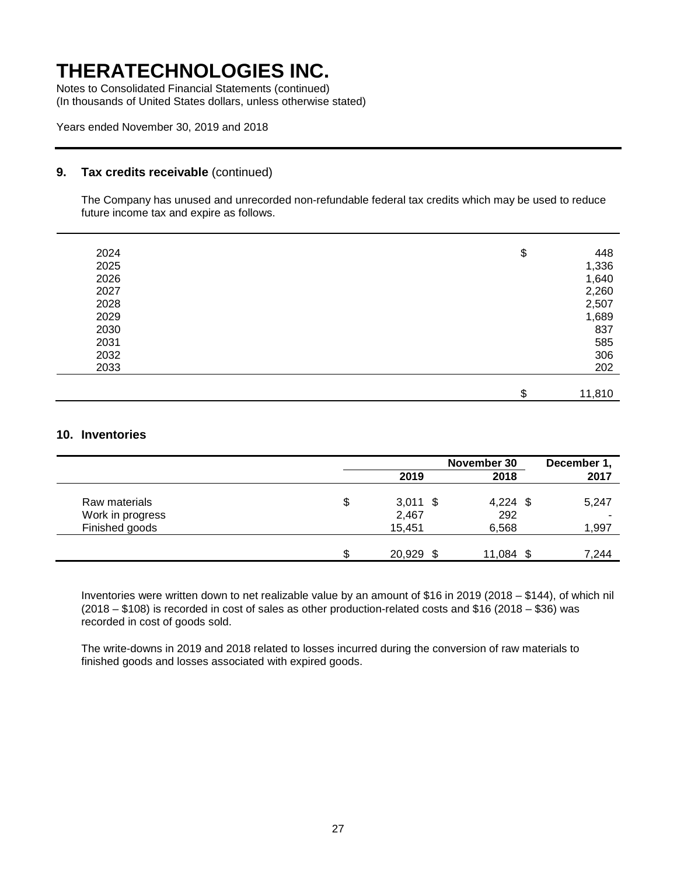Notes to Consolidated Financial Statements (continued) (In thousands of United States dollars, unless otherwise stated)

Years ended November 30, 2019 and 2018

### **9.** Tax credits receivable (continued)

The Company has unused and unrecorded non-refundable federal tax credits which may be used to reduce future income tax and expire as follows.

| 2024 | \$<br>448    |
|------|--------------|
| 2025 | 1,336        |
| 2026 | 1,640        |
| 2027 | 2,260        |
| 2028 | 2,507        |
| 2029 | 1,689        |
| 2030 | 837          |
| 2031 | 585          |
| 2032 | 306          |
| 2033 | 202          |
|      |              |
|      | \$<br>11,810 |
|      |              |

### **10. Inventories**

|                  |                      | November 30 | December 1, |
|------------------|----------------------|-------------|-------------|
|                  | 2019                 | 2018        | 2017        |
|                  |                      |             |             |
| Raw materials    | \$<br>$3,011$ \$     | $4,224$ \$  | 5,247       |
| Work in progress | 2,467                | 292         |             |
| Finished goods   | 15,451               | 6,568       | 1,997       |
|                  |                      |             |             |
|                  | \$<br>20,929<br>- \$ | 11,084 \$   | 7,244       |

Inventories were written down to net realizable value by an amount of \$16 in 2019 (2018 – \$144), of which nil (2018 – \$108) is recorded in cost of sales as other production-related costs and \$16 (2018 – \$36) was recorded in cost of goods sold.

The write-downs in 2019 and 2018 related to losses incurred during the conversion of raw materials to finished goods and losses associated with expired goods.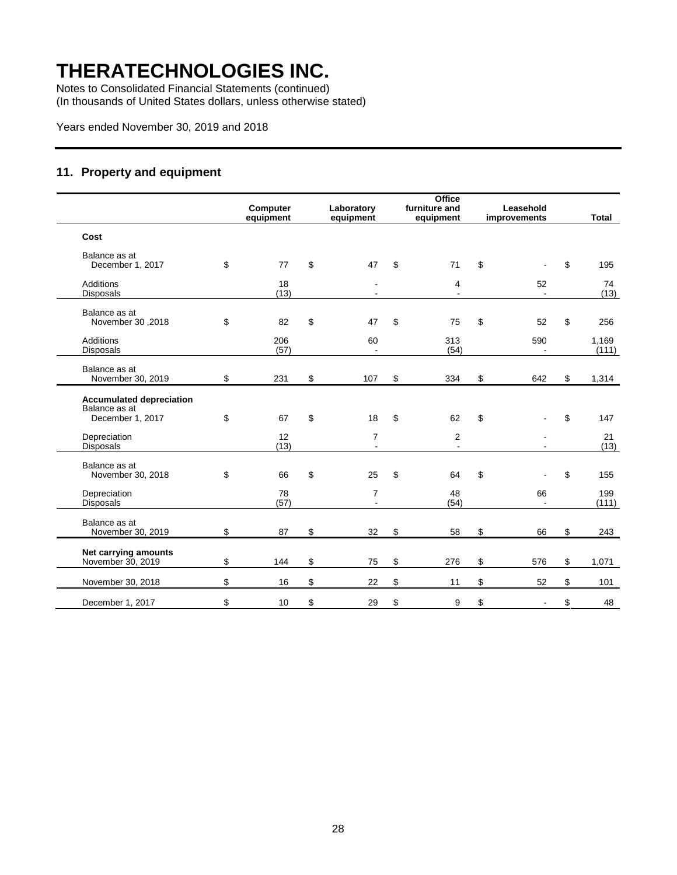Notes to Consolidated Financial Statements (continued) (In thousands of United States dollars, unless otherwise stated)

Years ended November 30, 2019 and 2018

## **11. Property and equipment**

|                                                                      | Computer<br>equipment | Laboratory<br>equipment          | <b>Office</b><br>furniture and<br>equipment | Leasehold<br>improvements | <b>Total</b>   |
|----------------------------------------------------------------------|-----------------------|----------------------------------|---------------------------------------------|---------------------------|----------------|
| Cost                                                                 |                       |                                  |                                             |                           |                |
| Balance as at<br>December 1, 2017                                    | \$<br>77              | \$<br>47                         | \$<br>71                                    | \$                        | \$<br>195      |
| Additions<br><b>Disposals</b>                                        | 18<br>(13)            |                                  | 4<br>ä,                                     | 52                        | 74<br>(13)     |
| Balance as at<br>November 30, 2018                                   | \$<br>82              | \$<br>47                         | \$<br>75                                    | \$<br>52                  | \$<br>256      |
| <b>Additions</b><br><b>Disposals</b>                                 | 206<br>(57)           | 60<br>÷,                         | 313<br>(54)                                 | 590<br>$\blacksquare$     | 1,169<br>(111) |
| Balance as at<br>November 30, 2019                                   | \$<br>231             | \$<br>107                        | \$<br>334                                   | \$<br>642                 | \$<br>1,314    |
| <b>Accumulated depreciation</b><br>Balance as at<br>December 1, 2017 | \$<br>67              | \$<br>18                         | \$<br>62                                    | \$                        | \$<br>147      |
| Depreciation<br><b>Disposals</b>                                     | 12<br>(13)            | $\overline{7}$<br>$\overline{a}$ | $\overline{2}$<br>$\sim$                    |                           | 21<br>(13)     |
| Balance as at<br>November 30, 2018                                   | \$<br>66              | \$<br>25                         | \$<br>64                                    | \$                        | \$<br>155      |
| Depreciation<br><b>Disposals</b>                                     | 78<br>(57)            | $\overline{7}$                   | 48<br>(54)                                  | 66                        | 199<br>(111)   |
| Balance as at<br>November 30, 2019                                   | \$<br>87              | \$<br>32                         | \$<br>58                                    | \$<br>66                  | \$<br>243      |
| Net carrying amounts<br>November 30, 2019                            | \$<br>144             | \$<br>75                         | \$<br>276                                   | \$<br>576                 | \$<br>1,071    |
| November 30, 2018                                                    | \$<br>16              | \$<br>22                         | \$<br>11                                    | \$<br>52                  | \$<br>101      |
| December 1, 2017                                                     | \$<br>10              | \$<br>29                         | \$<br>9                                     | \$                        | \$<br>48       |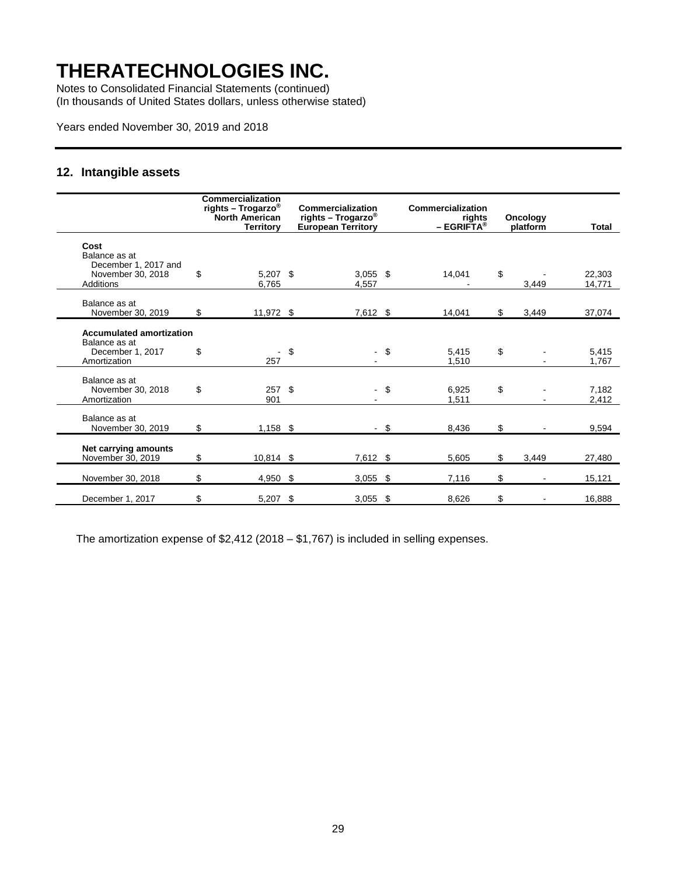Notes to Consolidated Financial Statements (continued) (In thousands of United States dollars, unless otherwise stated)

Years ended November 30, 2019 and 2018

## **12. Intangible assets**

|                                                                                      | Commercialization<br>rights - Trogarzo <sup>®</sup><br><b>North American</b><br><b>Territory</b> | Commercialization<br>rights - Trogarzo <sup>®</sup><br><b>European Territory</b> |        | Commercialization<br>rights<br>$-$ EGRIFTA® | Oncology<br>platform | <b>Total</b>   |
|--------------------------------------------------------------------------------------|--------------------------------------------------------------------------------------------------|----------------------------------------------------------------------------------|--------|---------------------------------------------|----------------------|----------------|
| Cost<br>Balance as at<br>December 1, 2017 and<br>November 30, 2018                   | \$<br>$5,207$ \$                                                                                 | $3,055$ \$                                                                       |        | 14,041                                      | \$                   | 22,303         |
| <b>Additions</b>                                                                     | 6,765                                                                                            | 4,557                                                                            |        |                                             | 3,449                | 14,771         |
| Balance as at<br>November 30, 2019                                                   | \$<br>11,972 \$                                                                                  | 7,612 \$                                                                         |        | 14,041                                      | \$<br>3,449          | 37,074         |
| <b>Accumulated amortization</b><br>Balance as at<br>December 1, 2017<br>Amortization | \$<br>257                                                                                        | \$                                                                               | \$     | 5,415<br>1.510                              | \$                   | 5,415<br>1.767 |
| Balance as at<br>November 30, 2018<br>Amortization                                   | \$<br>257S<br>901                                                                                |                                                                                  | $-$ \$ | 6,925<br>1,511                              | \$                   | 7,182<br>2,412 |
| Balance as at<br>November 30, 2019                                                   | \$<br>$1,158$ \$                                                                                 |                                                                                  | - \$   | 8,436                                       | \$                   | 9,594          |
| Net carrying amounts<br>November 30, 2019                                            | \$<br>10,814 \$                                                                                  | 7,612 \$                                                                         |        | 5,605                                       | \$<br>3,449          | 27,480         |
| November 30, 2018                                                                    | \$<br>4,950 $$$                                                                                  | $3,055$ \$                                                                       |        | 7,116                                       | \$                   | 15,121         |
| December 1, 2017                                                                     | \$<br>$5,207$ \$                                                                                 | $3,055$ \$                                                                       |        | 8,626                                       | \$                   | 16,888         |

The amortization expense of \$2,412 (2018 – \$1,767) is included in selling expenses.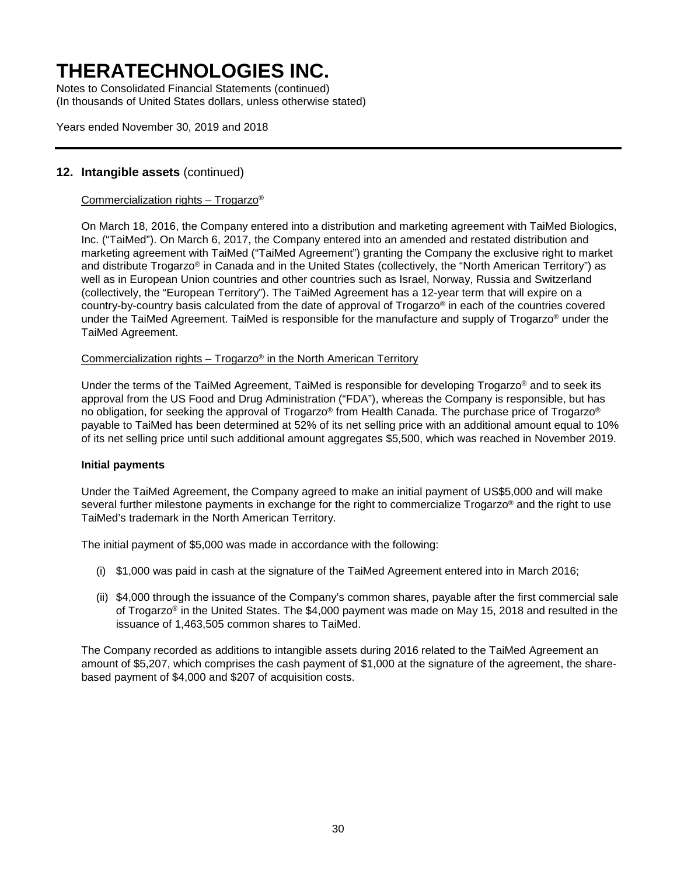Notes to Consolidated Financial Statements (continued) (In thousands of United States dollars, unless otherwise stated)

Years ended November 30, 2019 and 2018

## **12. Intangible assets** (continued)

### Commercialization rights – Trogarzo®

On March 18, 2016, the Company entered into a distribution and marketing agreement with TaiMed Biologics, Inc. ("TaiMed"). On March 6, 2017, the Company entered into an amended and restated distribution and marketing agreement with TaiMed ("TaiMed Agreement") granting the Company the exclusive right to market and distribute Trogarzo® in Canada and in the United States (collectively, the "North American Territory") as well as in European Union countries and other countries such as Israel, Norway, Russia and Switzerland (collectively, the "European Territory"). The TaiMed Agreement has a 12-year term that will expire on a country-by-country basis calculated from the date of approval of Trogarzo® in each of the countries covered under the TaiMed Agreement. TaiMed is responsible for the manufacture and supply of Trogarzo® under the TaiMed Agreement.

### Commercialization rights – Trogarzo<sup>®</sup> in the North American Territory

Under the terms of the TaiMed Agreement, TaiMed is responsible for developing Trogarzo<sup>®</sup> and to seek its approval from the US Food and Drug Administration ("FDA"), whereas the Company is responsible, but has no obligation, for seeking the approval of Trogarzo<sup>®</sup> from Health Canada. The purchase price of Trogarzo<sup>®</sup> payable to TaiMed has been determined at 52% of its net selling price with an additional amount equal to 10% of its net selling price until such additional amount aggregates \$5,500, which was reached in November 2019.

#### **Initial payments**

Under the TaiMed Agreement, the Company agreed to make an initial payment of US\$5,000 and will make several further milestone payments in exchange for the right to commercialize Trogarzo<sup>®</sup> and the right to use TaiMed's trademark in the North American Territory.

The initial payment of \$5,000 was made in accordance with the following:

- (i) \$1,000 was paid in cash at the signature of the TaiMed Agreement entered into in March 2016;
- (ii) \$4,000 through the issuance of the Company's common shares, payable after the first commercial sale of Trogarzo® in the United States. The \$4,000 payment was made on May 15, 2018 and resulted in the issuance of 1,463,505 common shares to TaiMed.

The Company recorded as additions to intangible assets during 2016 related to the TaiMed Agreement an amount of \$5,207, which comprises the cash payment of \$1,000 at the signature of the agreement, the sharebased payment of \$4,000 and \$207 of acquisition costs.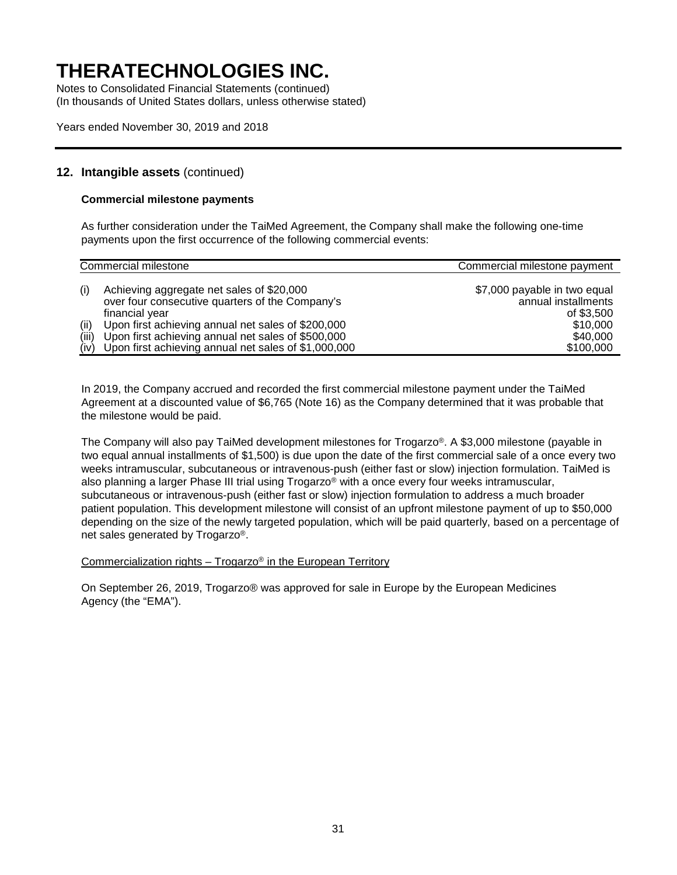Notes to Consolidated Financial Statements (continued) (In thousands of United States dollars, unless otherwise stated)

Years ended November 30, 2019 and 2018

### **12. Intangible assets** (continued)

#### **Commercial milestone payments**

As further consideration under the TaiMed Agreement, the Company shall make the following one-time payments upon the first occurrence of the following commercial events:

|       | Commercial milestone                                                                                           | Commercial milestone payment                                      |  |  |  |  |  |
|-------|----------------------------------------------------------------------------------------------------------------|-------------------------------------------------------------------|--|--|--|--|--|
| (i)   | Achieving aggregate net sales of \$20,000<br>over four consecutive quarters of the Company's<br>financial year | \$7,000 payable in two equal<br>annual installments<br>of \$3.500 |  |  |  |  |  |
| (ii)  | Upon first achieving annual net sales of \$200,000                                                             | \$10,000                                                          |  |  |  |  |  |
| (iii) | Upon first achieving annual net sales of \$500,000                                                             | \$40,000                                                          |  |  |  |  |  |
|       | (iv) Upon first achieving annual net sales of \$1,000,000                                                      | \$100,000                                                         |  |  |  |  |  |

In 2019, the Company accrued and recorded the first commercial milestone payment under the TaiMed Agreement at a discounted value of \$6,765 (Note 16) as the Company determined that it was probable that the milestone would be paid.

The Company will also pay TaiMed development milestones for Trogarzo®. A \$3,000 milestone (payable in two equal annual installments of \$1,500) is due upon the date of the first commercial sale of a once every two weeks intramuscular, subcutaneous or intravenous-push (either fast or slow) injection formulation. TaiMed is also planning a larger Phase III trial using Trogarzo® with a once every four weeks intramuscular, subcutaneous or intravenous-push (either fast or slow) injection formulation to address a much broader patient population. This development milestone will consist of an upfront milestone payment of up to \$50,000 depending on the size of the newly targeted population, which will be paid quarterly, based on a percentage of net sales generated by Trogarzo®.

#### Commercialization rights – Trogarzo® in the European Territory

On September 26, 2019, Trogarzo® was approved for sale in Europe by the European Medicines Agency (the "EMA").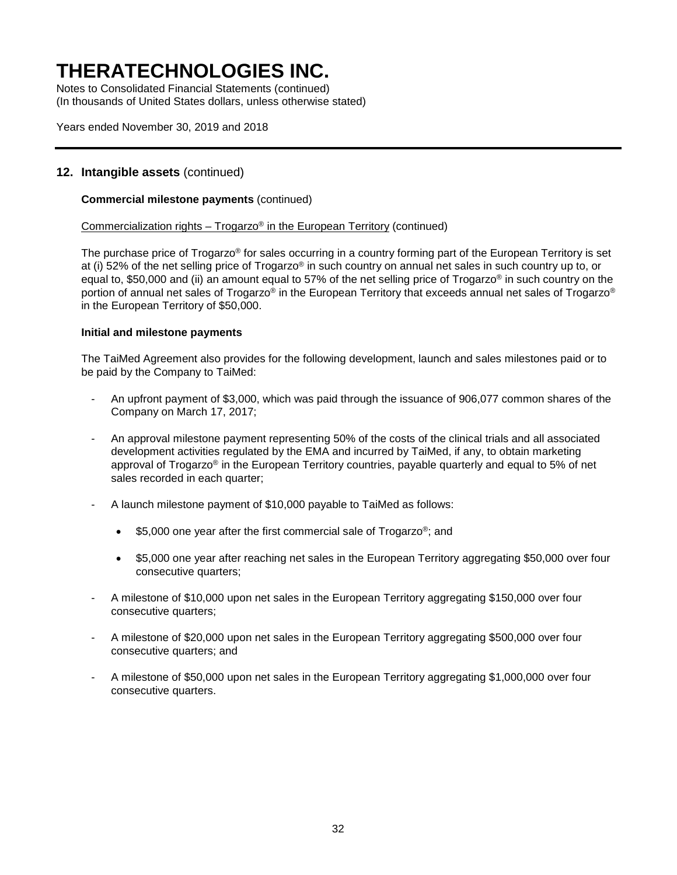Notes to Consolidated Financial Statements (continued) (In thousands of United States dollars, unless otherwise stated)

Years ended November 30, 2019 and 2018

## **12. Intangible assets** (continued)

### **Commercial milestone payments** (continued)

### Commercialization rights  $-$  Trogarzo<sup>®</sup> in the European Territory (continued)

The purchase price of Trogarzo<sup>®</sup> for sales occurring in a country forming part of the European Territory is set at (i) 52% of the net selling price of Trogarzo® in such country on annual net sales in such country up to, or equal to, \$50,000 and (ii) an amount equal to 57% of the net selling price of Trogarzo® in such country on the portion of annual net sales of Trogarzo® in the European Territory that exceeds annual net sales of Trogarzo® in the European Territory of \$50,000.

### **Initial and milestone payments**

The TaiMed Agreement also provides for the following development, launch and sales milestones paid or to be paid by the Company to TaiMed:

- An upfront payment of \$3,000, which was paid through the issuance of 906,077 common shares of the Company on March 17, 2017;
- An approval milestone payment representing 50% of the costs of the clinical trials and all associated development activities regulated by the EMA and incurred by TaiMed, if any, to obtain marketing approval of Trogarzo® in the European Territory countries, payable quarterly and equal to 5% of net sales recorded in each quarter:
- A launch milestone payment of \$10,000 payable to TaiMed as follows:
	- \$5,000 one year after the first commercial sale of Trogarzo<sup>®</sup>; and
	- \$5,000 one year after reaching net sales in the European Territory aggregating \$50,000 over four consecutive quarters;
- A milestone of \$10,000 upon net sales in the European Territory aggregating \$150,000 over four consecutive quarters;
- A milestone of \$20,000 upon net sales in the European Territory aggregating \$500,000 over four consecutive quarters; and
- A milestone of \$50,000 upon net sales in the European Territory aggregating \$1,000,000 over four consecutive quarters.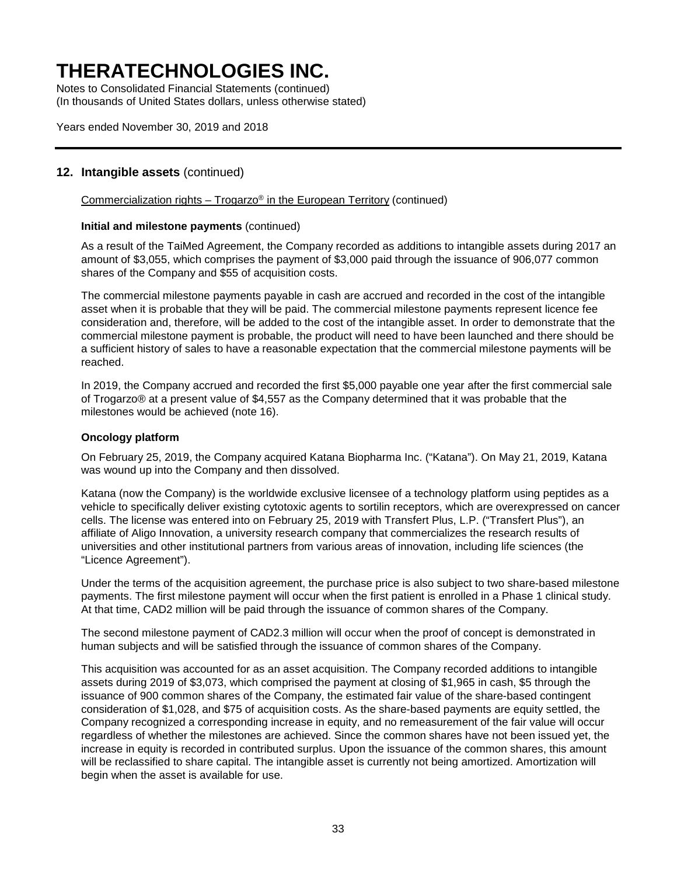Notes to Consolidated Financial Statements (continued) (In thousands of United States dollars, unless otherwise stated)

Years ended November 30, 2019 and 2018

## **12. Intangible assets** (continued)

Commercialization rights – Trogarzo<sup>®</sup> in the European Territory (continued)

### **Initial and milestone payments** (continued)

As a result of the TaiMed Agreement, the Company recorded as additions to intangible assets during 2017 an amount of \$3,055, which comprises the payment of \$3,000 paid through the issuance of 906,077 common shares of the Company and \$55 of acquisition costs.

The commercial milestone payments payable in cash are accrued and recorded in the cost of the intangible asset when it is probable that they will be paid. The commercial milestone payments represent licence fee consideration and, therefore, will be added to the cost of the intangible asset. In order to demonstrate that the commercial milestone payment is probable, the product will need to have been launched and there should be a sufficient history of sales to have a reasonable expectation that the commercial milestone payments will be reached.

In 2019, the Company accrued and recorded the first \$5,000 payable one year after the first commercial sale of Trogarzo® at a present value of \$4,557 as the Company determined that it was probable that the milestones would be achieved (note 16).

### **Oncology platform**

On February 25, 2019, the Company acquired Katana Biopharma Inc. ("Katana"). On May 21, 2019, Katana was wound up into the Company and then dissolved.

Katana (now the Company) is the worldwide exclusive licensee of a technology platform using peptides as a vehicle to specifically deliver existing cytotoxic agents to sortilin receptors, which are overexpressed on cancer cells. The license was entered into on February 25, 2019 with Transfert Plus, L.P. ("Transfert Plus"), an affiliate of Aligo Innovation, a university research company that commercializes the research results of universities and other institutional partners from various areas of innovation, including life sciences (the "Licence Agreement").

Under the terms of the acquisition agreement, the purchase price is also subject to two share-based milestone payments. The first milestone payment will occur when the first patient is enrolled in a Phase 1 clinical study. At that time, CAD2 million will be paid through the issuance of common shares of the Company.

The second milestone payment of CAD2.3 million will occur when the proof of concept is demonstrated in human subjects and will be satisfied through the issuance of common shares of the Company.

This acquisition was accounted for as an asset acquisition. The Company recorded additions to intangible assets during 2019 of \$3,073, which comprised the payment at closing of \$1,965 in cash, \$5 through the issuance of 900 common shares of the Company, the estimated fair value of the share-based contingent consideration of \$1,028, and \$75 of acquisition costs. As the share-based payments are equity settled, the Company recognized a corresponding increase in equity, and no remeasurement of the fair value will occur regardless of whether the milestones are achieved. Since the common shares have not been issued yet, the increase in equity is recorded in contributed surplus. Upon the issuance of the common shares, this amount will be reclassified to share capital. The intangible asset is currently not being amortized. Amortization will begin when the asset is available for use.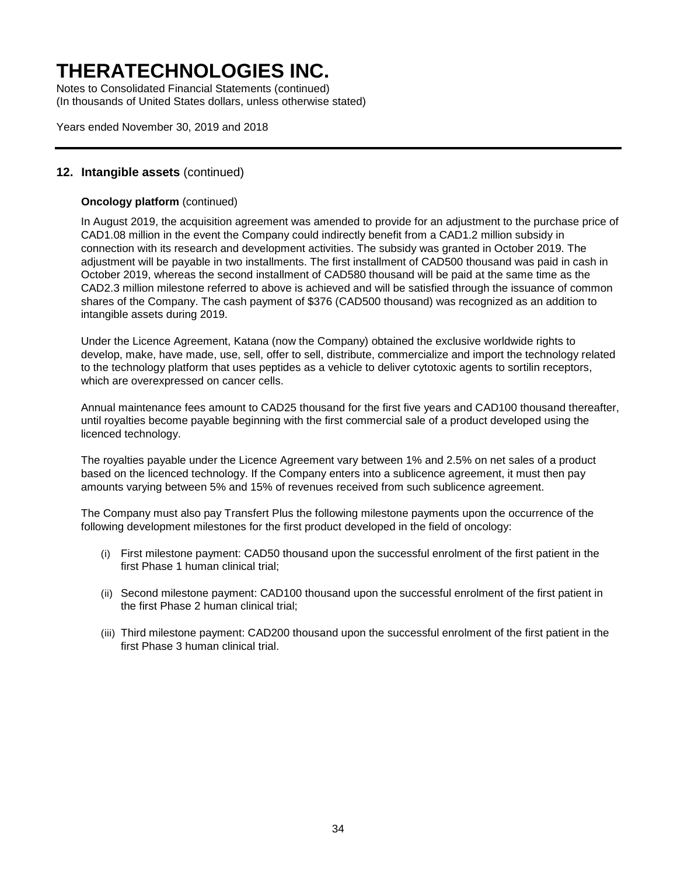Notes to Consolidated Financial Statements (continued) (In thousands of United States dollars, unless otherwise stated)

Years ended November 30, 2019 and 2018

### **12. Intangible assets** (continued)

#### **Oncology platform** (continued)

In August 2019, the acquisition agreement was amended to provide for an adjustment to the purchase price of CAD1.08 million in the event the Company could indirectly benefit from a CAD1.2 million subsidy in connection with its research and development activities. The subsidy was granted in October 2019. The adjustment will be payable in two installments. The first installment of CAD500 thousand was paid in cash in October 2019, whereas the second installment of CAD580 thousand will be paid at the same time as the CAD2.3 million milestone referred to above is achieved and will be satisfied through the issuance of common shares of the Company. The cash payment of \$376 (CAD500 thousand) was recognized as an addition to intangible assets during 2019.

Under the Licence Agreement, Katana (now the Company) obtained the exclusive worldwide rights to develop, make, have made, use, sell, offer to sell, distribute, commercialize and import the technology related to the technology platform that uses peptides as a vehicle to deliver cytotoxic agents to sortilin receptors, which are overexpressed on cancer cells.

Annual maintenance fees amount to CAD25 thousand for the first five years and CAD100 thousand thereafter, until royalties become payable beginning with the first commercial sale of a product developed using the licenced technology.

The royalties payable under the Licence Agreement vary between 1% and 2.5% on net sales of a product based on the licenced technology. If the Company enters into a sublicence agreement, it must then pay amounts varying between 5% and 15% of revenues received from such sublicence agreement.

The Company must also pay Transfert Plus the following milestone payments upon the occurrence of the following development milestones for the first product developed in the field of oncology:

- (i) First milestone payment: CAD50 thousand upon the successful enrolment of the first patient in the first Phase 1 human clinical trial;
- (ii) Second milestone payment: CAD100 thousand upon the successful enrolment of the first patient in the first Phase 2 human clinical trial;
- (iii) Third milestone payment: CAD200 thousand upon the successful enrolment of the first patient in the first Phase 3 human clinical trial.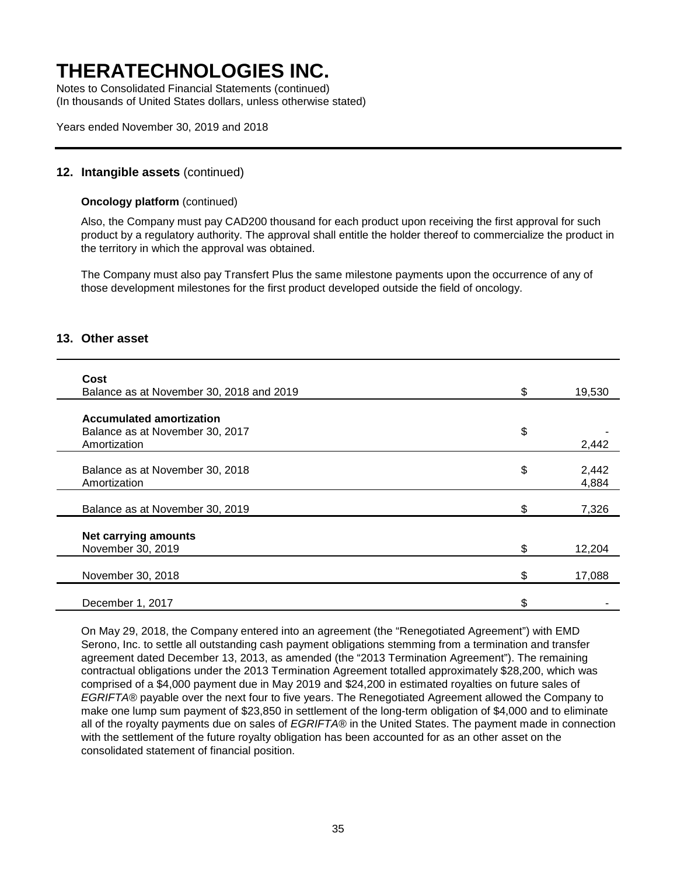Notes to Consolidated Financial Statements (continued) (In thousands of United States dollars, unless otherwise stated)

Years ended November 30, 2019 and 2018

### **12. Intangible assets** (continued)

#### **Oncology platform** (continued)

Also, the Company must pay CAD200 thousand for each product upon receiving the first approval for such product by a regulatory authority. The approval shall entitle the holder thereof to commercialize the product in the territory in which the approval was obtained.

The Company must also pay Transfert Plus the same milestone payments upon the occurrence of any of those development milestones for the first product developed outside the field of oncology.

### **13. Other asset**

| Cost                                     |              |
|------------------------------------------|--------------|
| Balance as at November 30, 2018 and 2019 | \$<br>19,530 |
|                                          |              |
| <b>Accumulated amortization</b>          |              |
| Balance as at November 30, 2017          | \$           |
| Amortization                             | 2,442        |
|                                          |              |
| Balance as at November 30, 2018          | \$<br>2,442  |
| Amortization                             | 4,884        |
|                                          |              |
| Balance as at November 30, 2019          | \$<br>7,326  |
|                                          |              |
| <b>Net carrying amounts</b>              |              |
| November 30, 2019                        | \$<br>12,204 |
|                                          |              |
| November 30, 2018                        | \$<br>17,088 |
|                                          |              |
| December 1, 2017                         | \$           |

On May 29, 2018, the Company entered into an agreement (the "Renegotiated Agreement") with EMD Serono, Inc. to settle all outstanding cash payment obligations stemming from a termination and transfer agreement dated December 13, 2013, as amended (the "2013 Termination Agreement"). The remaining contractual obligations under the 2013 Termination Agreement totalled approximately \$28,200, which was comprised of a \$4,000 payment due in May 2019 and \$24,200 in estimated royalties on future sales of *EGRIFTA®* payable over the next four to five years. The Renegotiated Agreement allowed the Company to make one lump sum payment of \$23,850 in settlement of the long-term obligation of \$4,000 and to eliminate all of the royalty payments due on sales of *EGRIFTA®* in the United States. The payment made in connection with the settlement of the future royalty obligation has been accounted for as an other asset on the consolidated statement of financial position.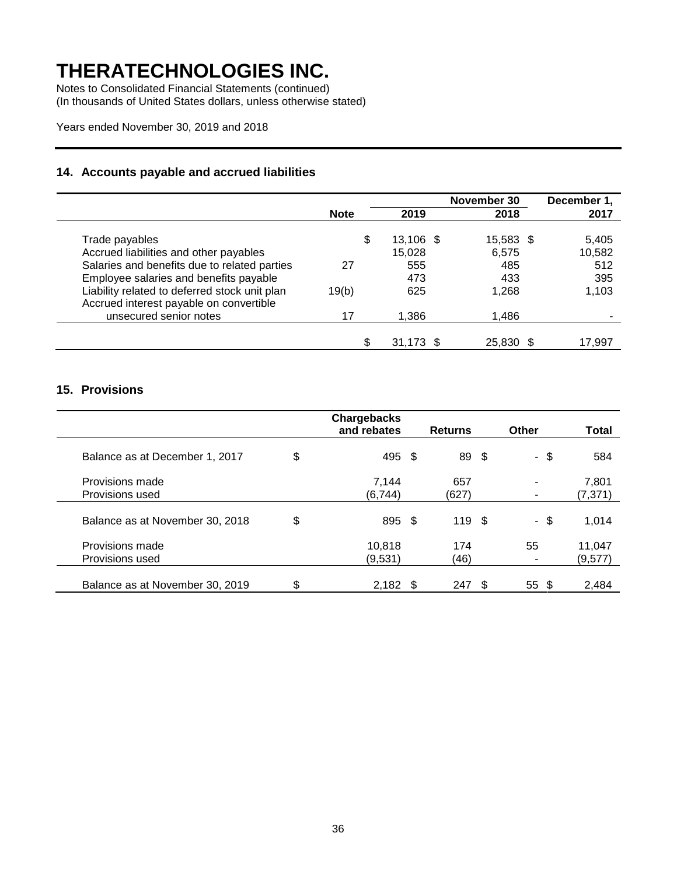Notes to Consolidated Financial Statements (continued) (In thousands of United States dollars, unless otherwise stated)

Years ended November 30, 2019 and 2018

## **14. Accounts payable and accrued liabilities**

|                                               |             |   |           | November 30 | December 1, |
|-----------------------------------------------|-------------|---|-----------|-------------|-------------|
|                                               | <b>Note</b> |   | 2019      | 2018        | 2017        |
|                                               |             |   |           |             |             |
| Trade payables                                |             | S | 13,106 \$ | 15,583 \$   | 5,405       |
| Accrued liabilities and other payables        |             |   | 15,028    | 6,575       | 10,582      |
| Salaries and benefits due to related parties  | 27          |   | 555       | 485         | 512         |
| Employee salaries and benefits payable        |             |   | 473       | 433         | 395         |
| Liability related to deferred stock unit plan | 19(b)       |   | 625       | 1,268       | 1,103       |
| Accrued interest payable on convertible       |             |   |           |             |             |
| unsecured senior notes                        | 17          |   | 1,386     | 1,486       |             |
|                                               |             |   |           |             |             |
|                                               |             |   | 31.173    | 25,830 \$   | 17.997      |

## **15. Provisions**

|                                    | <b>Chargebacks</b><br>and rebates |      | <b>Returns</b> |      | Other | <b>Total</b>       |
|------------------------------------|-----------------------------------|------|----------------|------|-------|--------------------|
| Balance as at December 1, 2017     | \$<br>495                         | - \$ | 89             | - \$ | - \$  | 584                |
| Provisions made<br>Provisions used | 7.144<br>(6, 744)                 |      | 657<br>(627)   |      |       | 7,801<br>(7, 371)  |
| Balance as at November 30, 2018    | \$<br>895                         | - \$ | 119S           |      | - \$  | 1,014              |
| Provisions made<br>Provisions used | 10,818<br>(9,531)                 |      | 174<br>(46)    |      | 55    | 11,047<br>(9, 577) |
| Balance as at November 30, 2019    | \$<br>2,182                       | - \$ | 247            | - \$ | 55 \$ | 2,484              |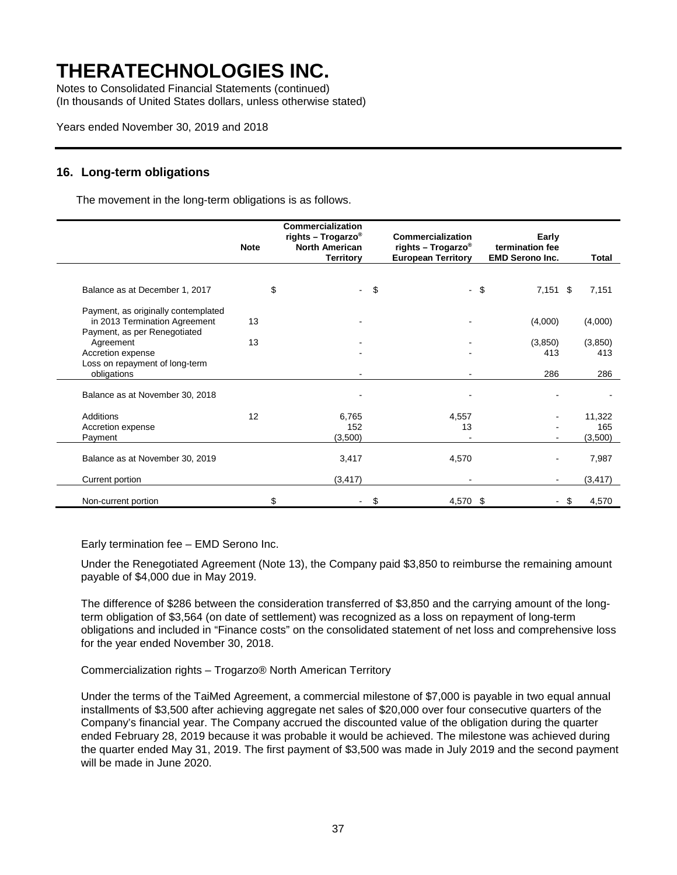Notes to Consolidated Financial Statements (continued) (In thousands of United States dollars, unless otherwise stated)

Years ended November 30, 2019 and 2018

### **16. Long-term obligations**

The movement in the long-term obligations is as follows.

|                                               | <b>Note</b> | Commercialization<br>rights - Trogarzo <sup>®</sup><br><b>North American</b><br><b>Territory</b> | Commercialization<br>rights - Trogarzo <sup>®</sup><br><b>European Territory</b> |   | Early<br>termination fee<br><b>EMD Serono Inc.</b> | Total       |
|-----------------------------------------------|-------------|--------------------------------------------------------------------------------------------------|----------------------------------------------------------------------------------|---|----------------------------------------------------|-------------|
|                                               |             |                                                                                                  |                                                                                  |   |                                                    |             |
| Balance as at December 1, 2017                |             | \$<br>$\blacksquare$                                                                             | \$<br>$\blacksquare$                                                             | S | $7,151$ \$                                         | 7,151       |
| Payment, as originally contemplated           |             |                                                                                                  |                                                                                  |   |                                                    |             |
| in 2013 Termination Agreement                 | 13          | ۰                                                                                                |                                                                                  |   | (4,000)                                            | (4,000)     |
| Payment, as per Renegotiated                  |             |                                                                                                  |                                                                                  |   |                                                    |             |
| Agreement                                     | 13          |                                                                                                  |                                                                                  |   | (3,850)                                            | (3,850)     |
| Accretion expense                             |             |                                                                                                  |                                                                                  |   | 413                                                | 413         |
| Loss on repayment of long-term<br>obligations |             |                                                                                                  |                                                                                  |   | 286                                                | 286         |
| Balance as at November 30, 2018               |             |                                                                                                  |                                                                                  |   |                                                    |             |
| Additions                                     | 12          | 6,765                                                                                            | 4,557                                                                            |   |                                                    | 11,322      |
| Accretion expense                             |             | 152                                                                                              | 13                                                                               |   |                                                    | 165         |
| Payment                                       |             | (3,500)                                                                                          |                                                                                  |   |                                                    | (3,500)     |
| Balance as at November 30, 2019               |             | 3,417                                                                                            | 4,570                                                                            |   |                                                    | 7,987       |
| Current portion                               |             | (3, 417)                                                                                         |                                                                                  |   |                                                    | (3, 417)    |
| Non-current portion                           |             | \$<br>$\blacksquare$                                                                             | \$<br>4,570 \$                                                                   |   |                                                    | \$<br>4,570 |

Early termination fee – EMD Serono Inc.

Under the Renegotiated Agreement (Note 13), the Company paid \$3,850 to reimburse the remaining amount payable of \$4,000 due in May 2019.

The difference of \$286 between the consideration transferred of \$3,850 and the carrying amount of the longterm obligation of \$3,564 (on date of settlement) was recognized as a loss on repayment of long-term obligations and included in "Finance costs" on the consolidated statement of net loss and comprehensive loss for the year ended November 30, 2018.

Commercialization rights – Trogarzo® North American Territory

Under the terms of the TaiMed Agreement, a commercial milestone of \$7,000 is payable in two equal annual installments of \$3,500 after achieving aggregate net sales of \$20,000 over four consecutive quarters of the Company's financial year. The Company accrued the discounted value of the obligation during the quarter ended February 28, 2019 because it was probable it would be achieved. The milestone was achieved during the quarter ended May 31, 2019. The first payment of \$3,500 was made in July 2019 and the second payment will be made in June 2020.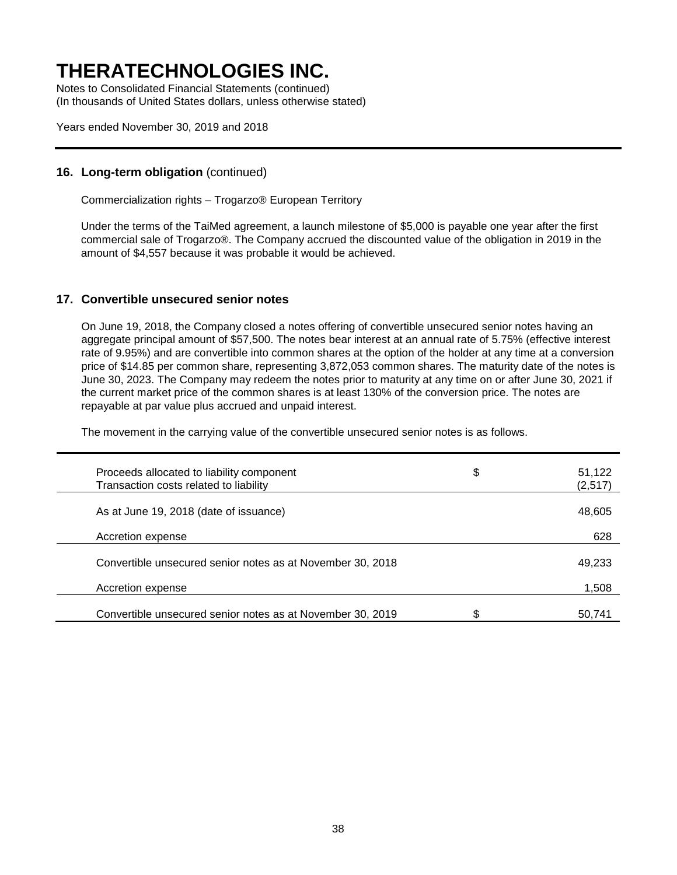Notes to Consolidated Financial Statements (continued) (In thousands of United States dollars, unless otherwise stated)

Years ended November 30, 2019 and 2018

### 16. Long-term obligation (continued)

Commercialization rights – Trogarzo® European Territory

Under the terms of the TaiMed agreement, a launch milestone of \$5,000 is payable one year after the first commercial sale of Trogarzo®. The Company accrued the discounted value of the obligation in 2019 in the amount of \$4,557 because it was probable it would be achieved.

#### **17. Convertible unsecured senior notes**

On June 19, 2018, the Company closed a notes offering of convertible unsecured senior notes having an aggregate principal amount of \$57,500. The notes bear interest at an annual rate of 5.75% (effective interest rate of 9.95%) and are convertible into common shares at the option of the holder at any time at a conversion price of \$14.85 per common share, representing 3,872,053 common shares. The maturity date of the notes is June 30, 2023. The Company may redeem the notes prior to maturity at any time on or after June 30, 2021 if the current market price of the common shares is at least 130% of the conversion price. The notes are repayable at par value plus accrued and unpaid interest.

The movement in the carrying value of the convertible unsecured senior notes is as follows.

| Proceeds allocated to liability component<br>Transaction costs related to liability | \$<br>51,122<br>(2,517) |
|-------------------------------------------------------------------------------------|-------------------------|
| As at June 19, 2018 (date of issuance)                                              | 48,605                  |
| Accretion expense                                                                   | 628                     |
| Convertible unsecured senior notes as at November 30, 2018                          | 49,233                  |
| Accretion expense                                                                   | 1,508                   |
| Convertible unsecured senior notes as at November 30, 2019                          | \$<br>50.741            |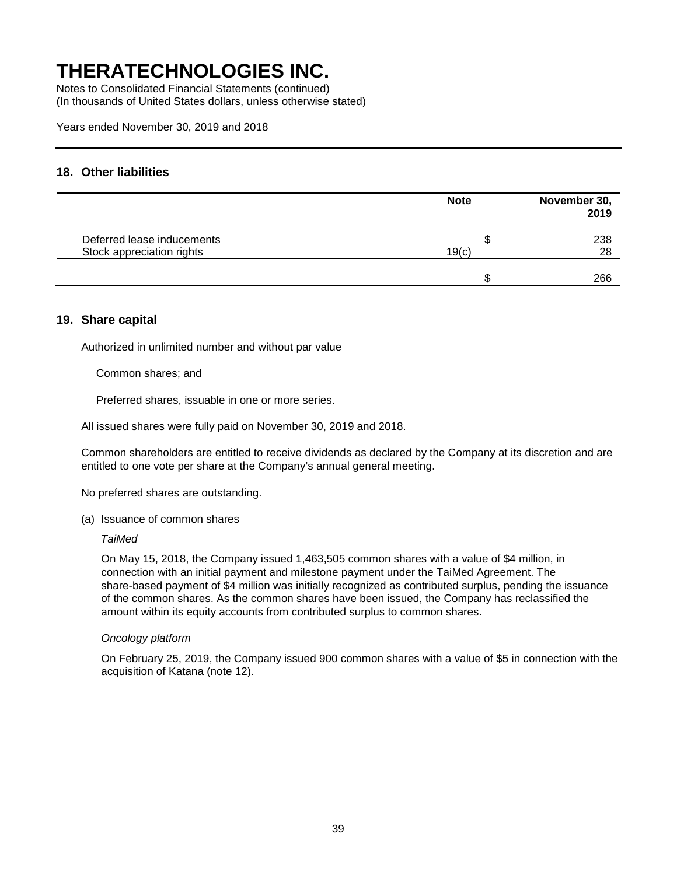Notes to Consolidated Financial Statements (continued) (In thousands of United States dollars, unless otherwise stated)

Years ended November 30, 2019 and 2018

## **18. Other liabilities**

|                                                         | <b>Note</b> | November 30,<br>2019 |
|---------------------------------------------------------|-------------|----------------------|
| Deferred lease inducements<br>Stock appreciation rights | 19(c)       | 238<br>28            |
|                                                         |             | 266                  |

### **19. Share capital**

Authorized in unlimited number and without par value

Common shares; and

Preferred shares, issuable in one or more series.

All issued shares were fully paid on November 30, 2019 and 2018.

Common shareholders are entitled to receive dividends as declared by the Company at its discretion and are entitled to one vote per share at the Company's annual general meeting.

No preferred shares are outstanding.

(a) Issuance of common shares

#### *TaiMed*

On May 15, 2018, the Company issued 1,463,505 common shares with a value of \$4 million, in connection with an initial payment and milestone payment under the TaiMed Agreement. The share-based payment of \$4 million was initially recognized as contributed surplus, pending the issuance of the common shares. As the common shares have been issued, the Company has reclassified the amount within its equity accounts from contributed surplus to common shares.

#### *Oncology platform*

On February 25, 2019, the Company issued 900 common shares with a value of \$5 in connection with the acquisition of Katana (note 12).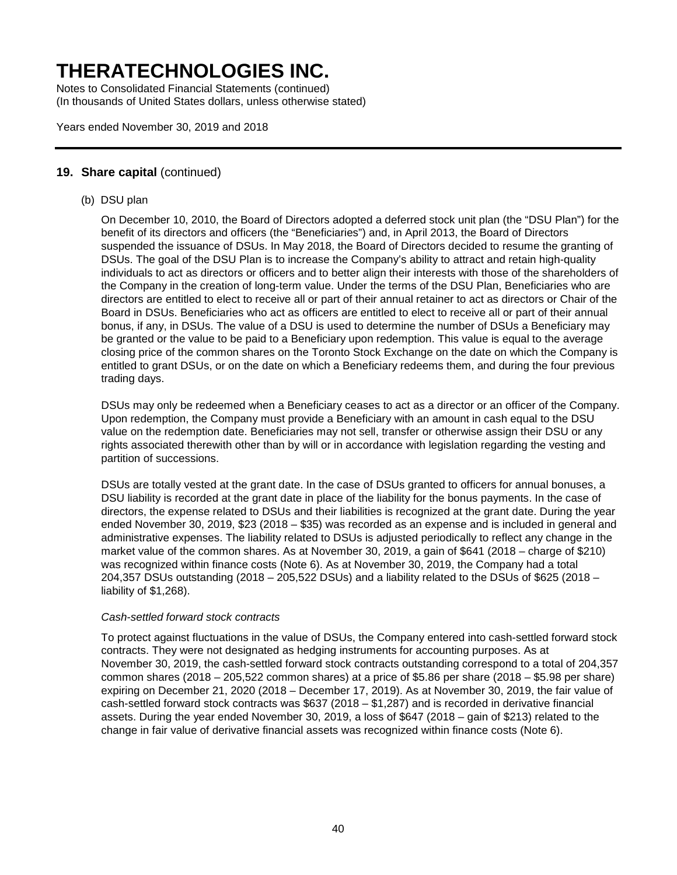Notes to Consolidated Financial Statements (continued) (In thousands of United States dollars, unless otherwise stated)

Years ended November 30, 2019 and 2018

### **19. Share capital** (continued)

(b) DSU plan

On December 10, 2010, the Board of Directors adopted a deferred stock unit plan (the "DSU Plan") for the benefit of its directors and officers (the "Beneficiaries") and, in April 2013, the Board of Directors suspended the issuance of DSUs. In May 2018, the Board of Directors decided to resume the granting of DSUs. The goal of the DSU Plan is to increase the Company's ability to attract and retain high-quality individuals to act as directors or officers and to better align their interests with those of the shareholders of the Company in the creation of long-term value. Under the terms of the DSU Plan, Beneficiaries who are directors are entitled to elect to receive all or part of their annual retainer to act as directors or Chair of the Board in DSUs. Beneficiaries who act as officers are entitled to elect to receive all or part of their annual bonus, if any, in DSUs. The value of a DSU is used to determine the number of DSUs a Beneficiary may be granted or the value to be paid to a Beneficiary upon redemption. This value is equal to the average closing price of the common shares on the Toronto Stock Exchange on the date on which the Company is entitled to grant DSUs, or on the date on which a Beneficiary redeems them, and during the four previous trading days.

DSUs may only be redeemed when a Beneficiary ceases to act as a director or an officer of the Company. Upon redemption, the Company must provide a Beneficiary with an amount in cash equal to the DSU value on the redemption date. Beneficiaries may not sell, transfer or otherwise assign their DSU or any rights associated therewith other than by will or in accordance with legislation regarding the vesting and partition of successions.

DSUs are totally vested at the grant date. In the case of DSUs granted to officers for annual bonuses, a DSU liability is recorded at the grant date in place of the liability for the bonus payments. In the case of directors, the expense related to DSUs and their liabilities is recognized at the grant date. During the year ended November 30, 2019, \$23 (2018 – \$35) was recorded as an expense and is included in general and administrative expenses. The liability related to DSUs is adjusted periodically to reflect any change in the market value of the common shares. As at November 30, 2019, a gain of \$641 (2018 – charge of \$210) was recognized within finance costs (Note 6). As at November 30, 2019, the Company had a total 204,357 DSUs outstanding (2018 – 205,522 DSUs) and a liability related to the DSUs of \$625 (2018 – liability of \$1,268).

#### *Cash-settled forward stock contracts*

To protect against fluctuations in the value of DSUs, the Company entered into cash-settled forward stock contracts. They were not designated as hedging instruments for accounting purposes. As at November 30, 2019, the cash-settled forward stock contracts outstanding correspond to a total of 204,357 common shares (2018 – 205,522 common shares) at a price of \$5.86 per share (2018 – \$5.98 per share) expiring on December 21, 2020 (2018 – December 17, 2019). As at November 30, 2019, the fair value of cash-settled forward stock contracts was \$637 (2018 – \$1,287) and is recorded in derivative financial assets. During the year ended November 30, 2019, a loss of \$647 (2018 – gain of \$213) related to the change in fair value of derivative financial assets was recognized within finance costs (Note 6).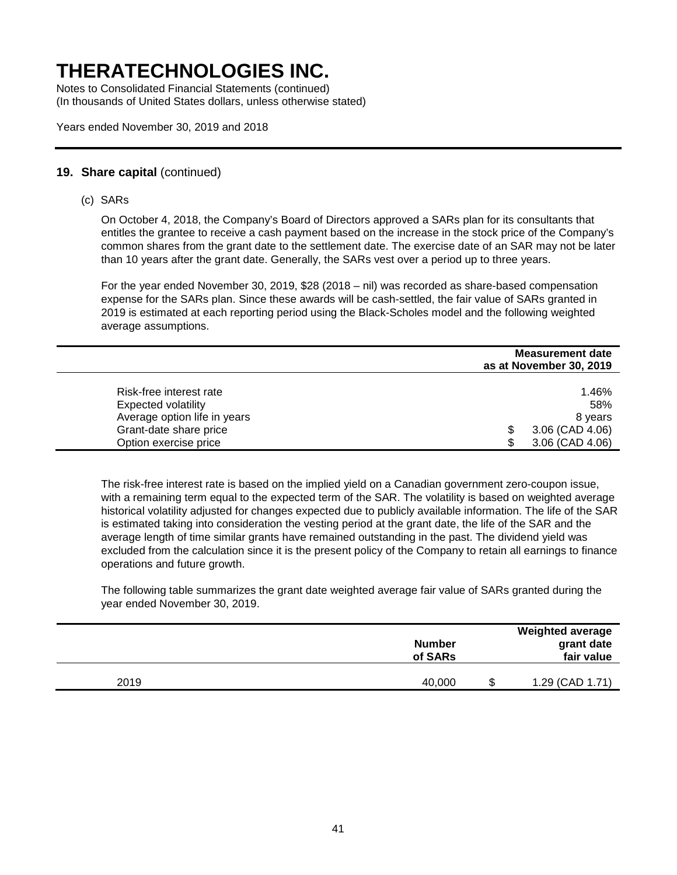Notes to Consolidated Financial Statements (continued) (In thousands of United States dollars, unless otherwise stated)

Years ended November 30, 2019 and 2018

### **19. Share capital** (continued)

(c) SARs

On October 4, 2018, the Company's Board of Directors approved a SARs plan for its consultants that entitles the grantee to receive a cash payment based on the increase in the stock price of the Company's common shares from the grant date to the settlement date. The exercise date of an SAR may not be later than 10 years after the grant date. Generally, the SARs vest over a period up to three years.

For the year ended November 30, 2019, \$28 (2018 – nil) was recorded as share-based compensation expense for the SARs plan. Since these awards will be cash-settled, the fair value of SARs granted in 2019 is estimated at each reporting period using the Black-Scholes model and the following weighted average assumptions.

|                              | <b>Measurement date</b> |                 |  |
|------------------------------|-------------------------|-----------------|--|
|                              | as at November 30, 2019 |                 |  |
|                              |                         |                 |  |
| Risk-free interest rate      |                         | 1.46%           |  |
| <b>Expected volatility</b>   |                         | 58%             |  |
| Average option life in years |                         | 8 years         |  |
| Grant-date share price       |                         | 3.06 (CAD 4.06) |  |
| Option exercise price        |                         | 3.06 (CAD 4.06) |  |

The risk-free interest rate is based on the implied yield on a Canadian government zero-coupon issue, with a remaining term equal to the expected term of the SAR. The volatility is based on weighted average historical volatility adjusted for changes expected due to publicly available information. The life of the SAR is estimated taking into consideration the vesting period at the grant date, the life of the SAR and the average length of time similar grants have remained outstanding in the past. The dividend yield was excluded from the calculation since it is the present policy of the Company to retain all earnings to finance operations and future growth.

The following table summarizes the grant date weighted average fair value of SARs granted during the year ended November 30, 2019.

|      | <b>Number</b><br>of SARs | <b>Weighted average</b><br>grant date<br>fair value |
|------|--------------------------|-----------------------------------------------------|
| 2019 | 40,000                   | \$<br>1.29 (CAD 1.71)                               |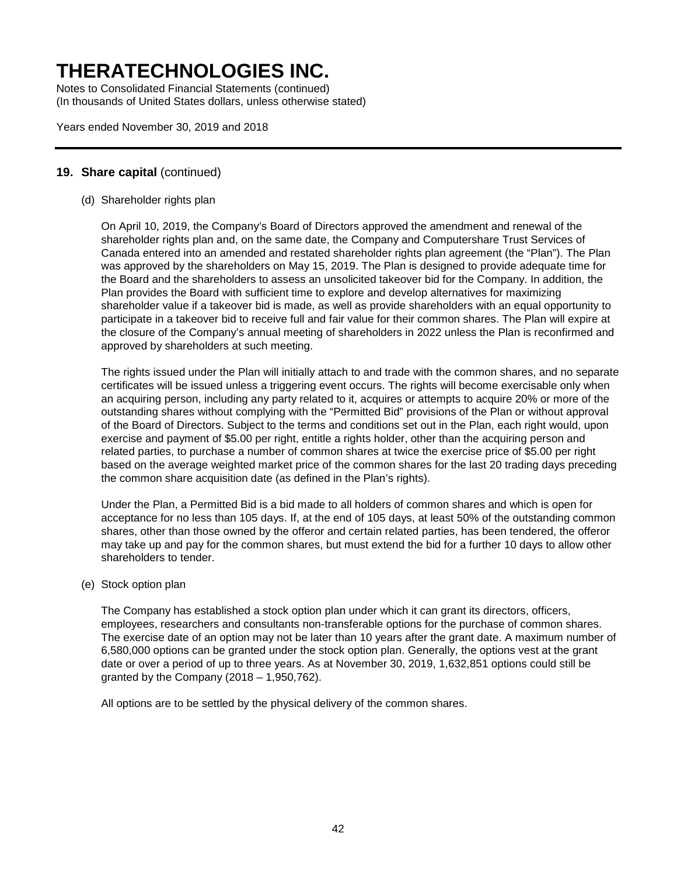Notes to Consolidated Financial Statements (continued) (In thousands of United States dollars, unless otherwise stated)

Years ended November 30, 2019 and 2018

### **19. Share capital** (continued)

(d) Shareholder rights plan

On April 10, 2019, the Company's Board of Directors approved the amendment and renewal of the shareholder rights plan and, on the same date, the Company and Computershare Trust Services of Canada entered into an amended and restated shareholder rights plan agreement (the "Plan"). The Plan was approved by the shareholders on May 15, 2019. The Plan is designed to provide adequate time for the Board and the shareholders to assess an unsolicited takeover bid for the Company. In addition, the Plan provides the Board with sufficient time to explore and develop alternatives for maximizing shareholder value if a takeover bid is made, as well as provide shareholders with an equal opportunity to participate in a takeover bid to receive full and fair value for their common shares. The Plan will expire at the closure of the Company's annual meeting of shareholders in 2022 unless the Plan is reconfirmed and approved by shareholders at such meeting.

The rights issued under the Plan will initially attach to and trade with the common shares, and no separate certificates will be issued unless a triggering event occurs. The rights will become exercisable only when an acquiring person, including any party related to it, acquires or attempts to acquire 20% or more of the outstanding shares without complying with the "Permitted Bid" provisions of the Plan or without approval of the Board of Directors. Subject to the terms and conditions set out in the Plan, each right would, upon exercise and payment of \$5.00 per right, entitle a rights holder, other than the acquiring person and related parties, to purchase a number of common shares at twice the exercise price of \$5.00 per right based on the average weighted market price of the common shares for the last 20 trading days preceding the common share acquisition date (as defined in the Plan's rights).

Under the Plan, a Permitted Bid is a bid made to all holders of common shares and which is open for acceptance for no less than 105 days. If, at the end of 105 days, at least 50% of the outstanding common shares, other than those owned by the offeror and certain related parties, has been tendered, the offeror may take up and pay for the common shares, but must extend the bid for a further 10 days to allow other shareholders to tender.

(e) Stock option plan

The Company has established a stock option plan under which it can grant its directors, officers, employees, researchers and consultants non-transferable options for the purchase of common shares. The exercise date of an option may not be later than 10 years after the grant date. A maximum number of 6,580,000 options can be granted under the stock option plan. Generally, the options vest at the grant date or over a period of up to three years. As at November 30, 2019, 1,632,851 options could still be granted by the Company  $(2018 - 1,950,762)$ .

All options are to be settled by the physical delivery of the common shares.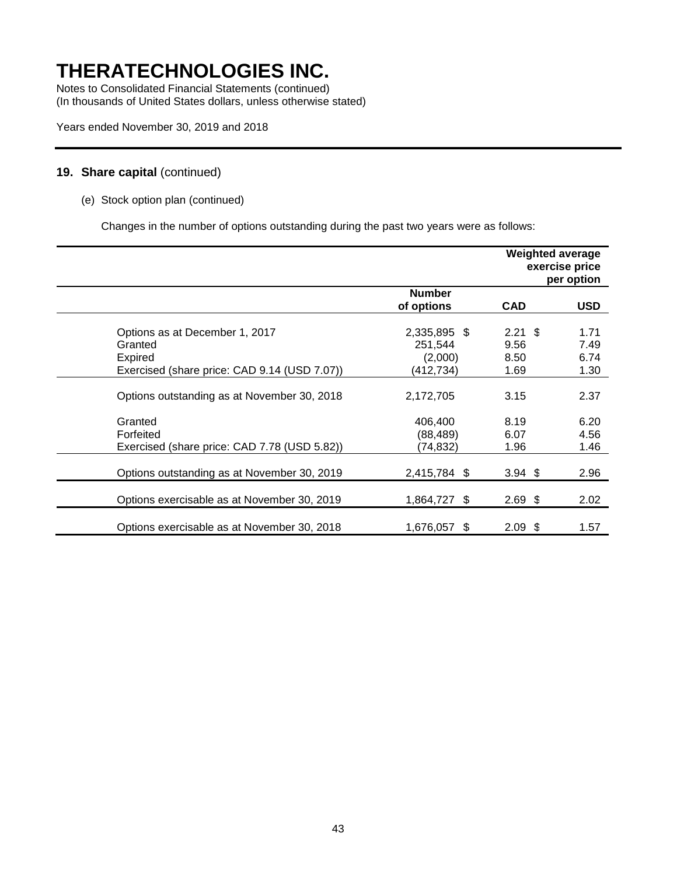Notes to Consolidated Financial Statements (continued) (In thousands of United States dollars, unless otherwise stated)

Years ended November 30, 2019 and 2018

## 19. Share capital (continued)

(e) Stock option plan (continued)

Changes in the number of options outstanding during the past two years were as follows:

|                                                                                                      |                                                 | <b>Weighted average</b>           | exercise price<br>per option |
|------------------------------------------------------------------------------------------------------|-------------------------------------------------|-----------------------------------|------------------------------|
|                                                                                                      | <b>Number</b><br>of options                     | <b>CAD</b>                        | <b>USD</b>                   |
| Options as at December 1, 2017<br>Granted<br>Expired<br>Exercised (share price: CAD 9.14 (USD 7.07)) | 2,335,895 \$<br>251,544<br>(2,000)<br>(412,734) | $2.21$ \$<br>9.56<br>8.50<br>1.69 | 1.71<br>7.49<br>6.74<br>1.30 |
| Options outstanding as at November 30, 2018                                                          | 2,172,705                                       | 3.15                              | 2.37                         |
| Granted<br>Forfeited<br>Exercised (share price: CAD 7.78 (USD 5.82))                                 | 406,400<br>(88, 489)<br>(74,832)                | 8.19<br>6.07<br>1.96              | 6.20<br>4.56<br>1.46         |
| Options outstanding as at November 30, 2019                                                          | 2,415,784 \$                                    | $3.94$ \$                         | 2.96                         |
| Options exercisable as at November 30, 2019                                                          | 1,864,727 \$                                    | $2.69$ \$                         | 2.02                         |
| Options exercisable as at November 30, 2018                                                          | 1,676,057 \$                                    | $2.09$ \$                         | 1.57                         |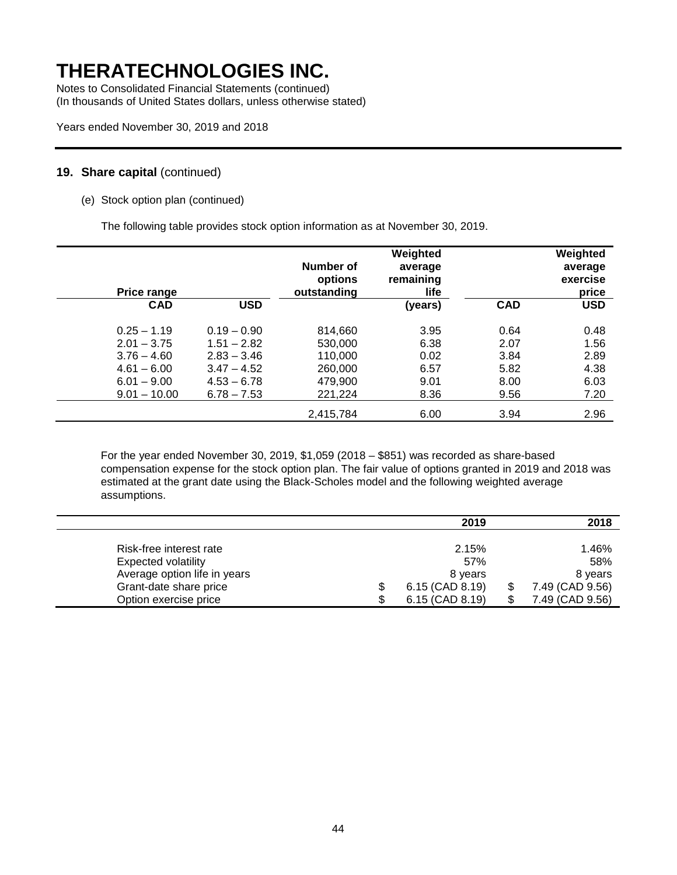Notes to Consolidated Financial Statements (continued) (In thousands of United States dollars, unless otherwise stated)

Years ended November 30, 2019 and 2018

### 19. Share capital (continued)

(e) Stock option plan (continued)

The following table provides stock option information as at November 30, 2019.

| <b>Price range</b>                                                                                  |                                                                                                    | Number of<br>options<br>outstanding                            | Weighted<br>average<br>remaining<br>life     |                                              | Weighted<br>average<br>exercise<br>price     |
|-----------------------------------------------------------------------------------------------------|----------------------------------------------------------------------------------------------------|----------------------------------------------------------------|----------------------------------------------|----------------------------------------------|----------------------------------------------|
| <b>CAD</b>                                                                                          | <b>USD</b>                                                                                         |                                                                | (years)                                      | <b>CAD</b>                                   | <b>USD</b>                                   |
| $0.25 - 1.19$<br>$2.01 - 3.75$<br>$3.76 - 4.60$<br>$4.61 - 6.00$<br>$6.01 - 9.00$<br>$9.01 - 10.00$ | $0.19 - 0.90$<br>$1.51 - 2.82$<br>$2.83 - 3.46$<br>$3.47 - 4.52$<br>$4.53 - 6.78$<br>$6.78 - 7.53$ | 814.660<br>530,000<br>110,000<br>260,000<br>479,900<br>221,224 | 3.95<br>6.38<br>0.02<br>6.57<br>9.01<br>8.36 | 0.64<br>2.07<br>3.84<br>5.82<br>8.00<br>9.56 | 0.48<br>1.56<br>2.89<br>4.38<br>6.03<br>7.20 |
|                                                                                                     |                                                                                                    | 2,415,784                                                      | 6.00                                         | 3.94                                         | 2.96                                         |

For the year ended November 30, 2019, \$1,059 (2018 – \$851) was recorded as share-based compensation expense for the stock option plan. The fair value of options granted in 2019 and 2018 was estimated at the grant date using the Black-Scholes model and the following weighted average assumptions.

|                              | 2019            | 2018            |
|------------------------------|-----------------|-----------------|
|                              |                 |                 |
| Risk-free interest rate      | 2.15%           | 1.46%           |
| <b>Expected volatility</b>   | 57%             | 58%             |
| Average option life in years | 8 years         | 8 years         |
| Grant-date share price       | 6.15 (CAD 8.19) | 7.49 (CAD 9.56) |
| Option exercise price        | 6.15 (CAD 8.19) | 7.49 (CAD 9.56) |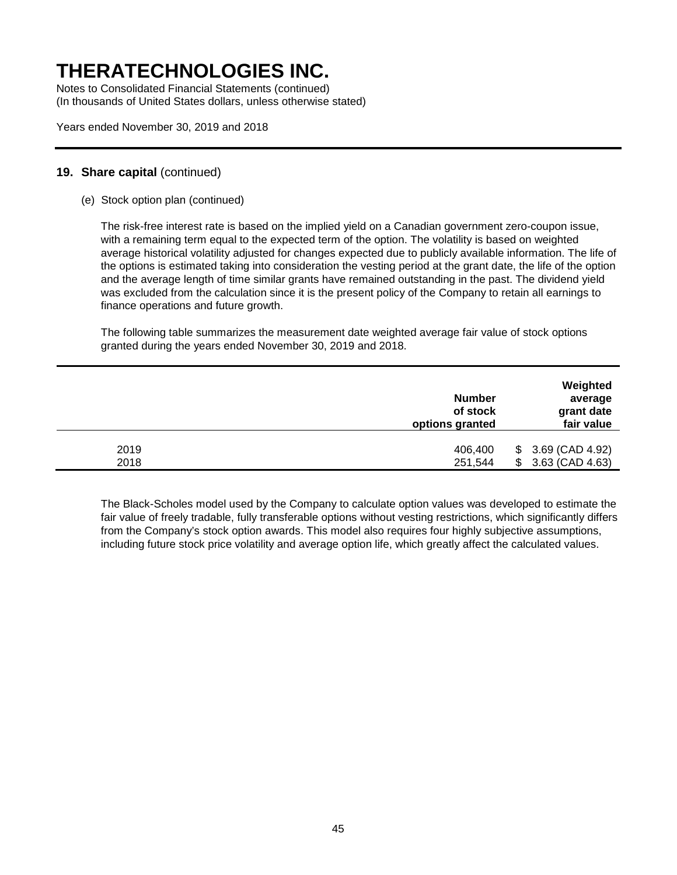Notes to Consolidated Financial Statements (continued) (In thousands of United States dollars, unless otherwise stated)

Years ended November 30, 2019 and 2018

### **19. Share capital** (continued)

(e) Stock option plan (continued)

The risk-free interest rate is based on the implied yield on a Canadian government zero-coupon issue, with a remaining term equal to the expected term of the option. The volatility is based on weighted average historical volatility adjusted for changes expected due to publicly available information. The life of the options is estimated taking into consideration the vesting period at the grant date, the life of the option and the average length of time similar grants have remained outstanding in the past. The dividend yield was excluded from the calculation since it is the present policy of the Company to retain all earnings to finance operations and future growth.

The following table summarizes the measurement date weighted average fair value of stock options granted during the years ended November 30, 2019 and 2018.

|      | <b>Number</b><br>of stock<br>options granted | Weighted<br>average<br>grant date<br>fair value |
|------|----------------------------------------------|-------------------------------------------------|
| 2019 | 406,400                                      | $$3.69$ (CAD 4.92)                              |
| 2018 | 251,544                                      | $$3.63$ (CAD 4.63)                              |

The Black-Scholes model used by the Company to calculate option values was developed to estimate the fair value of freely tradable, fully transferable options without vesting restrictions, which significantly differs from the Company's stock option awards. This model also requires four highly subjective assumptions, including future stock price volatility and average option life, which greatly affect the calculated values.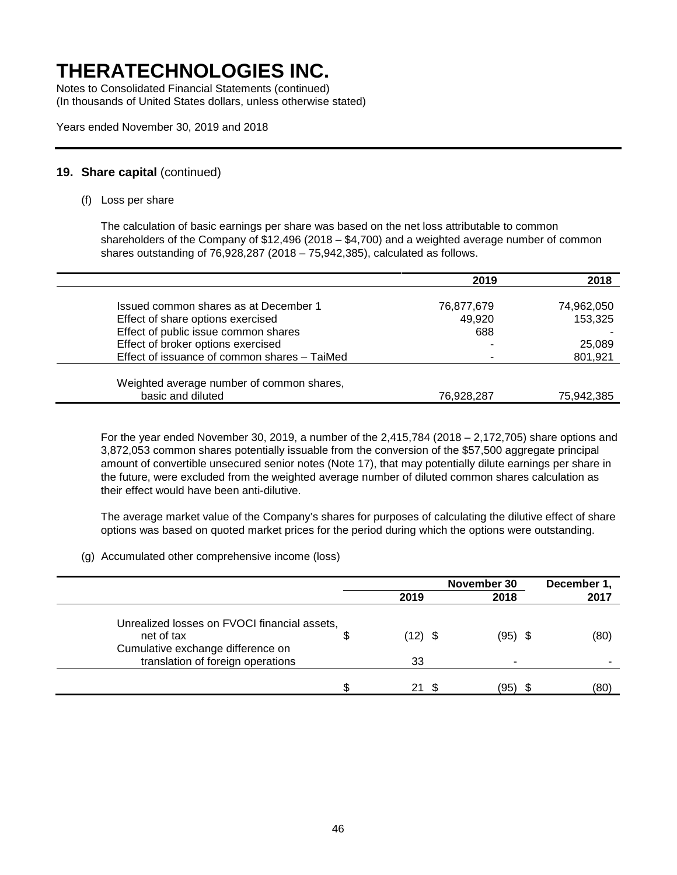Notes to Consolidated Financial Statements (continued) (In thousands of United States dollars, unless otherwise stated)

Years ended November 30, 2019 and 2018

### **19. Share capital** (continued)

(f) Loss per share

The calculation of basic earnings per share was based on the net loss attributable to common shareholders of the Company of \$12,496 (2018 – \$4,700) and a weighted average number of common shares outstanding of 76,928,287 (2018 – 75,942,385), calculated as follows.

|                                              | 2019       | 2018       |
|----------------------------------------------|------------|------------|
|                                              |            |            |
| Issued common shares as at December 1        | 76,877,679 | 74,962,050 |
| Effect of share options exercised            | 49,920     | 153,325    |
| Effect of public issue common shares         | 688        |            |
| Effect of broker options exercised           |            | 25,089     |
| Effect of issuance of common shares - TaiMed |            | 801,921    |
|                                              |            |            |
| Weighted average number of common shares,    |            |            |
| basic and diluted                            | 76,928,287 | 75,942,385 |

For the year ended November 30, 2019, a number of the 2,415,784 (2018 – 2,172,705) share options and 3,872,053 common shares potentially issuable from the conversion of the \$57,500 aggregate principal amount of convertible unsecured senior notes (Note 17), that may potentially dilute earnings per share in the future, were excluded from the weighted average number of diluted common shares calculation as their effect would have been anti-dilutive.

The average market value of the Company's shares for purposes of calculating the dilutive effect of share options was based on quoted market prices for the period during which the options were outstanding.

(g) Accumulated other comprehensive income (loss)

|                                                                                                                                      |   |                 | November 30    | December 1, |
|--------------------------------------------------------------------------------------------------------------------------------------|---|-----------------|----------------|-------------|
|                                                                                                                                      |   | 2019            | 2018           | 2017        |
| Unrealized losses on FVOCI financial assets,<br>net of tax<br>Cumulative exchange difference on<br>translation of foreign operations | Φ | $(12)$ \$<br>33 | $(95)$ \$<br>- | (80)        |
|                                                                                                                                      |   | 21              | (95) \$        | (80)        |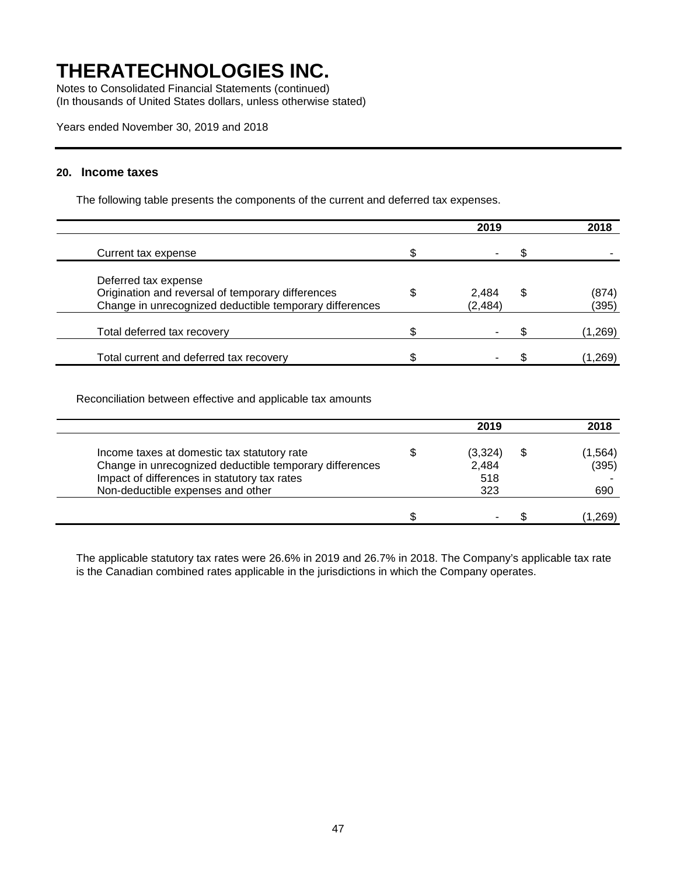Notes to Consolidated Financial Statements (continued) (In thousands of United States dollars, unless otherwise stated)

Years ended November 30, 2019 and 2018

### **20. Income taxes**

The following table presents the components of the current and deferred tax expenses.

|                                                                                                                                      | 2019              |   | 2018           |
|--------------------------------------------------------------------------------------------------------------------------------------|-------------------|---|----------------|
| Current tax expense                                                                                                                  | ۰                 |   |                |
| Deferred tax expense<br>Origination and reversal of temporary differences<br>Change in unrecognized deductible temporary differences | 2,484<br>(2, 484) | S | (874)<br>(395) |
| Total deferred tax recovery                                                                                                          |                   |   | (1,269)        |
| Total current and deferred tax recovery                                                                                              |                   |   | ,269)          |

Reconciliation between effective and applicable tax amounts

|                                                         | 2019    |   | 2018     |
|---------------------------------------------------------|---------|---|----------|
| Income taxes at domestic tax statutory rate             | (3,324) | S | (1, 564) |
| Change in unrecognized deductible temporary differences | 2,484   |   | (395)    |
| Impact of differences in statutory tax rates            | 518     |   |          |
| Non-deductible expenses and other                       | 323     |   | 690      |
|                                                         | ۰       |   | (1,269)  |

The applicable statutory tax rates were 26.6% in 2019 and 26.7% in 2018. The Company's applicable tax rate is the Canadian combined rates applicable in the jurisdictions in which the Company operates.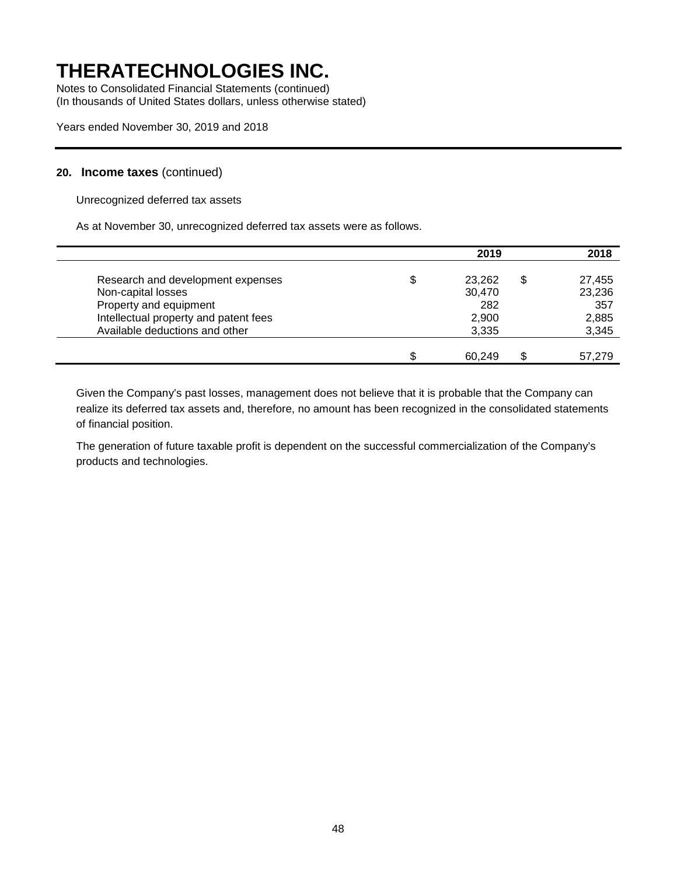Notes to Consolidated Financial Statements (continued) (In thousands of United States dollars, unless otherwise stated)

Years ended November 30, 2019 and 2018

### **20. Income taxes** (continued)

Unrecognized deferred tax assets

As at November 30, unrecognized deferred tax assets were as follows.

|                                       |     | 2019   | 2018         |
|---------------------------------------|-----|--------|--------------|
| Research and development expenses     | \$  | 23,262 | \$<br>27,455 |
| Non-capital losses                    |     | 30,470 | 23,236       |
| Property and equipment                |     | 282    | 357          |
| Intellectual property and patent fees |     | 2,900  | 2,885        |
| Available deductions and other        |     | 3,335  | 3,345        |
|                                       |     |        |              |
|                                       | \$. | 60.249 | \$<br>57.279 |

Given the Company's past losses, management does not believe that it is probable that the Company can realize its deferred tax assets and, therefore, no amount has been recognized in the consolidated statements of financial position.

The generation of future taxable profit is dependent on the successful commercialization of the Company's products and technologies.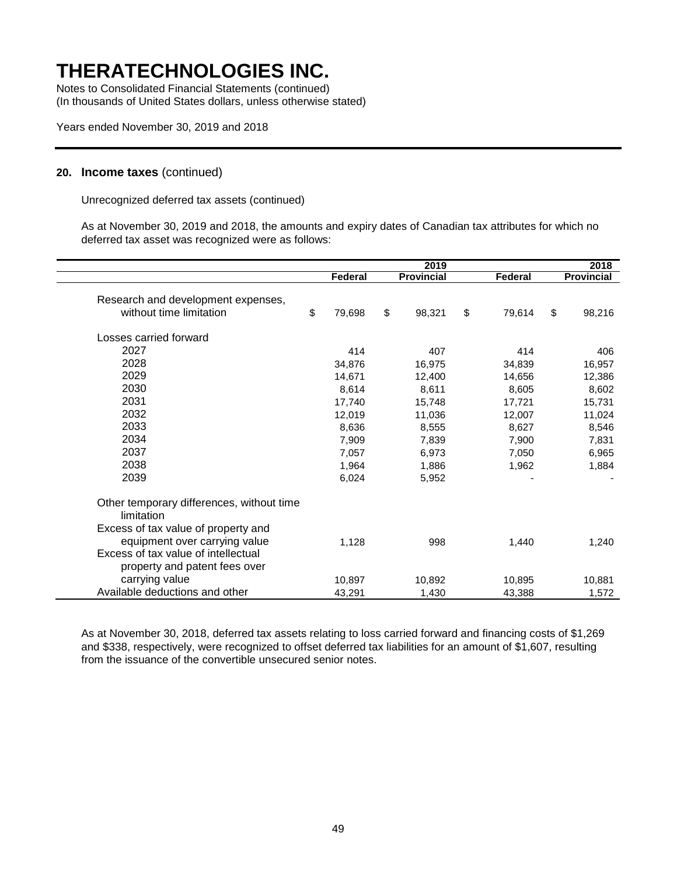Notes to Consolidated Financial Statements (continued) (In thousands of United States dollars, unless otherwise stated)

Years ended November 30, 2019 and 2018

### **20. Income taxes** (continued)

Unrecognized deferred tax assets (continued)

As at November 30, 2019 and 2018, the amounts and expiry dates of Canadian tax attributes for which no deferred tax asset was recognized were as follows:

|                                           |         | 2019              |              | 2018              |
|-------------------------------------------|---------|-------------------|--------------|-------------------|
|                                           | Federal | <b>Provincial</b> | Federal      | <b>Provincial</b> |
| Research and development expenses,        |         |                   |              |                   |
| without time limitation<br>\$             | 79,698  | \$<br>98,321      | \$<br>79,614 | \$<br>98,216      |
| Losses carried forward                    |         |                   |              |                   |
| 2027                                      | 414     | 407               | 414          | 406               |
| 2028                                      | 34,876  | 16,975            | 34,839       | 16,957            |
| 2029                                      | 14,671  | 12,400            | 14,656       | 12,386            |
| 2030                                      | 8,614   | 8,611             | 8,605        | 8,602             |
| 2031                                      | 17,740  | 15,748            | 17,721       | 15,731            |
| 2032                                      | 12,019  | 11,036            | 12,007       | 11,024            |
| 2033                                      | 8,636   | 8,555             | 8,627        | 8,546             |
| 2034                                      | 7,909   | 7,839             | 7,900        | 7,831             |
| 2037                                      | 7,057   | 6,973             | 7,050        | 6,965             |
| 2038                                      | 1,964   | 1,886             | 1,962        | 1,884             |
| 2039                                      | 6,024   | 5,952             |              |                   |
| Other temporary differences, without time |         |                   |              |                   |
| limitation                                |         |                   |              |                   |
| Excess of tax value of property and       |         |                   |              |                   |
| equipment over carrying value             | 1,128   | 998               | 1,440        | 1,240             |
| Excess of tax value of intellectual       |         |                   |              |                   |
| property and patent fees over             |         |                   |              |                   |
| carrying value                            | 10,897  | 10,892            | 10,895       | 10,881            |
| Available deductions and other            | 43,291  | 1,430             | 43,388       | 1,572             |

As at November 30, 2018, deferred tax assets relating to loss carried forward and financing costs of \$1,269 and \$338, respectively, were recognized to offset deferred tax liabilities for an amount of \$1,607, resulting from the issuance of the convertible unsecured senior notes.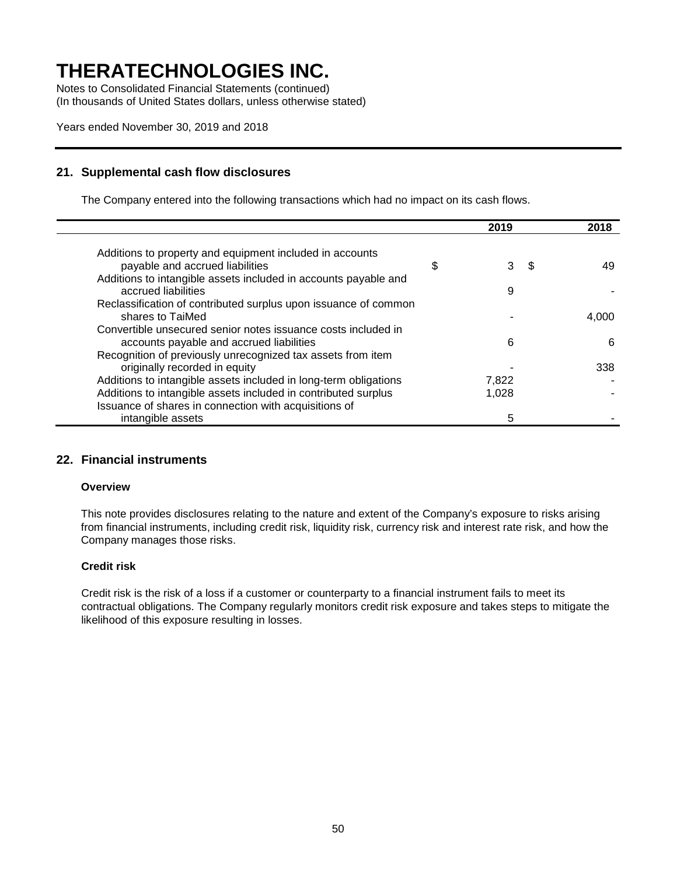Notes to Consolidated Financial Statements (continued) (In thousands of United States dollars, unless otherwise stated)

Years ended November 30, 2019 and 2018

## **21. Supplemental cash flow disclosures**

The Company entered into the following transactions which had no impact on its cash flows.

|                                                                  | 2019    | 2018     |
|------------------------------------------------------------------|---------|----------|
| Additions to property and equipment included in accounts         |         |          |
| payable and accrued liabilities                                  | \$<br>3 | \$<br>49 |
| Additions to intangible assets included in accounts payable and  |         |          |
| accrued liabilities                                              | 9       |          |
| Reclassification of contributed surplus upon issuance of common  |         |          |
| shares to TaiMed                                                 |         | 4.000    |
| Convertible unsecured senior notes issuance costs included in    |         |          |
| accounts payable and accrued liabilities                         | 6       | 6        |
| Recognition of previously unrecognized tax assets from item      |         |          |
| originally recorded in equity                                    |         | 338      |
| Additions to intangible assets included in long-term obligations | 7,822   |          |
| Additions to intangible assets included in contributed surplus   | 1,028   |          |
| Issuance of shares in connection with acquisitions of            |         |          |
| intangible assets                                                | 5       |          |

### **22. Financial instruments**

#### **Overview**

This note provides disclosures relating to the nature and extent of the Company's exposure to risks arising from financial instruments, including credit risk, liquidity risk, currency risk and interest rate risk, and how the Company manages those risks.

#### **Credit risk**

Credit risk is the risk of a loss if a customer or counterparty to a financial instrument fails to meet its contractual obligations. The Company regularly monitors credit risk exposure and takes steps to mitigate the likelihood of this exposure resulting in losses.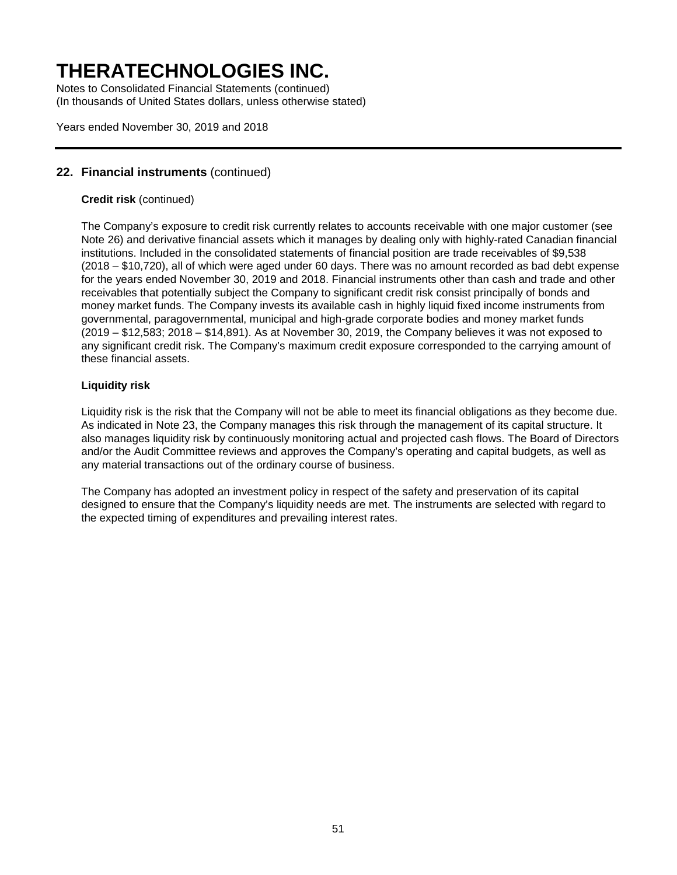Notes to Consolidated Financial Statements (continued) (In thousands of United States dollars, unless otherwise stated)

Years ended November 30, 2019 and 2018

### **22. Financial instruments** (continued)

#### **Credit risk** (continued)

The Company's exposure to credit risk currently relates to accounts receivable with one major customer (see Note 26) and derivative financial assets which it manages by dealing only with highly-rated Canadian financial institutions. Included in the consolidated statements of financial position are trade receivables of \$9,538 (2018 – \$10,720), all of which were aged under 60 days. There was no amount recorded as bad debt expense for the years ended November 30, 2019 and 2018. Financial instruments other than cash and trade and other receivables that potentially subject the Company to significant credit risk consist principally of bonds and money market funds. The Company invests its available cash in highly liquid fixed income instruments from governmental, paragovernmental, municipal and high-grade corporate bodies and money market funds (2019 – \$12,583; 2018 – \$14,891). As at November 30, 2019, the Company believes it was not exposed to any significant credit risk. The Company's maximum credit exposure corresponded to the carrying amount of these financial assets.

### **Liquidity risk**

Liquidity risk is the risk that the Company will not be able to meet its financial obligations as they become due. As indicated in Note 23, the Company manages this risk through the management of its capital structure. It also manages liquidity risk by continuously monitoring actual and projected cash flows. The Board of Directors and/or the Audit Committee reviews and approves the Company's operating and capital budgets, as well as any material transactions out of the ordinary course of business.

The Company has adopted an investment policy in respect of the safety and preservation of its capital designed to ensure that the Company's liquidity needs are met. The instruments are selected with regard to the expected timing of expenditures and prevailing interest rates.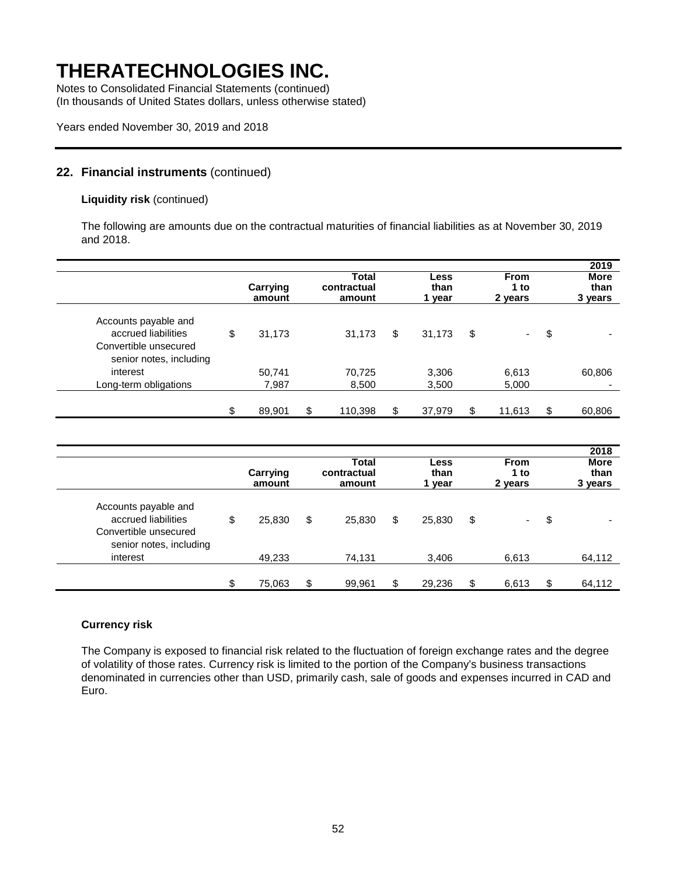Notes to Consolidated Financial Statements (continued) (In thousands of United States dollars, unless otherwise stated)

Years ended November 30, 2019 and 2018

## **22. Financial instruments** (continued)

### **Liquidity risk** (continued)

The following are amounts due on the contractual maturities of financial liabilities as at November 30, 2019 and 2018.

|                                                                                                 | Carrying<br>amount | Total<br>contractual<br>amount | Less<br>than<br>1 vear | <b>From</b><br>1 to<br>2 years | 2019<br><b>More</b><br>than<br>3 years |
|-------------------------------------------------------------------------------------------------|--------------------|--------------------------------|------------------------|--------------------------------|----------------------------------------|
| Accounts payable and<br>accrued liabilities<br>Convertible unsecured<br>senior notes, including | \$<br>31,173       | 31,173                         | \$<br>31,173           | \$<br>$\sim$                   | \$                                     |
| interest<br>Long-term obligations                                                               | 50,741             | 70,725                         | 3,306                  | 6,613                          | 60,806                                 |
|                                                                                                 | 7,987              | 8,500                          | 3,500                  | 5,000                          |                                        |
|                                                                                                 | \$<br>89.901       | \$<br>110,398                  | 37.979                 | \$<br>11,613                   | \$<br>60,806                           |

|                                                                                                 | Carrying<br>amount | <b>Total</b><br>contractual<br>amount |    | Less<br>than<br>1 year | <b>From</b><br>1 to<br>2 years | 2018<br><b>More</b><br>than<br>3 years |
|-------------------------------------------------------------------------------------------------|--------------------|---------------------------------------|----|------------------------|--------------------------------|----------------------------------------|
| Accounts payable and<br>accrued liabilities<br>Convertible unsecured<br>senior notes, including | \$<br>25,830       | \$<br>25,830                          | \$ | 25,830                 | \$<br>$\sim$                   | \$                                     |
| interest                                                                                        | 49,233             | 74,131                                |    | 3,406                  | 6,613                          | 64,112                                 |
|                                                                                                 | \$<br>75,063       | \$<br>99,961                          | S  | 29,236                 | \$<br>6,613                    | \$<br>64,112                           |

### **Currency risk**

The Company is exposed to financial risk related to the fluctuation of foreign exchange rates and the degree of volatility of those rates. Currency risk is limited to the portion of the Company's business transactions denominated in currencies other than USD, primarily cash, sale of goods and expenses incurred in CAD and Euro.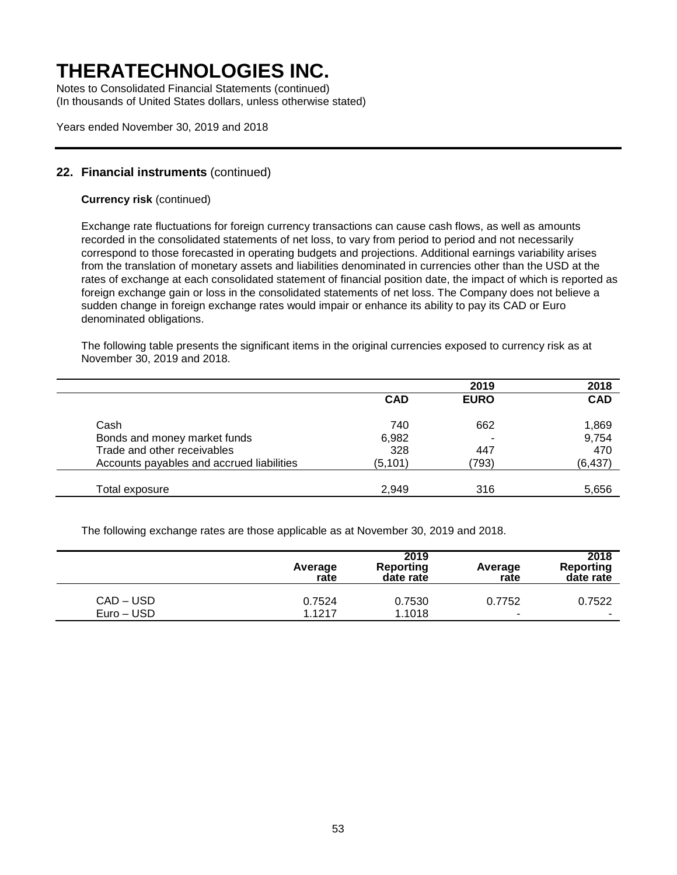Notes to Consolidated Financial Statements (continued) (In thousands of United States dollars, unless otherwise stated)

Years ended November 30, 2019 and 2018

### **22. Financial instruments** (continued)

#### **Currency risk** (continued)

Exchange rate fluctuations for foreign currency transactions can cause cash flows, as well as amounts recorded in the consolidated statements of net loss, to vary from period to period and not necessarily correspond to those forecasted in operating budgets and projections. Additional earnings variability arises from the translation of monetary assets and liabilities denominated in currencies other than the USD at the rates of exchange at each consolidated statement of financial position date, the impact of which is reported as foreign exchange gain or loss in the consolidated statements of net loss. The Company does not believe a sudden change in foreign exchange rates would impair or enhance its ability to pay its CAD or Euro denominated obligations.

The following table presents the significant items in the original currencies exposed to currency risk as at November 30, 2019 and 2018.

|                                           |            | 2019        | 2018       |
|-------------------------------------------|------------|-------------|------------|
|                                           | <b>CAD</b> | <b>EURO</b> | <b>CAD</b> |
| Cash                                      | 740        | 662         | 1,869      |
| Bonds and money market funds              | 6,982      |             | 9,754      |
| Trade and other receivables               | 328        | 447         | 470        |
| Accounts payables and accrued liabilities | (5, 101)   | (793)       | (6, 437)   |
| Total exposure                            | 2.949      | 316         | 5,656      |
|                                           |            |             |            |

The following exchange rates are those applicable as at November 30, 2019 and 2018.

|              | Average<br>rate | 2019<br>Reporting<br>date rate | Average<br>rate | 2018<br>Reporting<br>date rate |
|--------------|-----------------|--------------------------------|-----------------|--------------------------------|
| $CAD - USD$  | 0.7524          | 0.7530                         | 0.7752          | 0.7522                         |
| $Euro - USD$ | 1.1217          | 1.1018                         |                 |                                |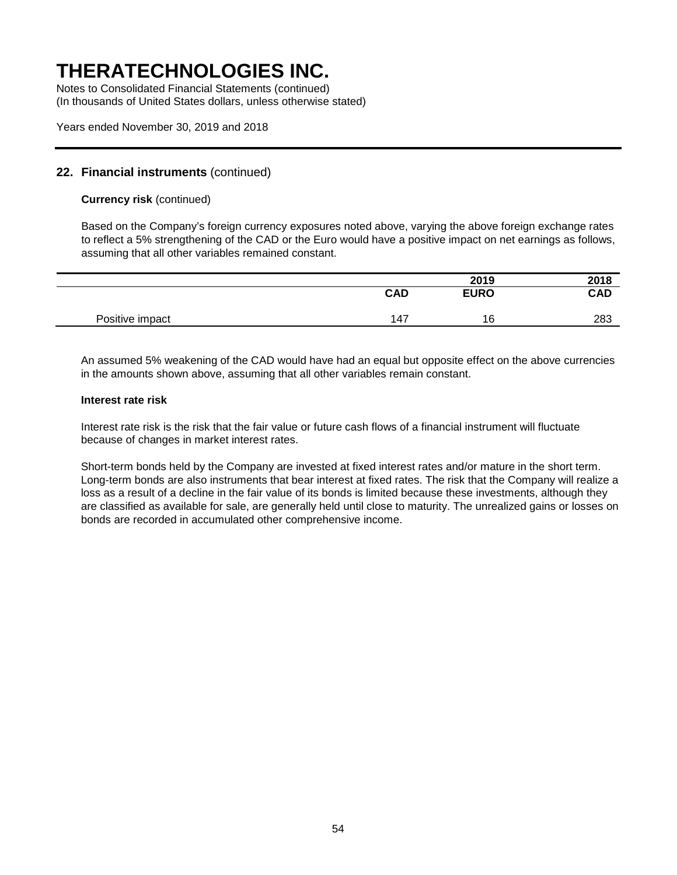Notes to Consolidated Financial Statements (continued) (In thousands of United States dollars, unless otherwise stated)

Years ended November 30, 2019 and 2018

### **22. Financial instruments** (continued)

**Currency risk** (continued)

Based on the Company's foreign currency exposures noted above, varying the above foreign exchange rates to reflect a 5% strengthening of the CAD or the Euro would have a positive impact on net earnings as follows, assuming that all other variables remained constant.

|                 |            | 2019        | 2018       |
|-----------------|------------|-------------|------------|
|                 | <b>CAD</b> | <b>EURO</b> | <b>CAD</b> |
| Positive impact | 147        | 16          | 283        |

An assumed 5% weakening of the CAD would have had an equal but opposite effect on the above currencies in the amounts shown above, assuming that all other variables remain constant.

### **Interest rate risk**

Interest rate risk is the risk that the fair value or future cash flows of a financial instrument will fluctuate because of changes in market interest rates.

Short-term bonds held by the Company are invested at fixed interest rates and/or mature in the short term. Long-term bonds are also instruments that bear interest at fixed rates. The risk that the Company will realize a loss as a result of a decline in the fair value of its bonds is limited because these investments, although they are classified as available for sale, are generally held until close to maturity. The unrealized gains or losses on bonds are recorded in accumulated other comprehensive income.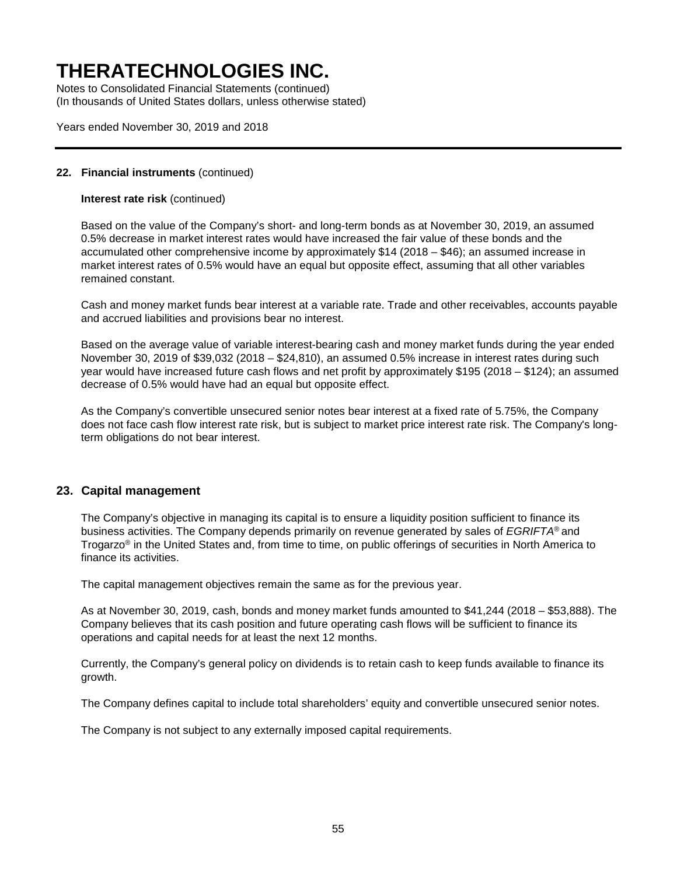Notes to Consolidated Financial Statements (continued) (In thousands of United States dollars, unless otherwise stated)

Years ended November 30, 2019 and 2018

#### **22. Financial instruments** (continued)

#### **Interest rate risk** (continued)

Based on the value of the Company's short- and long-term bonds as at November 30, 2019, an assumed 0.5% decrease in market interest rates would have increased the fair value of these bonds and the accumulated other comprehensive income by approximately \$14 (2018 – \$46); an assumed increase in market interest rates of 0.5% would have an equal but opposite effect, assuming that all other variables remained constant.

Cash and money market funds bear interest at a variable rate. Trade and other receivables, accounts payable and accrued liabilities and provisions bear no interest.

Based on the average value of variable interest-bearing cash and money market funds during the year ended November 30, 2019 of \$39,032 (2018 – \$24,810), an assumed 0.5% increase in interest rates during such year would have increased future cash flows and net profit by approximately \$195 (2018 – \$124); an assumed decrease of 0.5% would have had an equal but opposite effect.

As the Company's convertible unsecured senior notes bear interest at a fixed rate of 5.75%, the Company does not face cash flow interest rate risk, but is subject to market price interest rate risk. The Company's longterm obligations do not bear interest.

### **23. Capital management**

The Company's objective in managing its capital is to ensure a liquidity position sufficient to finance its business activities. The Company depends primarily on revenue generated by sales of *EGRIFTA*® and Trogarzo® in the United States and, from time to time, on public offerings of securities in North America to finance its activities.

The capital management objectives remain the same as for the previous year.

As at November 30, 2019, cash, bonds and money market funds amounted to \$41,244 (2018 – \$53,888). The Company believes that its cash position and future operating cash flows will be sufficient to finance its operations and capital needs for at least the next 12 months.

Currently, the Company's general policy on dividends is to retain cash to keep funds available to finance its growth.

The Company defines capital to include total shareholders' equity and convertible unsecured senior notes.

The Company is not subject to any externally imposed capital requirements.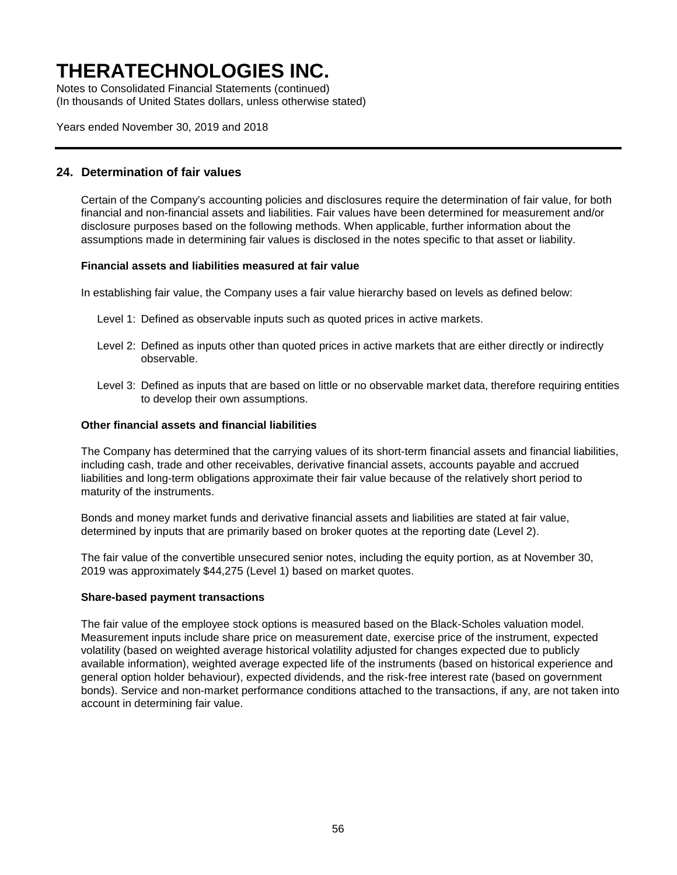Notes to Consolidated Financial Statements (continued) (In thousands of United States dollars, unless otherwise stated)

Years ended November 30, 2019 and 2018

### **24. Determination of fair values**

Certain of the Company's accounting policies and disclosures require the determination of fair value, for both financial and non-financial assets and liabilities. Fair values have been determined for measurement and/or disclosure purposes based on the following methods. When applicable, further information about the assumptions made in determining fair values is disclosed in the notes specific to that asset or liability.

### **Financial assets and liabilities measured at fair value**

In establishing fair value, the Company uses a fair value hierarchy based on levels as defined below:

- Level 1: Defined as observable inputs such as quoted prices in active markets.
- Level 2: Defined as inputs other than quoted prices in active markets that are either directly or indirectly observable.
- Level 3: Defined as inputs that are based on little or no observable market data, therefore requiring entities to develop their own assumptions.

### **Other financial assets and financial liabilities**

The Company has determined that the carrying values of its short-term financial assets and financial liabilities, including cash, trade and other receivables, derivative financial assets, accounts payable and accrued liabilities and long-term obligations approximate their fair value because of the relatively short period to maturity of the instruments.

Bonds and money market funds and derivative financial assets and liabilities are stated at fair value, determined by inputs that are primarily based on broker quotes at the reporting date (Level 2).

The fair value of the convertible unsecured senior notes, including the equity portion, as at November 30, 2019 was approximately \$44,275 (Level 1) based on market quotes.

#### **Share-based payment transactions**

The fair value of the employee stock options is measured based on the Black-Scholes valuation model. Measurement inputs include share price on measurement date, exercise price of the instrument, expected volatility (based on weighted average historical volatility adjusted for changes expected due to publicly available information), weighted average expected life of the instruments (based on historical experience and general option holder behaviour), expected dividends, and the risk-free interest rate (based on government bonds). Service and non-market performance conditions attached to the transactions, if any, are not taken into account in determining fair value.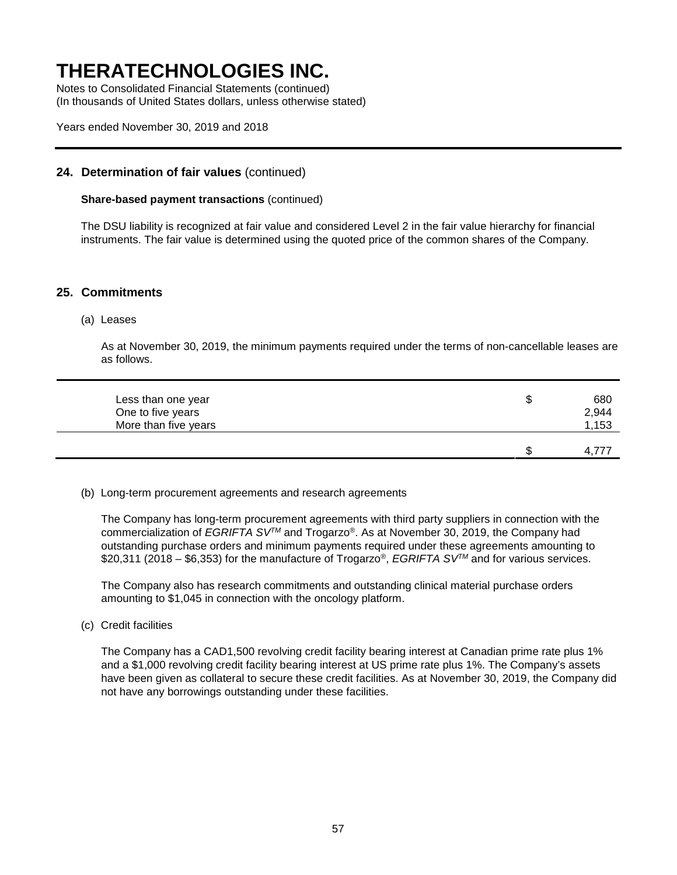Notes to Consolidated Financial Statements (continued) (In thousands of United States dollars, unless otherwise stated)

Years ended November 30, 2019 and 2018

### **24. Determination of fair values** (continued)

**Share-based payment transactions** (continued)

The DSU liability is recognized at fair value and considered Level 2 in the fair value hierarchy for financial instruments. The fair value is determined using the quoted price of the common shares of the Company.

### **25. Commitments**

#### (a) Leases

As at November 30, 2019, the minimum payments required under the terms of non-cancellable leases are as follows.

| Less than one year<br>One to five years<br>More than five years | ۰D | 680<br>2,944<br>1,153 |
|-----------------------------------------------------------------|----|-----------------------|
|                                                                 |    |                       |

(b) Long-term procurement agreements and research agreements

The Company has long-term procurement agreements with third party suppliers in connection with the commercialization of *EGRIFTA SVTM* and Trogarzo®. As at November 30, 2019, the Company had outstanding purchase orders and minimum payments required under these agreements amounting to \$20,311 (2018 – \$6,353) for the manufacture of Trogarzo®, *EGRIFTA SVTM* and for various services.

The Company also has research commitments and outstanding clinical material purchase orders amounting to \$1,045 in connection with the oncology platform.

(c) Credit facilities

The Company has a CAD1,500 revolving credit facility bearing interest at Canadian prime rate plus 1% and a \$1,000 revolving credit facility bearing interest at US prime rate plus 1%. The Company's assets have been given as collateral to secure these credit facilities. As at November 30, 2019, the Company did not have any borrowings outstanding under these facilities.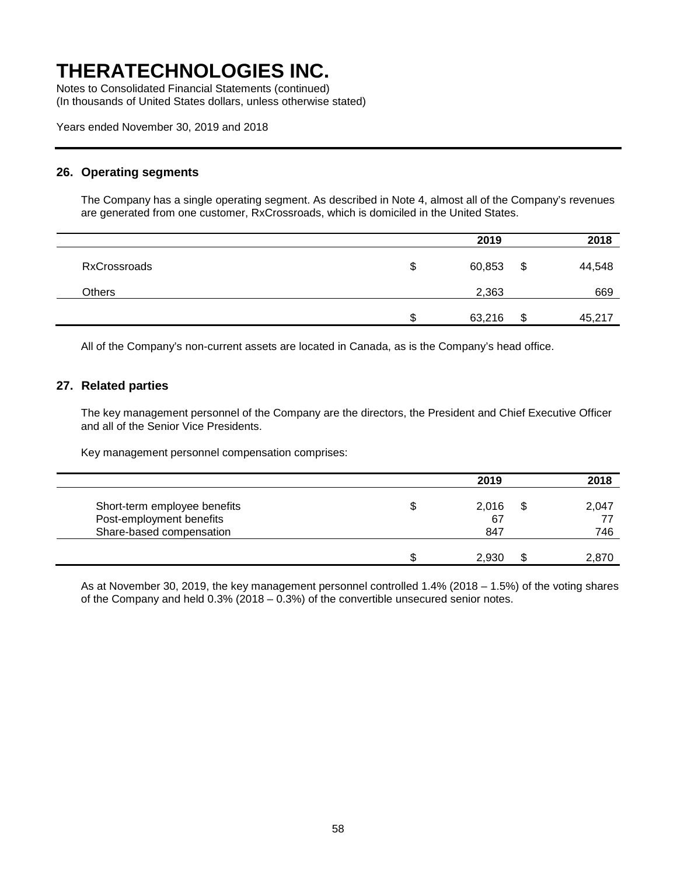Notes to Consolidated Financial Statements (continued) (In thousands of United States dollars, unless otherwise stated)

Years ended November 30, 2019 and 2018

### **26. Operating segments**

The Company has a single operating segment. As described in Note 4, almost all of the Company's revenues are generated from one customer, RxCrossroads, which is domiciled in the United States.

|              |    | 2019   | 2018         |
|--------------|----|--------|--------------|
| RxCrossroads | \$ | 60,853 | \$<br>44,548 |
| Others       |    | 2,363  | 669          |
|              | £. | 63,216 | \$<br>45,217 |

All of the Company's non-current assets are located in Canada, as is the Company's head office.

### **27. Related parties**

The key management personnel of the Company are the directors, the President and Chief Executive Officer and all of the Senior Vice Presidents.

Key management personnel compensation comprises:

|                                                                                      | 2019               | 2018               |
|--------------------------------------------------------------------------------------|--------------------|--------------------|
| Short-term employee benefits<br>Post-employment benefits<br>Share-based compensation | 2,016<br>67<br>847 | 2,047<br>77<br>746 |
|                                                                                      | 2,930              | 2,870              |

As at November 30, 2019, the key management personnel controlled 1.4% (2018 – 1.5%) of the voting shares of the Company and held 0.3% (2018 – 0.3%) of the convertible unsecured senior notes.